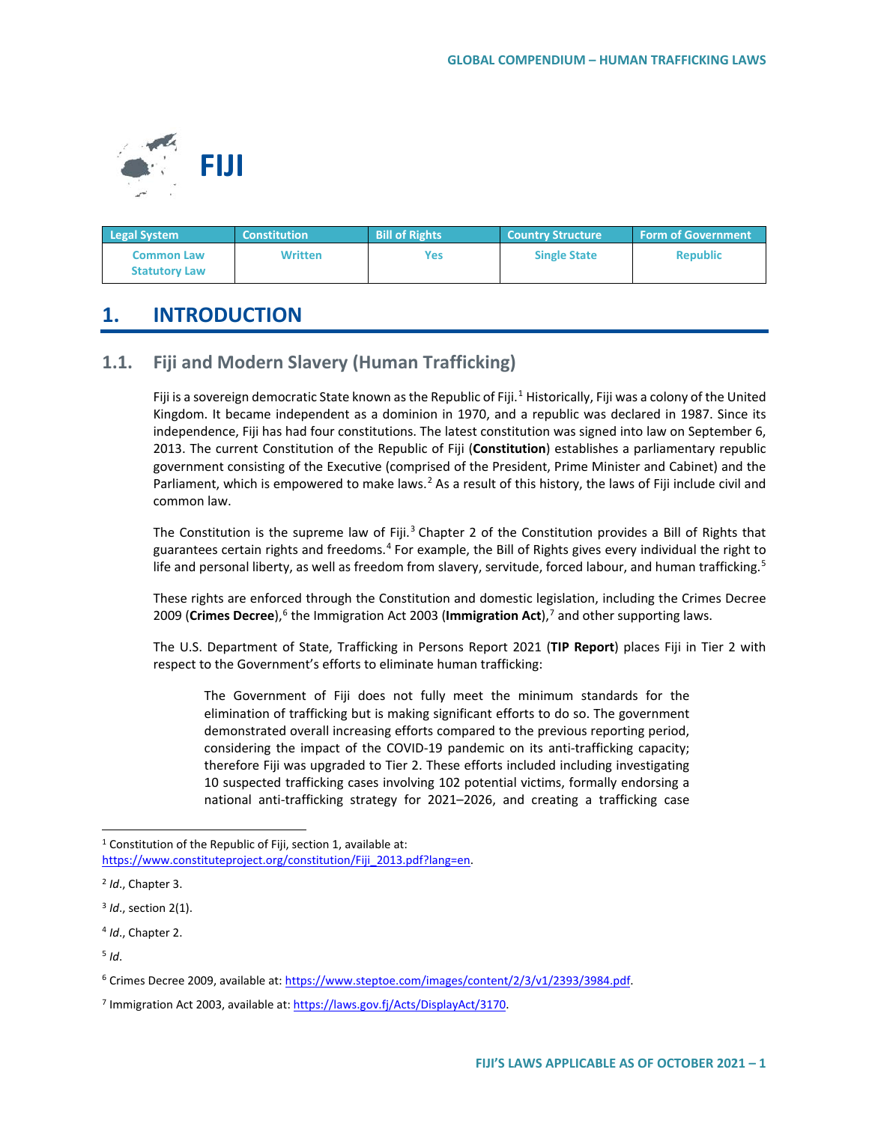

| <b>Legal System</b>                       | <b>Constitution</b> | <b>Bill of Rights</b> | <b>Country Structure</b> | <b>Form of Government</b> |
|-------------------------------------------|---------------------|-----------------------|--------------------------|---------------------------|
| <b>Common Law</b><br><b>Statutory Law</b> | Written             | Yes                   | <b>Single State</b>      | <b>Republic</b>           |

# **1. INTRODUCTION**

# **1.1. Fiji and Modern Slavery (Human Trafficking)**

Fiji is a sovereign democratic State known as the Republic of Fiji.<sup>[1](#page-0-0)</sup> Historically, Fiji was a colony of the United Kingdom. It became independent as a dominion in 1970, and a republic was declared in 1987. Since its independence, Fiji has had four constitutions. The latest constitution was signed into law on September 6, 2013. The current Constitution of the Republic of Fiji (**Constitution**) establishes a parliamentary republic government consisting of the Executive (comprised of the President, Prime Minister and Cabinet) and the Parliament, which is empowered to make laws.<sup>[2](#page-0-1)</sup> As a result of this history, the laws of Fiji include civil and common law.

The Constitution is the supreme law of Fiji.<sup>[3](#page-0-2)</sup> Chapter 2 of the Constitution provides a Bill of Rights that guarantees certain rights and freedoms.[4](#page-0-3) For example, the Bill of Rights gives every individual the right to life and personal liberty, as well as freedom from slavery, servitude, forced labour, and human trafficking.<sup>[5](#page-0-4)</sup>

These rights are enforced through the Constitution and domestic legislation, including the Crimes Decree 2009 (Crimes Decree),<sup>6</sup> the Immigration Act 2003 (Immigration Act),<sup>[7](#page-0-6)</sup> and other supporting laws.

The U.S. Department of State, Trafficking in Persons Report 2021 (**TIP Report**) places Fiji in Tier 2 with respect to the Government's efforts to eliminate human trafficking:

The Government of Fiji does not fully meet the minimum standards for the elimination of trafficking but is making significant efforts to do so. The government demonstrated overall increasing efforts compared to the previous reporting period, considering the impact of the COVID-19 pandemic on its anti-trafficking capacity; therefore Fiji was upgraded to Tier 2. These efforts included including investigating 10 suspected trafficking cases involving 102 potential victims, formally endorsing a national anti-trafficking strategy for 2021–2026, and creating a trafficking case

<span id="page-0-0"></span> $1$  Constitution of the Republic of Fiji, section 1, available at:

[https://www.constituteproject.org/constitution/Fiji\\_2013.pdf?lang=en.](https://www.constituteproject.org/constitution/Fiji_2013.pdf?lang=en)

<span id="page-0-1"></span><sup>2</sup> *Id*., Chapter 3.

<span id="page-0-2"></span><sup>3</sup> *Id*., section 2(1).

<span id="page-0-3"></span><sup>4</sup> *Id*., Chapter 2.

<span id="page-0-4"></span> $5$  *Id.* 

<span id="page-0-5"></span><sup>6</sup> Crimes Decree 2009, available at: [https://www.steptoe.com/images/content/2/3/v1/2393/3984.pdf.](https://www.steptoe.com/images/content/2/3/v1/2393/3984.pdf) 

<span id="page-0-6"></span><sup>&</sup>lt;sup>7</sup> Immigration Act 2003, available at: https://laws.gov.fj/Acts/DisplayAct/3170.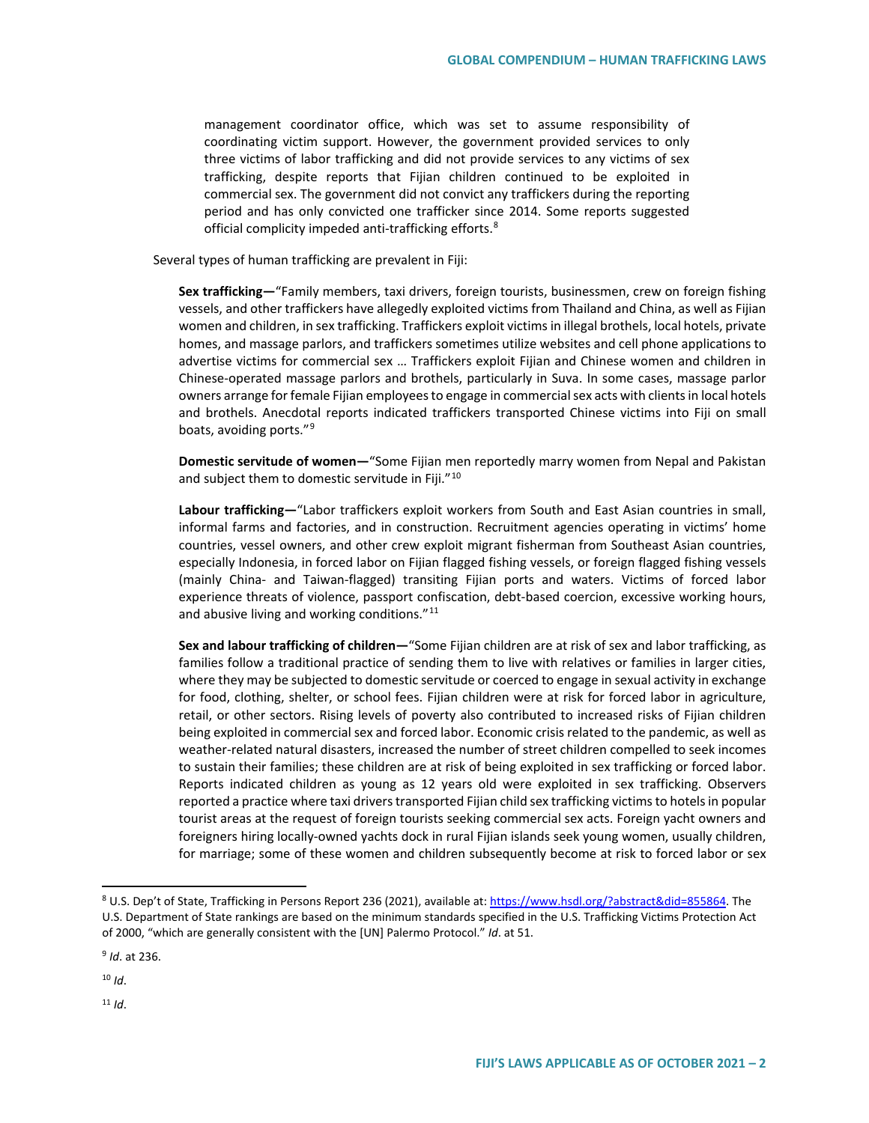management coordinator office, which was set to assume responsibility of coordinating victim support. However, the government provided services to only three victims of labor trafficking and did not provide services to any victims of sex trafficking, despite reports that Fijian children continued to be exploited in commercial sex. The government did not convict any traffickers during the reporting period and has only convicted one trafficker since 2014. Some reports suggested official complicity impeded anti-trafficking efforts.<sup>[8](#page-1-0)</sup>

Several types of human trafficking are prevalent in Fiji:

**Sex trafficking—**"Family members, taxi drivers, foreign tourists, businessmen, crew on foreign fishing vessels, and other traffickers have allegedly exploited victims from Thailand and China, as well as Fijian women and children, in sex trafficking. Traffickers exploit victims in illegal brothels, local hotels, private homes, and massage parlors, and traffickers sometimes utilize websites and cell phone applications to advertise victims for commercial sex … Traffickers exploit Fijian and Chinese women and children in Chinese-operated massage parlors and brothels, particularly in Suva. In some cases, massage parlor owners arrange for female Fijian employees to engage in commercial sex acts with clients in local hotels and brothels. Anecdotal reports indicated traffickers transported Chinese victims into Fiji on small boats, avoiding ports."[9](#page-1-1)

**Domestic servitude of women—**"Some Fijian men reportedly marry women from Nepal and Pakistan and subject them to domestic servitude in Fiji."<sup>[10](#page-1-2)</sup>

**Labour trafficking—**"Labor traffickers exploit workers from South and East Asian countries in small, informal farms and factories, and in construction. Recruitment agencies operating in victims' home countries, vessel owners, and other crew exploit migrant fisherman from Southeast Asian countries, especially Indonesia, in forced labor on Fijian flagged fishing vessels, or foreign flagged fishing vessels (mainly China- and Taiwan-flagged) transiting Fijian ports and waters. Victims of forced labor experience threats of violence, passport confiscation, debt-based coercion, excessive working hours, and abusive living and working conditions."<sup>[11](#page-1-3)</sup>

**Sex and labour trafficking of children—**"Some Fijian children are at risk of sex and labor trafficking, as families follow a traditional practice of sending them to live with relatives or families in larger cities, where they may be subjected to domestic servitude or coerced to engage in sexual activity in exchange for food, clothing, shelter, or school fees. Fijian children were at risk for forced labor in agriculture, retail, or other sectors. Rising levels of poverty also contributed to increased risks of Fijian children being exploited in commercial sex and forced labor. Economic crisis related to the pandemic, as well as weather-related natural disasters, increased the number of street children compelled to seek incomes to sustain their families; these children are at risk of being exploited in sex trafficking or forced labor. Reports indicated children as young as 12 years old were exploited in sex trafficking. Observers reported a practice where taxi drivers transported Fijian child sex trafficking victims to hotels in popular tourist areas at the request of foreign tourists seeking commercial sex acts. Foreign yacht owners and foreigners hiring locally-owned yachts dock in rural Fijian islands seek young women, usually children, for marriage; some of these women and children subsequently become at risk to forced labor or sex

<span id="page-1-1"></span><sup>9</sup> *Id*. at 236.

<span id="page-1-3"></span> $11$  *Id.* 

<span id="page-1-0"></span> <sup>8</sup> U.S. Dep't of State, Trafficking in Persons Report 236 (2021), available at[: https://www.hsdl.org/?abstract&did=855864.](https://www.hsdl.org/?abstract&did=855864) The U.S. Department of State rankings are based on the minimum standards specified in the U.S. Trafficking Victims Protection Act of 2000, "which are generally consistent with the [UN] Palermo Protocol." *Id*. at 51.

<span id="page-1-2"></span> $10$  *Id*.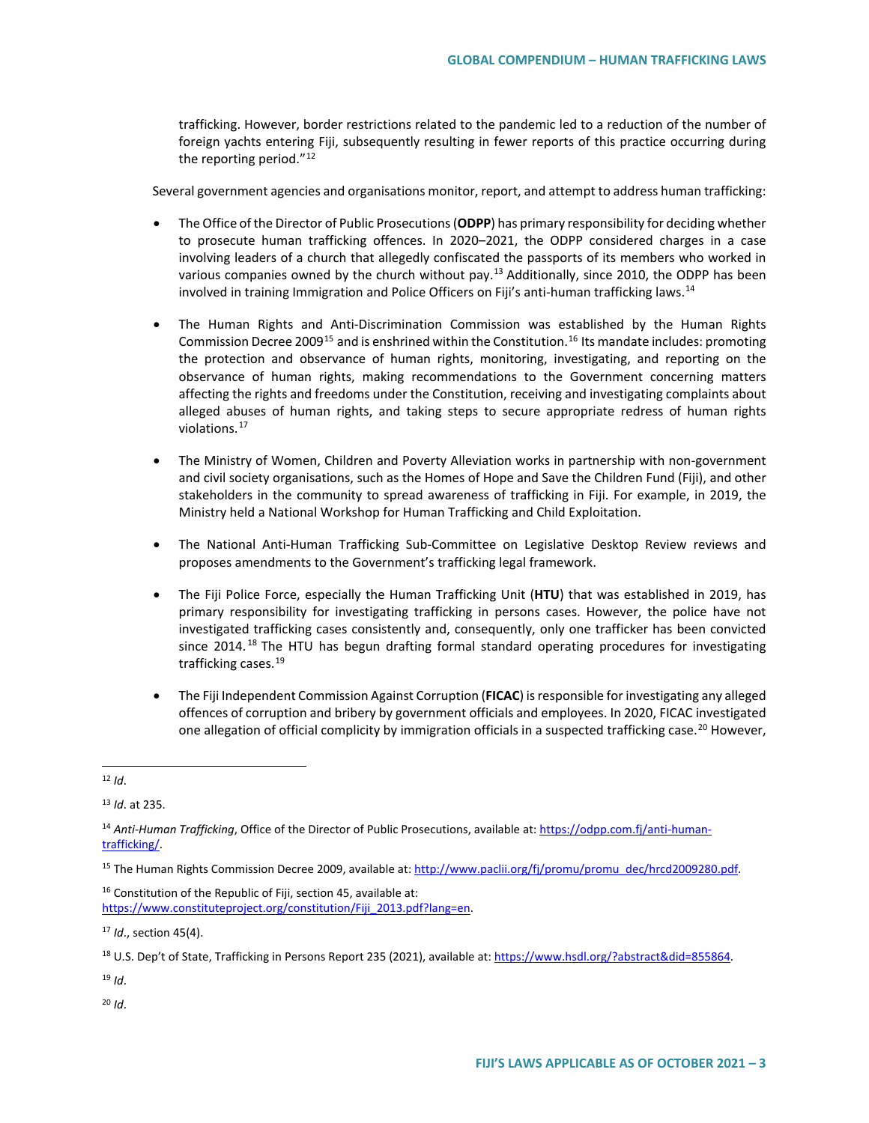trafficking. However, border restrictions related to the pandemic led to a reduction of the number of foreign yachts entering Fiji, subsequently resulting in fewer reports of this practice occurring during the reporting period." $12$ 

Several government agencies and organisations monitor, report, and attempt to address human trafficking:

- The Office of the Director of Public Prosecutions (**ODPP**) has primary responsibility for deciding whether to prosecute human trafficking offences. In 2020–2021, the ODPP considered charges in a case involving leaders of a church that allegedly confiscated the passports of its members who worked in various companies owned by the church without pay.[13](#page-2-1) Additionally, since 2010, the ODPP has been involved in training Immigration and Police Officers on Fiji's anti-human trafficking laws.[14](#page-2-2)
- The Human Rights and Anti-Discrimination Commission was established by the Human Rights Commission Decree 2009<sup>[15](#page-2-3)</sup> and is enshrined within the Constitution.<sup>[16](#page-2-4)</sup> Its mandate includes: promoting the protection and observance of human rights, monitoring, investigating, and reporting on the observance of human rights, making recommendations to the Government concerning matters affecting the rights and freedoms under the Constitution, receiving and investigating complaints about alleged abuses of human rights, and taking steps to secure appropriate redress of human rights violations.[17](#page-2-5)
- The Ministry of Women, Children and Poverty Alleviation works in partnership with non-government and civil society organisations, such as the Homes of Hope and Save the Children Fund (Fiji), and other stakeholders in the community to spread awareness of trafficking in Fiji. For example, in 2019, the Ministry held a National Workshop for Human Trafficking and Child Exploitation.
- The National Anti-Human Trafficking Sub-Committee on Legislative Desktop Review reviews and proposes amendments to the Government's trafficking legal framework.
- The Fiji Police Force, especially the Human Trafficking Unit (**HTU**) that was established in 2019, has primary responsibility for investigating trafficking in persons cases. However, the police have not investigated trafficking cases consistently and, consequently, only one trafficker has been convicted since  $2014$ .<sup>[18](#page-2-6)</sup> The HTU has begun drafting formal standard operating procedures for investigating trafficking cases.<sup>[19](#page-2-7)</sup>
- The Fiji Independent Commission Against Corruption (**FICAC**) is responsible for investigating any alleged offences of corruption and bribery by government officials and employees. In 2020, FICAC investigated one allegation of official complicity by immigration officials in a suspected trafficking case.<sup>[20](#page-2-8)</sup> However,

<span id="page-2-1"></span><sup>13</sup> *Id*. at 235.

<span id="page-2-4"></span><sup>16</sup> Constitution of the Republic of Fiji, section 45, available at: [https://www.constituteproject.org/constitution/Fiji\\_2013.pdf?lang=en.](https://www.constituteproject.org/constitution/Fiji_2013.pdf?lang=en)

<span id="page-2-5"></span><sup>17</sup> *Id*., section 45(4).

<span id="page-2-6"></span><sup>18</sup> U.S. Dep't of State, Trafficking in Persons Report 235 (2021), available at[: https://www.hsdl.org/?abstract&did=855864.](https://www.hsdl.org/?abstract&did=855864)

<span id="page-2-7"></span><sup>19</sup> *Id*.

<span id="page-2-8"></span><sup>20</sup> *Id*.

<span id="page-2-0"></span> <sup>12</sup> *Id*.

<span id="page-2-2"></span><sup>14</sup> *Anti-Human Trafficking*, Office of the Director of Public Prosecutions, available at[: https://odpp.com.fj/anti-human](https://odpp.com.fj/anti-human-trafficking/)[trafficking/.](https://odpp.com.fj/anti-human-trafficking/) 

<span id="page-2-3"></span><sup>&</sup>lt;sup>15</sup> The Human Rights Commission Decree 2009, available at[: http://www.paclii.org/fj/promu/promu\\_dec/hrcd2009280.pdf.](http://www.paclii.org/fj/promu/promu_dec/hrcd2009280.pdf)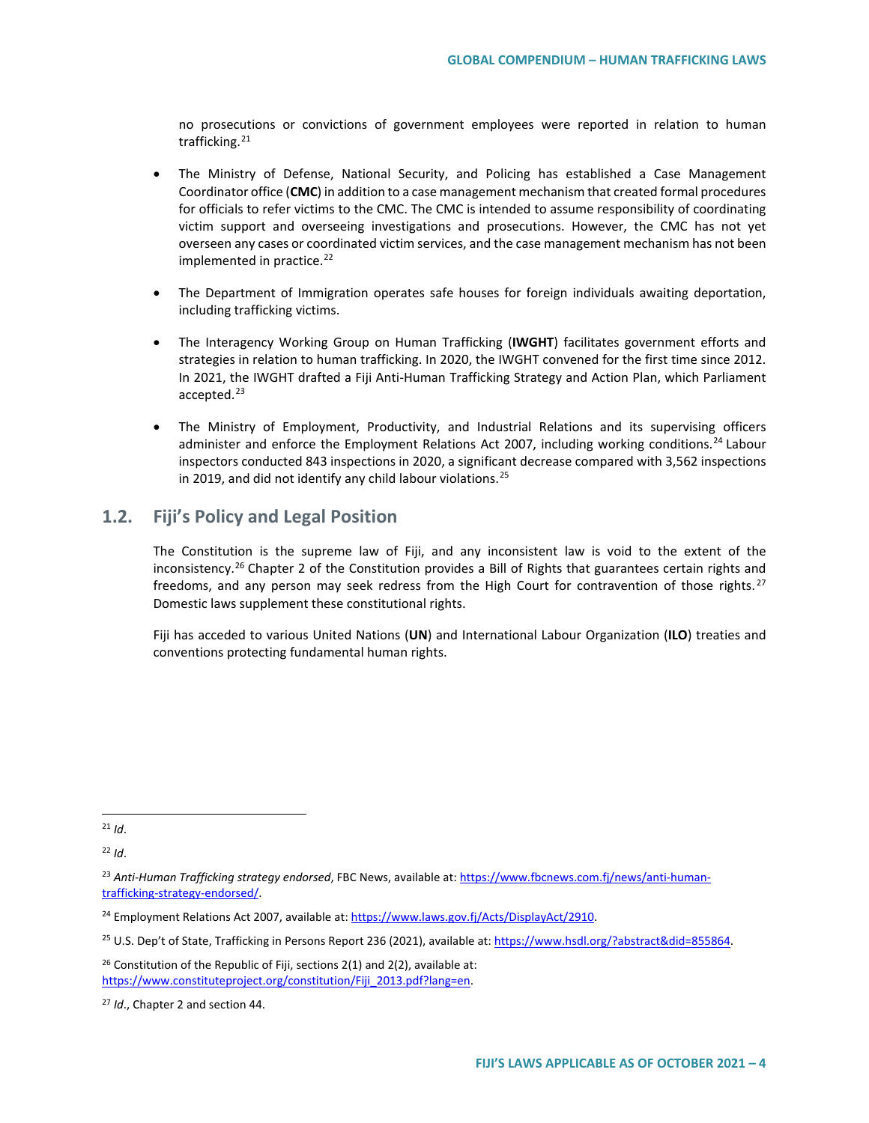no prosecutions or convictions of government employees were reported in relation to human trafficking.<sup>[21](#page-3-0)</sup>

- The Ministry of Defense, National Security, and Policing has established a Case Management Coordinator office (**CMC**) in addition to a case management mechanism that created formal procedures for officials to refer victims to the CMC. The CMC is intended to assume responsibility of coordinating victim support and overseeing investigations and prosecutions. However, the CMC has not yet overseen any cases or coordinated victim services, and the case management mechanism has not been implemented in practice.<sup>[22](#page-3-1)</sup>
- The Department of Immigration operates safe houses for foreign individuals awaiting deportation, including trafficking victims.
- The Interagency Working Group on Human Trafficking (**IWGHT**) facilitates government efforts and strategies in relation to human trafficking. In 2020, the IWGHT convened for the first time since 2012. In 2021, the IWGHT drafted a Fiji Anti-Human Trafficking Strategy and Action Plan, which Parliament accepted.<sup>[23](#page-3-2)</sup>
- The Ministry of Employment, Productivity, and Industrial Relations and its supervising officers administer and enforce the Employment Relations Act 2007, including working conditions.<sup>[24](#page-3-3)</sup> Labour inspectors conducted 843 inspections in 2020, a significant decrease compared with 3,562 inspections in 2019, and did not identify any child labour violations. $25$

## **1.2. Fiji's Policy and Legal Position**

The Constitution is the supreme law of Fiji, and any inconsistent law is void to the extent of the inconsistency.<sup>[26](#page-3-5)</sup> Chapter 2 of the Constitution provides a Bill of Rights that guarantees certain rights and freedoms, and any person may seek redress from the High Court for contravention of those rights. $27$ Domestic laws supplement these constitutional rights.

Fiji has acceded to various United Nations (**UN**) and International Labour Organization (**ILO**) treaties and conventions protecting fundamental human rights.

<span id="page-3-0"></span> $^{21}$  *Id.* 

<span id="page-3-1"></span><sup>22</sup> *Id*.

<span id="page-3-2"></span><sup>23</sup> *Anti-Human Trafficking strategy endorsed*, FBC News, available at[: https://www.fbcnews.com.fj/news/anti-human](https://www.fbcnews.com.fj/news/anti-human-trafficking-strategy-endorsed/)[trafficking-strategy-endorsed/.](https://www.fbcnews.com.fj/news/anti-human-trafficking-strategy-endorsed/) 

<span id="page-3-3"></span><sup>24</sup> Employment Relations Act 2007, available at[: https://www.laws.gov.fj/Acts/DisplayAct/2910.](https://www.laws.gov.fj/Acts/DisplayAct/2910)

<span id="page-3-4"></span><sup>25</sup> U.S. Dep't of State, Trafficking in Persons Report 236 (2021), available at[: https://www.hsdl.org/?abstract&did=855864.](https://www.hsdl.org/?abstract&did=855864)

<span id="page-3-5"></span><sup>&</sup>lt;sup>26</sup> Constitution of the Republic of Fiji, sections  $2(1)$  and  $2(2)$ , available at: https://www.constituteproject.org/constitution/Fiji\_2013.pdf?lang=en.

<span id="page-3-6"></span><sup>27</sup> *Id*., Chapter 2 and section 44.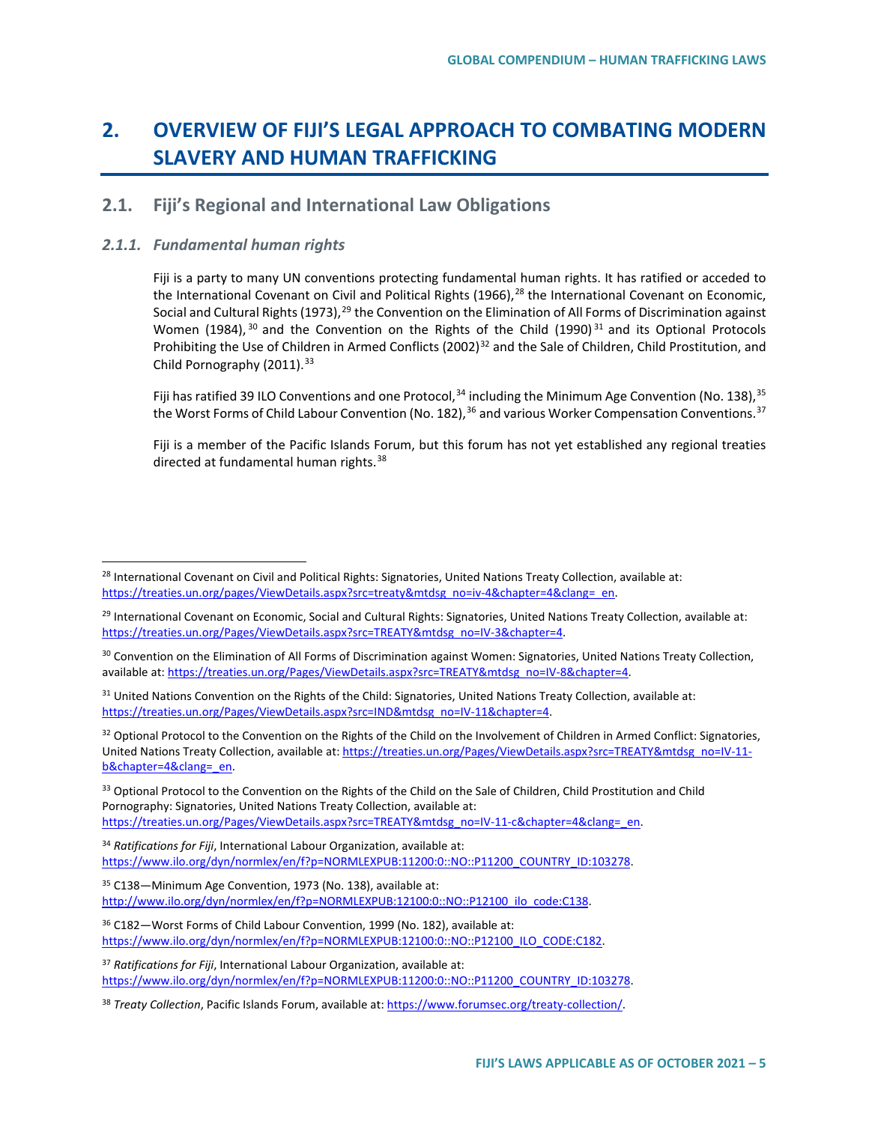# **2. OVERVIEW OF FIJI'S LEGAL APPROACH TO COMBATING MODERN SLAVERY AND HUMAN TRAFFICKING**

# **2.1. Fiji's Regional and International Law Obligations**

## *2.1.1. Fundamental human rights*

Fiji is a party to many UN conventions protecting fundamental human rights. It has ratified or acceded to the International Covenant on Civil and Political Rights  $(1966)<sup>28</sup>$  $(1966)<sup>28</sup>$  $(1966)<sup>28</sup>$  the International Covenant on Economic, Social and Cultural Rights (1973),<sup>[29](#page-4-1)</sup> the Convention on the Elimination of All Forms of Discrimination against Women (1984),  $30$  and the Convention on the Rights of the Child (1990)  $31$  and its Optional Protocols Prohibiting the Use of Children in Armed Conflicts (2002)<sup>[32](#page-4-4)</sup> and the Sale of Children, Child Prostitution, and Child Pornography (2011).<sup>[33](#page-4-5)</sup>

Fiji has ratified 39 ILO Conventions and one Protocol,<sup>[34](#page-4-6)</sup> including the Minimum Age Convention (No. 138), <sup>[35](#page-4-7)</sup> the Worst Forms of Child Labour Convention (No. 182), <sup>[36](#page-4-8)</sup> and various Worker Compensation Conventions.<sup>[37](#page-4-9)</sup>

Fiji is a member of the Pacific Islands Forum, but this forum has not yet established any regional treaties directed at fundamental human rights.<sup>[38](#page-4-10)</sup>

<span id="page-4-0"></span><sup>&</sup>lt;sup>28</sup> International Covenant on Civil and Political Rights: Signatories, United Nations Treaty Collection, available at: [https://treaties.un.org/pages/ViewDetails.aspx?src=treaty&mtdsg\\_no=iv-4&chapter=4&clang=\\_en.](https://treaties.un.org/pages/ViewDetails.aspx?src=treaty&mtdsg_no=iv-4&chapter=4&clang=_en)

<span id="page-4-1"></span><sup>&</sup>lt;sup>29</sup> International Covenant on Economic, Social and Cultural Rights: Signatories, United Nations Treaty Collection, available at: https://treaties.un.org/Pages/ViewDetails.aspx?src=TREATY&mtdsg\_no=IV-3&chapter=4.

<span id="page-4-2"></span><sup>&</sup>lt;sup>30</sup> Convention on the Elimination of All Forms of Discrimination against Women: Signatories, United Nations Treaty Collection, available at[: https://treaties.un.org/Pages/ViewDetails.aspx?src=TREATY&mtdsg\\_no=IV-8&chapter=4.](https://treaties.un.org/Pages/ViewDetails.aspx?src=TREATY&mtdsg_no=IV-8&chapter=4)

<span id="page-4-3"></span><sup>&</sup>lt;sup>31</sup> United Nations Convention on the Rights of the Child: Signatories, United Nations Treaty Collection, available at: [https://treaties.un.org/Pages/ViewDetails.aspx?src=IND&mtdsg\\_no=IV-11&chapter=4.](https://treaties.un.org/Pages/ViewDetails.aspx?src=IND&mtdsg_no=IV-11&chapter=4)

<span id="page-4-4"></span><sup>&</sup>lt;sup>32</sup> Optional Protocol to the Convention on the Rights of the Child on the Involvement of Children in Armed Conflict: Signatories, United Nations Treaty Collection, available at[: https://treaties.un.org/Pages/ViewDetails.aspx?src=TREATY&mtdsg\\_no=IV-11](https://treaties.un.org/Pages/ViewDetails.aspx?src=TREATY&mtdsg_no=IV-11-b&chapter=4&clang=_en) [b&chapter=4&clang=\\_en.](https://treaties.un.org/Pages/ViewDetails.aspx?src=TREATY&mtdsg_no=IV-11-b&chapter=4&clang=_en) 

<span id="page-4-5"></span><sup>&</sup>lt;sup>33</sup> Optional Protocol to the Convention on the Rights of the Child on the Sale of Children, Child Prostitution and Child Pornography: Signatories, United Nations Treaty Collection, available at: [https://treaties.un.org/Pages/ViewDetails.aspx?src=TREATY&mtdsg\\_no=IV-11-c&chapter=4&clang=\\_en.](https://treaties.un.org/Pages/ViewDetails.aspx?src=TREATY&mtdsg_no=IV-11-c&chapter=4&clang=_en)

<span id="page-4-6"></span><sup>34</sup> *Ratifications for Fiji*, International Labour Organization, available at: https://www.ilo.org/dyn/normlex/en/f?p=NORMLEXPUB:11200:0::NO::P11200\_COUNTRY\_ID:103278.

<span id="page-4-7"></span><sup>35</sup> C138—Minimum Age Convention, 1973 (No. 138), available at: [http://www.ilo.org/dyn/normlex/en/f?p=NORMLEXPUB:12100:0::NO::P12100\\_ilo\\_code:C138.](http://www.ilo.org/dyn/normlex/en/f?p=NORMLEXPUB:12100:0::NO::P12100_ilo_code:C138)

<span id="page-4-8"></span><sup>36</sup> C182—Worst Forms of Child Labour Convention, 1999 (No. 182), available at: [https://www.ilo.org/dyn/normlex/en/f?p=NORMLEXPUB:12100:0::NO::P12100\\_ILO\\_CODE:C182.](https://www.ilo.org/dyn/normlex/en/f?p=NORMLEXPUB:12100:0::NO::P12100_ILO_CODE:C182)

<span id="page-4-9"></span><sup>37</sup> *Ratifications for Fiji*, International Labour Organization, available at: https://www.ilo.org/dyn/normlex/en/f?p=NORMLEXPUB:11200:0::NO::P11200\_COUNTRY\_ID:103278.

<span id="page-4-10"></span><sup>&</sup>lt;sup>38</sup> *Treaty Collection*, Pacific Islands Forum, available at: [https://www.forumsec.org/treaty-collection/.](https://www.forumsec.org/treaty-collection/)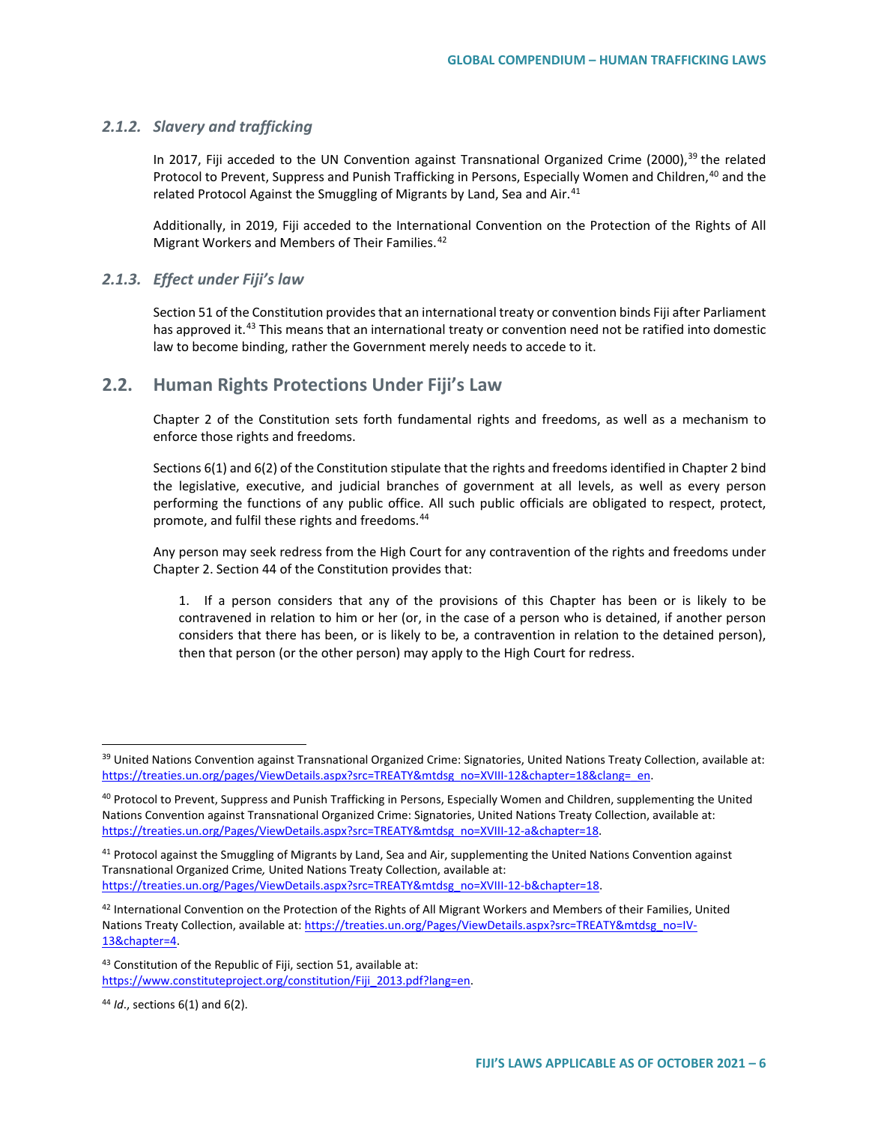#### *2.1.2. Slavery and trafficking*

In 2017, Fiji acceded to the UN Convention against Transnational Organized Crime (2000),<sup>[39](#page-5-0)</sup> the related Protocol to Prevent, Suppress and Punish Trafficking in Persons, Especially Women and Children,<sup>[40](#page-5-1)</sup> and the related Protocol Against the Smuggling of Migrants by Land, Sea and Air.<sup>[41](#page-5-2)</sup>

Additionally, in 2019, Fiji acceded to the International Convention on the Protection of the Rights of All Migrant Workers and Members of Their Families.<sup>[42](#page-5-3)</sup>

### *2.1.3. Effect under Fiji's law*

Section 51 of the Constitution provides that an international treaty or convention binds Fiji after Parliament has approved it.<sup>[43](#page-5-4)</sup> This means that an international treaty or convention need not be ratified into domestic law to become binding, rather the Government merely needs to accede to it.

## **2.2. Human Rights Protections Under Fiji's Law**

Chapter 2 of the Constitution sets forth fundamental rights and freedoms, as well as a mechanism to enforce those rights and freedoms.

Sections 6(1) and 6(2) of the Constitution stipulate that the rights and freedoms identified in Chapter 2 bind the legislative, executive, and judicial branches of government at all levels, as well as every person performing the functions of any public office. All such public officials are obligated to respect, protect, promote, and fulfil these rights and freedoms.<sup>[44](#page-5-5)</sup>

Any person may seek redress from the High Court for any contravention of the rights and freedoms under Chapter 2. Section 44 of the Constitution provides that:

1. If a person considers that any of the provisions of this Chapter has been or is likely to be contravened in relation to him or her (or, in the case of a person who is detained, if another person considers that there has been, or is likely to be, a contravention in relation to the detained person), then that person (or the other person) may apply to the High Court for redress.

<span id="page-5-5"></span><sup>44</sup> *Id*., sections 6(1) and 6(2).

<span id="page-5-0"></span><sup>&</sup>lt;sup>39</sup> United Nations Convention against Transnational Organized Crime: Signatories, United Nations Treaty Collection, available at: https://treaties.un.org/pages/ViewDetails.aspx?src=TREATY&mtdsg\_no=XVIII-12&chapter=18&clang=\_en.

<span id="page-5-1"></span><sup>&</sup>lt;sup>40</sup> Protocol to Prevent, Suppress and Punish Trafficking in Persons, Especially Women and Children, supplementing the United Nations Convention against Transnational Organized Crime: Signatories, United Nations Treaty Collection, available at: [https://treaties.un.org/Pages/ViewDetails.aspx?src=TREATY&mtdsg\\_no=XVIII-12-a&chapter=18.](https://treaties.un.org/Pages/ViewDetails.aspx?src=TREATY&mtdsg_no=XVIII-12-a&chapter=18)

<span id="page-5-2"></span><sup>&</sup>lt;sup>41</sup> Protocol against the Smuggling of Migrants by Land, Sea and Air, supplementing the United Nations Convention against Transnational Organized Crime*,* United Nations Treaty Collection, available at: [https://treaties.un.org/Pages/ViewDetails.aspx?src=TREATY&mtdsg\\_no=XVIII-12-b&chapter=18.](https://treaties.un.org/Pages/ViewDetails.aspx?src=TREATY&mtdsg_no=XVIII-12-b&chapter=18) 

<span id="page-5-3"></span> $42$  International Convention on the Protection of the Rights of All Migrant Workers and Members of their Families, United Nations Treaty Collection, available at[: https://treaties.un.org/Pages/ViewDetails.aspx?src=TREATY&mtdsg\\_no=IV-](https://treaties.un.org/Pages/ViewDetails.aspx?src=TREATY&mtdsg_no=IV-13&chapter=4)[13&chapter=4.](https://treaties.un.org/Pages/ViewDetails.aspx?src=TREATY&mtdsg_no=IV-13&chapter=4) 

<span id="page-5-4"></span><sup>43</sup> Constitution of the Republic of Fiji, section 51, available at: [https://www.constituteproject.org/constitution/Fiji\\_2013.pdf?lang=en.](https://www.constituteproject.org/constitution/Fiji_2013.pdf?lang=en)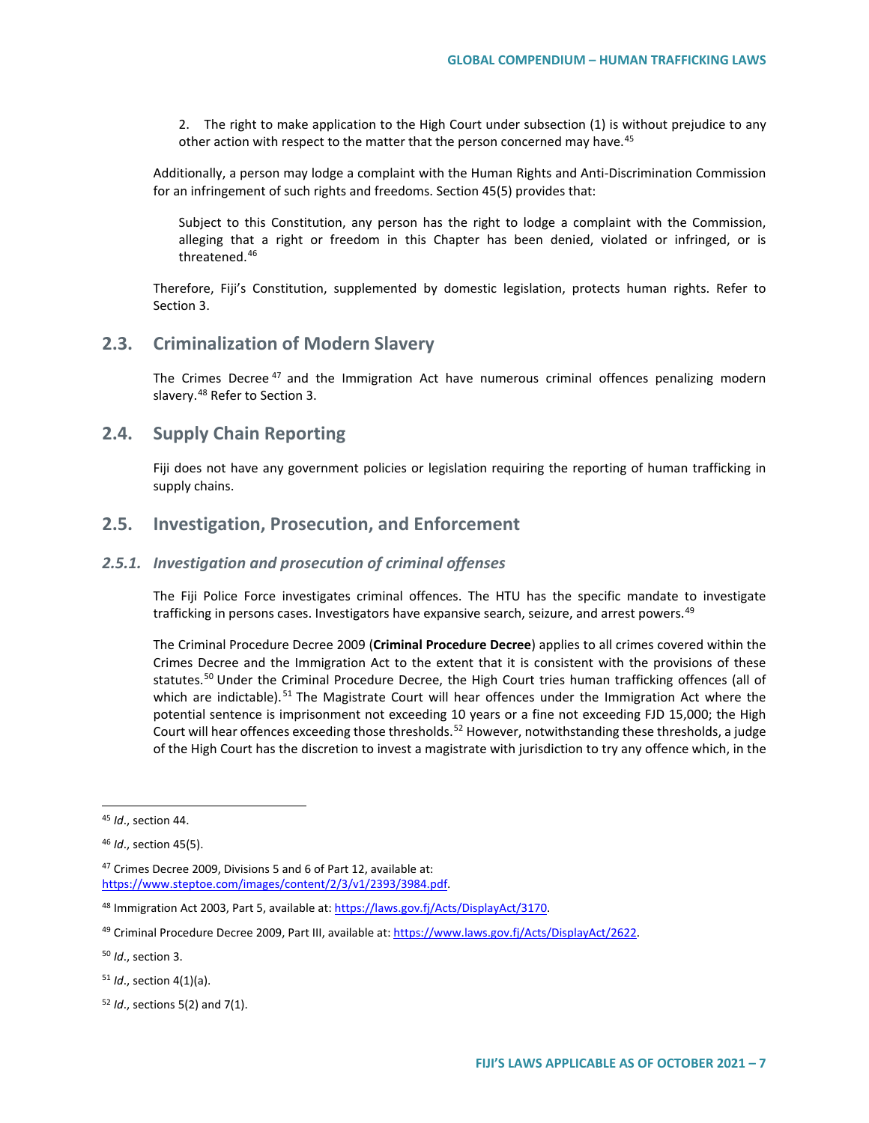2. The right to make application to the High Court under subsection (1) is without prejudice to any other action with respect to the matter that the person concerned may have.<sup>[45](#page-6-0)</sup>

Additionally, a person may lodge a complaint with the Human Rights and Anti-Discrimination Commission for an infringement of such rights and freedoms. Section 45(5) provides that:

Subject to this Constitution, any person has the right to lodge a complaint with the Commission, alleging that a right or freedom in this Chapter has been denied, violated or infringed, or is threatened.[46](#page-6-1)

Therefore, Fiji's Constitution, supplemented by domestic legislation, protects human rights. Refer to Section 3.

# **2.3. Criminalization of Modern Slavery**

The Crimes Decree<sup>[47](#page-6-2)</sup> and the Immigration Act have numerous criminal offences penalizing modern slavery.<sup>[48](#page-6-3)</sup> Refer to Section 3.

# **2.4. Supply Chain Reporting**

Fiji does not have any government policies or legislation requiring the reporting of human trafficking in supply chains.

# **2.5. Investigation, Prosecution, and Enforcement**

## *2.5.1. Investigation and prosecution of criminal offenses*

The Fiji Police Force investigates criminal offences. The HTU has the specific mandate to investigate trafficking in persons cases. Investigators have expansive search, seizure, and arrest powers.<sup>[49](#page-6-4)</sup>

The Criminal Procedure Decree 2009 (**Criminal Procedure Decree**) applies to all crimes covered within the Crimes Decree and the Immigration Act to the extent that it is consistent with the provisions of these statutes.<sup>[50](#page-6-5)</sup> Under the Criminal Procedure Decree, the High Court tries human trafficking offences (all of which are indictable).<sup>[51](#page-6-6)</sup> The Magistrate Court will hear offences under the Immigration Act where the potential sentence is imprisonment not exceeding 10 years or a fine not exceeding FJD 15,000; the High Court will hear offences exceeding those thresholds.<sup>[52](#page-6-7)</sup> However, notwithstanding these thresholds, a judge of the High Court has the discretion to invest a magistrate with jurisdiction to try any offence which, in the

<span id="page-6-0"></span> <sup>45</sup> *Id*., section 44.

<span id="page-6-1"></span><sup>46</sup> *Id*., section 45(5).

<span id="page-6-2"></span><sup>47</sup> Crimes Decree 2009, Divisions 5 and 6 of Part 12, available at: [https://www.steptoe.com/images/content/2/3/v1/2393/3984.pdf.](https://www.steptoe.com/images/content/2/3/v1/2393/3984.pdf) 

<span id="page-6-3"></span><sup>48</sup> Immigration Act 2003, Part 5, available at: [https://laws.gov.fj/Acts/DisplayAct/3170.](https://laws.gov.fj/Acts/DisplayAct/3170) 

<span id="page-6-4"></span><sup>49</sup> Criminal Procedure Decree 2009, Part III, available at[: https://www.laws.gov.fj/Acts/DisplayAct/2622.](https://www.laws.gov.fj/Acts/DisplayAct/2622)

<span id="page-6-5"></span><sup>50</sup> *Id*., section 3.

<span id="page-6-6"></span><sup>51</sup> *Id*., section 4(1)(a).

<span id="page-6-7"></span><sup>52</sup> *Id*., sections 5(2) and 7(1).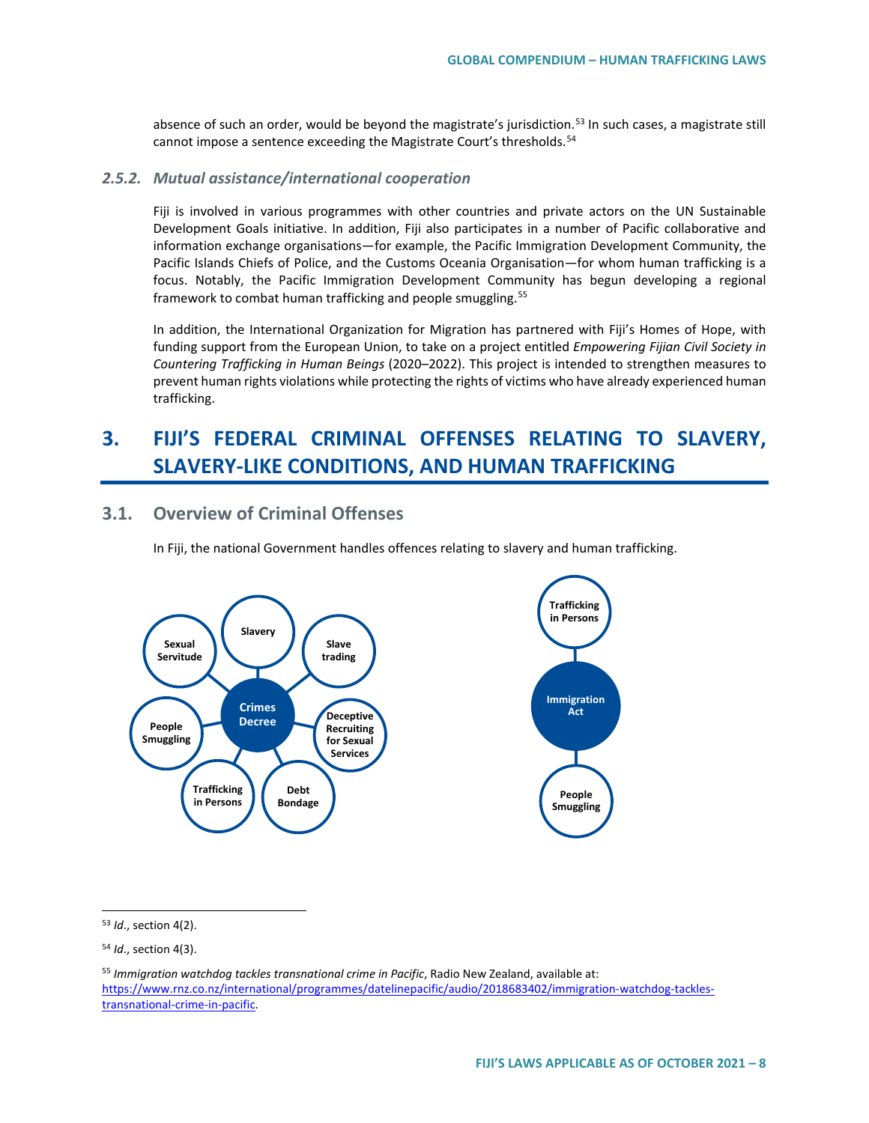absence of such an order, would be beyond the magistrate's jurisdiction.<sup>[53](#page-7-0)</sup> In such cases, a magistrate still cannot impose a sentence exceeding the Magistrate Court's thresholds.<sup>54</sup>

#### *2.5.2. Mutual assistance/international cooperation*

Fiji is involved in various programmes with other countries and private actors on the UN Sustainable Development Goals initiative. In addition, Fiji also participates in a number of Pacific collaborative and information exchange organisations—for example, the Pacific Immigration Development Community, the Pacific Islands Chiefs of Police, and the Customs Oceania Organisation—for whom human trafficking is a focus. Notably, the Pacific Immigration Development Community has begun developing [a regional](https://www.rnz.co.nz/international/programmes/datelinepacific/audio/2018683402/immigration-watchdog-tackles-transnational-crime-in-pacific)  [framework](https://www.rnz.co.nz/international/programmes/datelinepacific/audio/2018683402/immigration-watchdog-tackles-transnational-crime-in-pacific) to combat human trafficking and people smuggling.<sup>[55](#page-7-2)</sup>

In addition, the International Organization for Migration has partnered with Fiji's Homes of Hope, with funding support from the European Union, to take on a project entitled *Empowering Fijian Civil Society in Countering Trafficking in Human Beings* (2020–2022). This project is intended to strengthen measures to prevent human rights violations while protecting the rights of victims who have already experienced human trafficking.

# **3. FIJI'S FEDERAL CRIMINAL OFFENSES RELATING TO SLAVERY, SLAVERY-LIKE CONDITIONS, AND HUMAN TRAFFICKING**

# **3.1. Overview of Criminal Offenses**

In Fiji, the national Government handles offences relating to slavery and human trafficking.



<span id="page-7-0"></span>53 *Id*., section 4(2).

<span id="page-7-1"></span><sup>54</sup> *Id*., section 4(3).

<span id="page-7-2"></span><sup>55</sup> *Immigration watchdog tackles transnational crime in Pacific*, Radio New Zealand, available at: [https://www.rnz.co.nz/international/programmes/datelinepacific/audio/2018683402/immigration-watchdog-tackles](https://www.rnz.co.nz/international/programmes/datelinepacific/audio/2018683402/immigration-watchdog-tackles-transnational-crime-in-pacific)[transnational-crime-in-pacific.](https://www.rnz.co.nz/international/programmes/datelinepacific/audio/2018683402/immigration-watchdog-tackles-transnational-crime-in-pacific)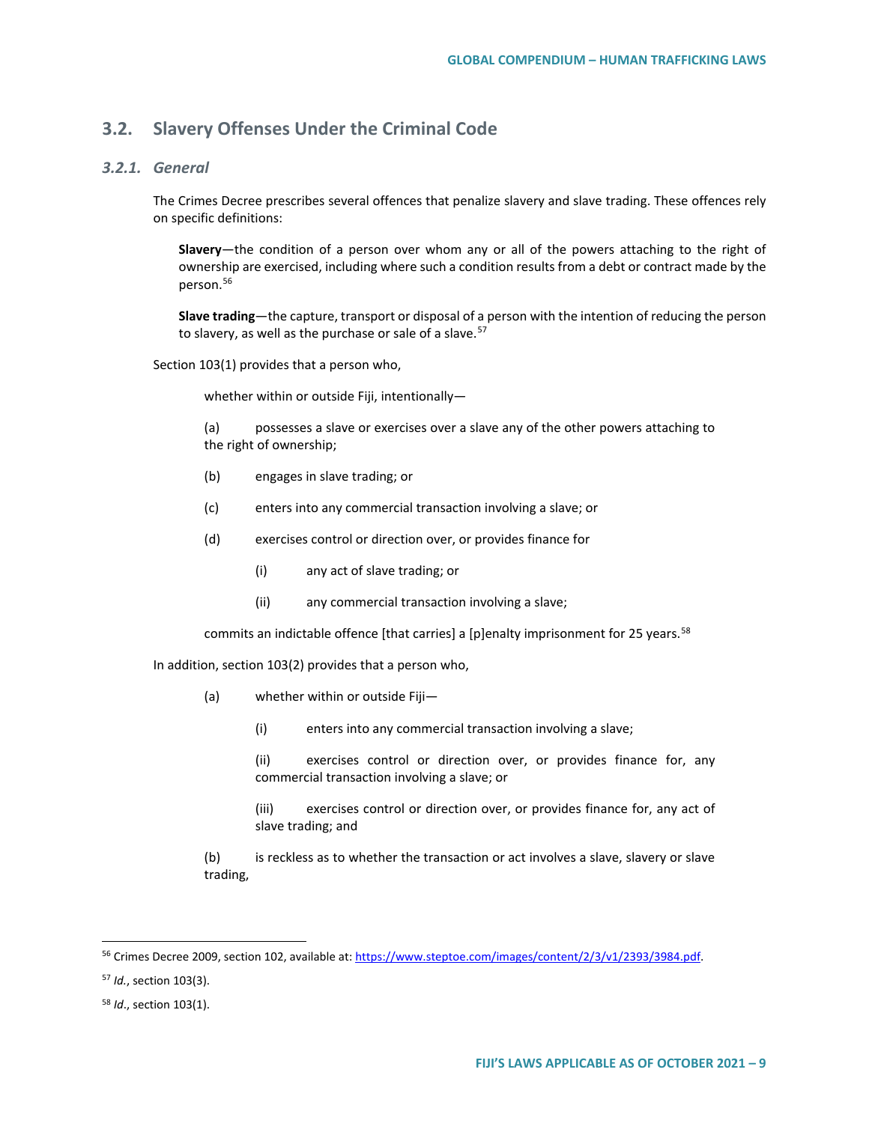# **3.2. Slavery Offenses Under the Criminal Code**

## *3.2.1. General*

The Crimes Decree prescribes several offences that penalize slavery and slave trading. These offences rely on specific definitions:

**Slavery**—the condition of a person over whom any or all of the powers attaching to the right of ownership are exercised, including where such a condition results from a debt or contract made by the person.<sup>[56](#page-8-0)</sup>

**Slave trading**—the capture, transport or disposal of a person with the intention of reducing the person to slavery, as well as the purchase or sale of a slave.<sup>[57](#page-8-1)</sup>

Section 103(1) provides that a person who,

whether within or outside Fiji, intentionally—

(a) possesses a slave or exercises over a slave any of the other powers attaching to the right of ownership;

- (b) engages in slave trading; or
- (c) enters into any commercial transaction involving a slave; or
- (d) exercises control or direction over, or provides finance for
	- (i) any act of slave trading; or
	- (ii) any commercial transaction involving a slave;

commits an indictable offence [that carries] a [p]enalty imprisonment for 25 years.<sup>[58](#page-8-2)</sup>

In addition, section 103(2) provides that a person who,

- (a) whether within or outside Fiji—
	- (i) enters into any commercial transaction involving a slave;
	- (ii) exercises control or direction over, or provides finance for, any commercial transaction involving a slave; or
	- (iii) exercises control or direction over, or provides finance for, any act of slave trading; and

(b) is reckless as to whether the transaction or act involves a slave, slavery or slave trading,

<span id="page-8-0"></span><sup>&</sup>lt;sup>56</sup> Crimes Decree 2009, section 102, available at[: https://www.steptoe.com/images/content/2/3/v1/2393/3984.pdf.](https://www.steptoe.com/images/content/2/3/v1/2393/3984.pdf)

<span id="page-8-1"></span><sup>57</sup> *Id.*, section 103(3).

<span id="page-8-2"></span><sup>58</sup> *Id*., section 103(1).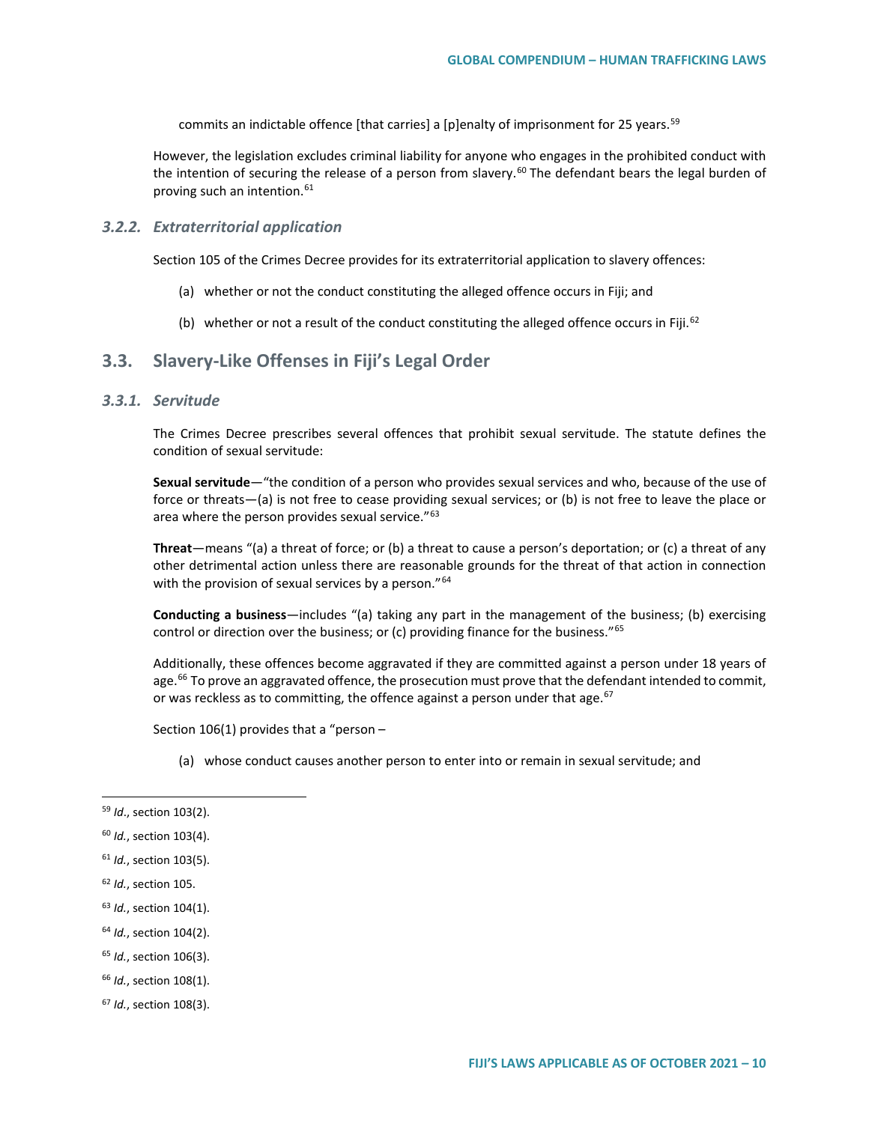commits an indictable offence [that carries] a [p]enalty of imprisonment for 25 years.<sup>[59](#page-9-0)</sup>

However, the legislation excludes criminal liability for anyone who engages in the prohibited conduct with the intention of securing the release of a person from slavery.<sup>[60](#page-9-1)</sup> The defendant bears the legal burden of proving such an intention.<sup>[61](#page-9-2)</sup>

#### *3.2.2. Extraterritorial application*

Section 105 of the Crimes Decree provides for its extraterritorial application to slavery offences:

- (a) whether or not the conduct constituting the alleged offence occurs in Fiji; and
- (b) whether or not a result of the conduct constituting the alleged offence occurs in Fiji.<sup>[62](#page-9-3)</sup>

## **3.3. Slavery-Like Offenses in Fiji's Legal Order**

### *3.3.1. Servitude*

The Crimes Decree prescribes several offences that prohibit sexual servitude. The statute defines the condition of sexual servitude:

**Sexual servitude**—"the condition of a person who provides sexual services and who, because of the use of force or threats—(a) is not free to cease providing sexual services; or (b) is not free to leave the place or area where the person provides sexual service."<sup>[63](#page-9-4)</sup>

**Threat**—means "(a) a threat of force; or (b) a threat to cause a person's deportation; or (c) a threat of any other detrimental action unless there are reasonable grounds for the threat of that action in connection with the provision of sexual services by a person."<sup>[64](#page-9-5)</sup>

**Conducting a business**—includes "(a) taking any part in the management of the business; (b) exercising control or direction over the business; or (c) providing finance for the business."<sup>[65](#page-9-6)</sup>

Additionally, these offences become aggravated if they are committed against a person under 18 years of age.<sup>[66](#page-9-7)</sup> To prove an aggravated offence, the prosecution must prove that the defendant intended to commit, or was reckless as to committing, the offence against a person under that age. $67$ 

Section 106(1) provides that a "person –

(a) whose conduct causes another person to enter into or remain in sexual servitude; and

- <span id="page-9-3"></span><sup>62</sup> *Id.*, section 105.
- <span id="page-9-4"></span><sup>63</sup> *Id.*, section 104(1).
- <span id="page-9-5"></span><sup>64</sup> *Id.*, section 104(2).
- <span id="page-9-6"></span><sup>65</sup> *Id.*, section 106(3).
- <span id="page-9-7"></span><sup>66</sup> *Id.*, section 108(1).
- <span id="page-9-8"></span><sup>67</sup> *Id.*, section 108(3).

<span id="page-9-0"></span> <sup>59</sup> *Id*., section 103(2).

<span id="page-9-1"></span><sup>60</sup> *Id.*, section 103(4).

<span id="page-9-2"></span><sup>61</sup> *Id.*, section 103(5).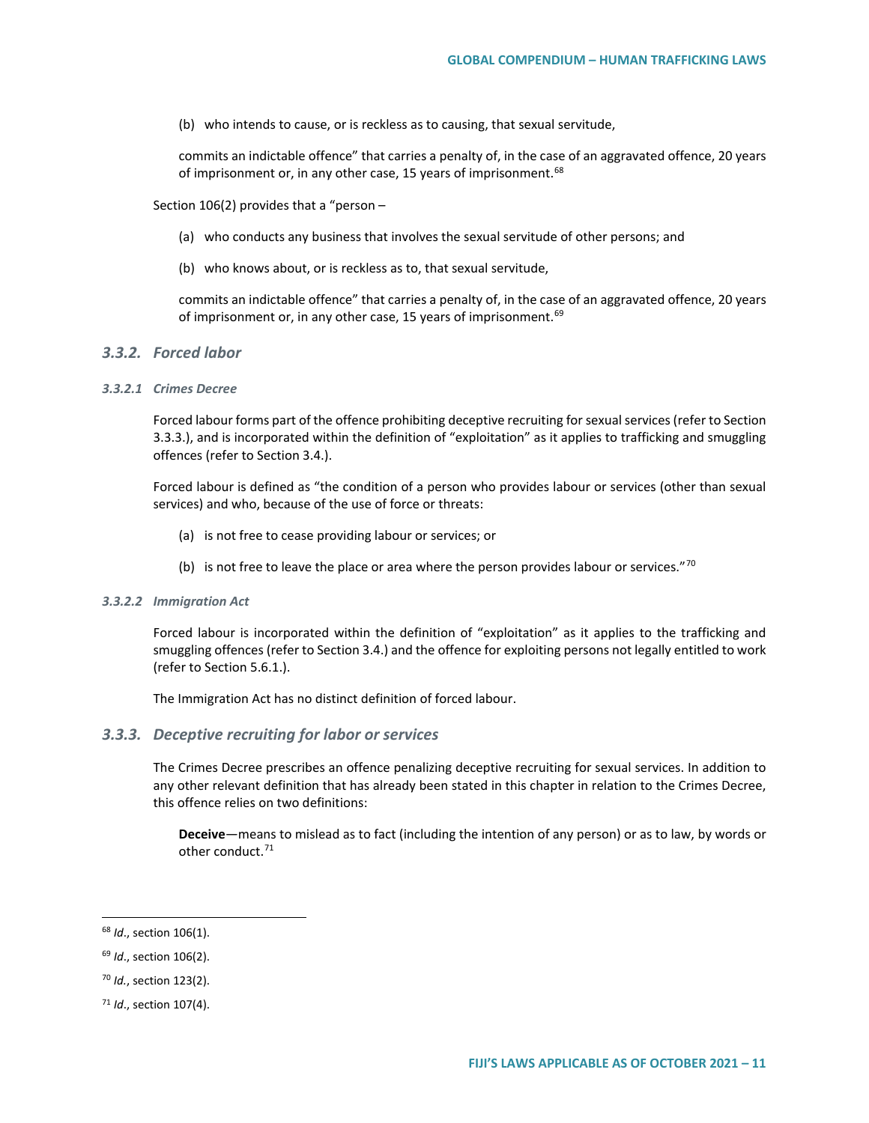(b) who intends to cause, or is reckless as to causing, that sexual servitude,

commits an indictable offence" that carries a penalty of, in the case of an aggravated offence, 20 years of imprisonment or, in any other case, 15 years of imprisonment.<sup>[68](#page-10-0)</sup>

Section 106(2) provides that a "person –

- (a) who conducts any business that involves the sexual servitude of other persons; and
- (b) who knows about, or is reckless as to, that sexual servitude,

commits an indictable offence" that carries a penalty of, in the case of an aggravated offence, 20 years of imprisonment or, in any other case, 15 years of imprisonment.<sup>[69](#page-10-1)</sup>

### *3.3.2. Forced labor*

#### *3.3.2.1 Crimes Decree*

Forced labour forms part of the offence prohibiting deceptive recruiting for sexual services (refer to Section 3.3.3.), and is incorporated within the definition of "exploitation" as it applies to trafficking and smuggling offences (refer to Section 3.4.).

Forced labour is defined as "the condition of a person who provides labour or services (other than sexual services) and who, because of the use of force or threats:

- (a) is not free to cease providing labour or services; or
- (b) is not free to leave the place or area where the person provides labour or services." $70$

#### *3.3.2.2 Immigration Act*

Forced labour is incorporated within the definition of "exploitation" as it applies to the trafficking and smuggling offences (refer to Section 3.4.) and the offence for exploiting persons not legally entitled to work (refer to Section 5.6.1.).

The Immigration Act has no distinct definition of forced labour.

#### *3.3.3. Deceptive recruiting for labor or services*

The Crimes Decree prescribes an offence penalizing deceptive recruiting for sexual services. In addition to any other relevant definition that has already been stated in this chapter in relation to the Crimes Decree, this offence relies on two definitions:

**Deceive**—means to mislead as to fact (including the intention of any person) or as to law, by words or other conduct.<sup>71</sup>

<span id="page-10-2"></span><sup>70</sup> *Id.*, section 123(2).

<span id="page-10-0"></span> <sup>68</sup> *Id*., section 106(1).

<span id="page-10-1"></span><sup>69</sup> *Id*., section 106(2).

<span id="page-10-3"></span><sup>71</sup> *Id*., section 107(4).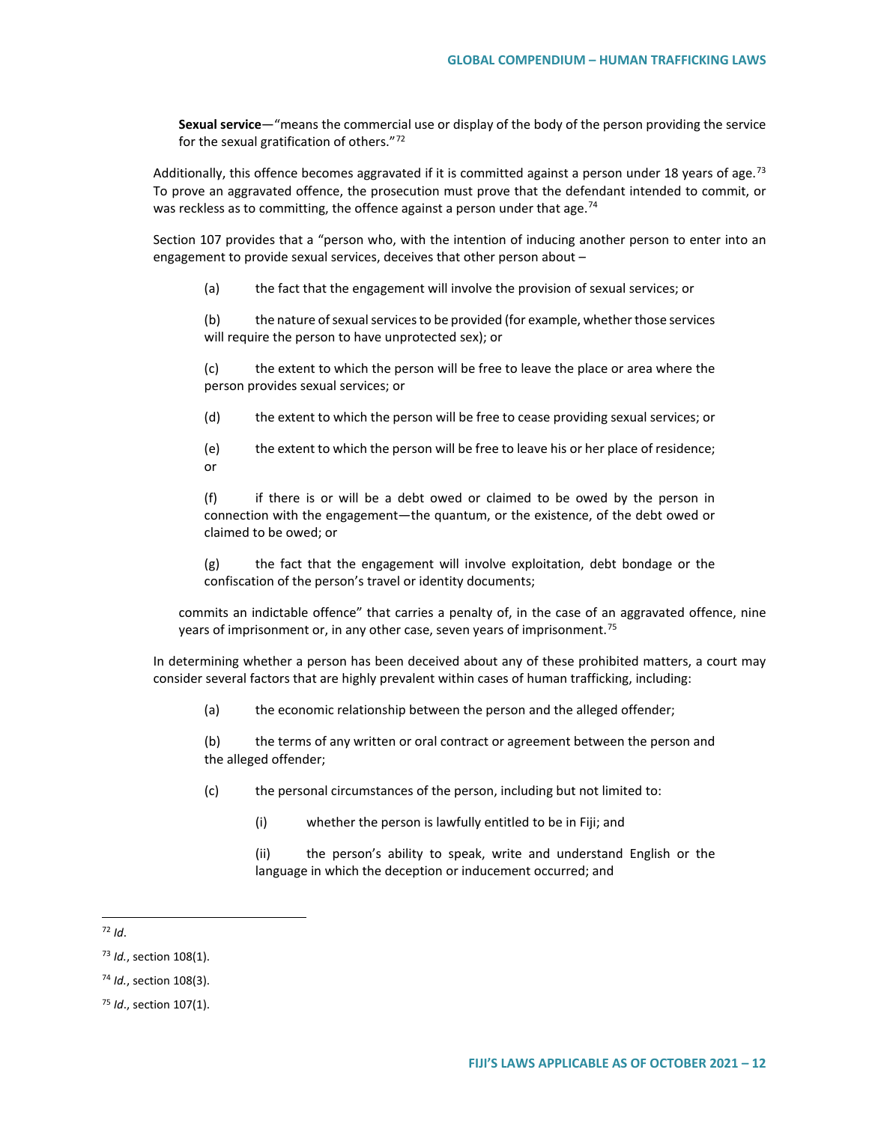**Sexual service**—"means the commercial use or display of the body of the person providing the service for the sexual gratification of others."[72](#page-11-0)

Additionally, this offence becomes aggravated if it is committed against a person under 18 years of age.<sup>[73](#page-11-1)</sup> To prove an aggravated offence, the prosecution must prove that the defendant intended to commit, or was reckless as to committing, the offence against a person under that age.<sup>[74](#page-11-2)</sup>

Section 107 provides that a "person who, with the intention of inducing another person to enter into an engagement to provide sexual services, deceives that other person about –

(a) the fact that the engagement will involve the provision of sexual services; or

(b) the nature of sexual services to be provided (for example, whether those services will require the person to have unprotected sex); or

(c) the extent to which the person will be free to leave the place or area where the person provides sexual services; or

(d) the extent to which the person will be free to cease providing sexual services; or

(e) the extent to which the person will be free to leave his or her place of residence; or

(f) if there is or will be a debt owed or claimed to be owed by the person in connection with the engagement—the quantum, or the existence, of the debt owed or claimed to be owed; or

(g) the fact that the engagement will involve exploitation, debt bondage or the confiscation of the person's travel or identity documents;

commits an indictable offence" that carries a penalty of, in the case of an aggravated offence, nine years of imprisonment or, in any other case, seven years of imprisonment.<sup>[75](#page-11-3)</sup>

In determining whether a person has been deceived about any of these prohibited matters, a court may consider several factors that are highly prevalent within cases of human trafficking, including:

(a) the economic relationship between the person and the alleged offender;

(b) the terms of any written or oral contract or agreement between the person and the alleged offender;

(c) the personal circumstances of the person, including but not limited to:

(i) whether the person is lawfully entitled to be in Fiji; and

(ii) the person's ability to speak, write and understand English or the language in which the deception or inducement occurred; and

<span id="page-11-0"></span> <sup>72</sup> *Id*.

<span id="page-11-1"></span><sup>73</sup> *Id.*, section 108(1).

<span id="page-11-2"></span><sup>74</sup> *Id.*, section 108(3).

<span id="page-11-3"></span><sup>75</sup> *Id*., section 107(1).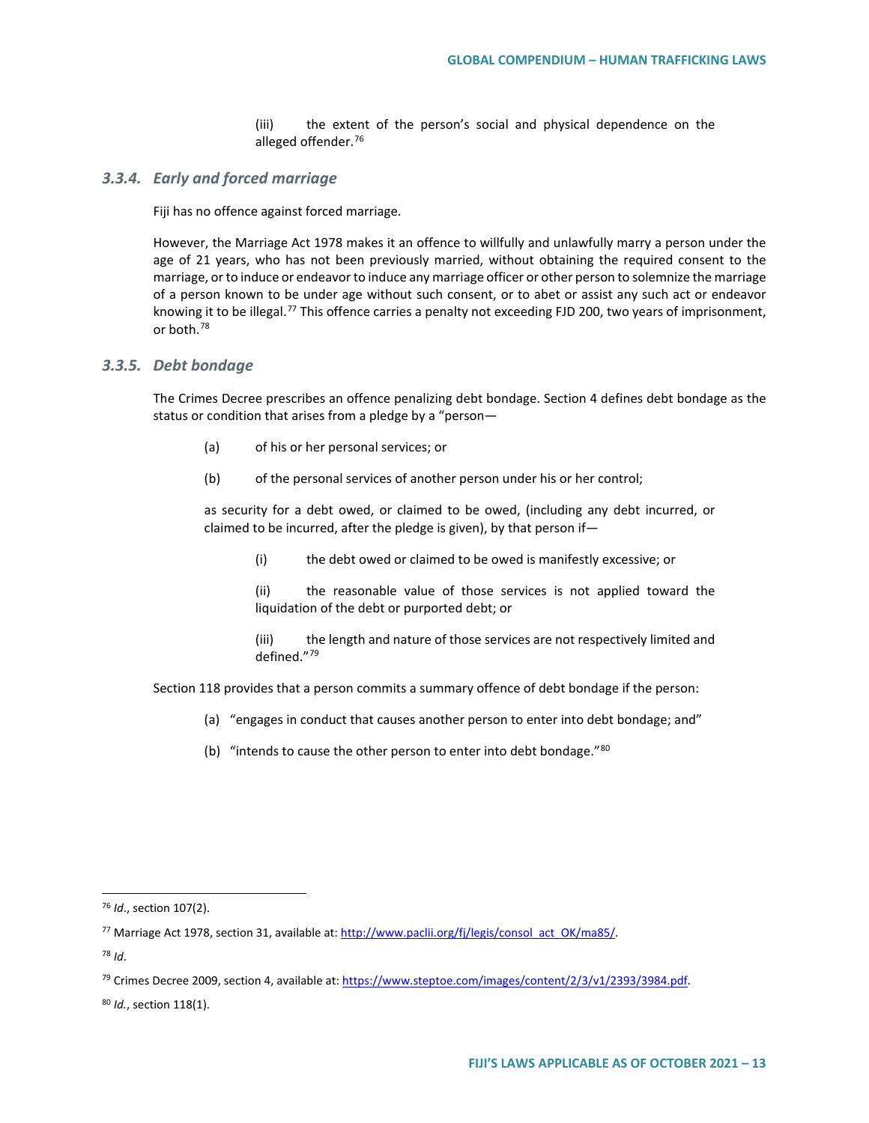(iii) the extent of the person's social and physical dependence on the alleged offender.<sup>[76](#page-12-0)</sup>

#### *3.3.4. Early and forced marriage*

Fiji has no offence against forced marriage.

However, the Marriage Act 1978 makes it an offence to willfully and unlawfully marry a person under the age of 21 years, who has not been previously married, without obtaining the required consent to the marriage, or to induce or endeavor to induce any marriage officer or other person to solemnize the marriage of a person known to be under age without such consent, or to abet or assist any such act or endeavor knowing it to be illegal.<sup>[77](#page-12-1)</sup> This offence carries a penalty not exceeding FJD 200, two years of imprisonment, or both.[78](#page-12-2)

### *3.3.5. Debt bondage*

The Crimes Decree prescribes an offence penalizing debt bondage. Section 4 defines debt bondage as the status or condition that arises from a pledge by a "person—

- (a) of his or her personal services; or
- (b) of the personal services of another person under his or her control;

as security for a debt owed, or claimed to be owed, (including any debt incurred, or claimed to be incurred, after the pledge is given), by that person if—

(i) the debt owed or claimed to be owed is manifestly excessive; or

(ii) the reasonable value of those services is not applied toward the liquidation of the debt or purported debt; or

(iii) the length and nature of those services are not respectively limited and defined."[79](#page-12-3)

Section 118 provides that a person commits a summary offence of debt bondage if the person:

- (a) "engages in conduct that causes another person to enter into debt bondage; and"
- (b) "intends to cause the other person to enter into debt bondage."<sup>[80](#page-12-4)</sup>

<span id="page-12-0"></span> <sup>76</sup> *Id*., section 107(2).

<span id="page-12-1"></span><sup>77</sup> Marriage Act 1978, section 31, available at[: http://www.paclii.org/fj/legis/consol\\_act\\_OK/ma85/.](http://www.paclii.org/fj/legis/consol_act_OK/ma85/) 

<span id="page-12-2"></span><sup>78</sup> *Id*.

<span id="page-12-3"></span><sup>79</sup> Crimes Decree 2009, section 4, available at[: https://www.steptoe.com/images/content/2/3/v1/2393/3984.pdf.](https://www.steptoe.com/images/content/2/3/v1/2393/3984.pdf)

<span id="page-12-4"></span><sup>80</sup> *Id.*, section 118(1).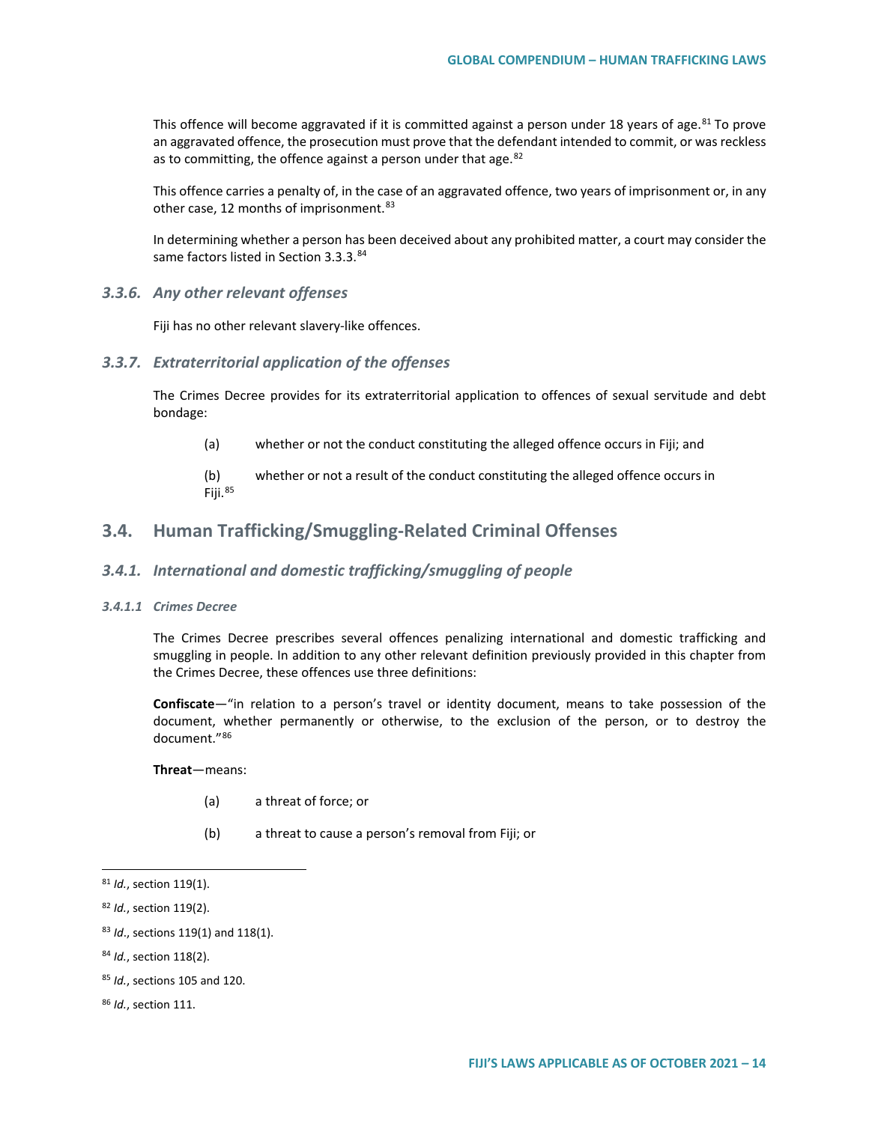This offence will become aggravated if it is committed against a person under 18 years of age.<sup>[81](#page-13-0)</sup> To prove an aggravated offence, the prosecution must prove that the defendant intended to commit, or was reckless as to committing, the offence against a person under that age. $82$ 

This offence carries a penalty of, in the case of an aggravated offence, two years of imprisonment or, in any other case, 12 months of imprisonment.<sup>[83](#page-13-2)</sup>

In determining whether a person has been deceived about any prohibited matter, a court may consider the same factors listed in Section 3.3.3.[84](#page-13-3)

### *3.3.6. Any other relevant offenses*

Fiji has no other relevant slavery-like offences.

#### *3.3.7. Extraterritorial application of the offenses*

The Crimes Decree provides for its extraterritorial application to offences of sexual servitude and debt bondage:

- (a) whether or not the conduct constituting the alleged offence occurs in Fiji; and
- (b) whether or not a result of the conduct constituting the alleged offence occurs in Fiji.[85](#page-13-4)

# **3.4. Human Trafficking/Smuggling-Related Criminal Offenses**

### *3.4.1. International and domestic trafficking/smuggling of people*

#### *3.4.1.1 Crimes Decree*

The Crimes Decree prescribes several offences penalizing international and domestic trafficking and smuggling in people. In addition to any other relevant definition previously provided in this chapter from the Crimes Decree, these offences use three definitions:

**Confiscate**—"in relation to a person's travel or identity document, means to take possession of the document, whether permanently or otherwise, to the exclusion of the person, or to destroy the document."[86](#page-13-5)

**Threat**—means:

- (a) a threat of force; or
- (b) a threat to cause a person's removal from Fiji; or

<span id="page-13-0"></span> <sup>81</sup> *Id.*, section 119(1).

<span id="page-13-1"></span><sup>82</sup> *Id.*, section 119(2).

<span id="page-13-2"></span><sup>83</sup> *Id*., sections 119(1) and 118(1).

<span id="page-13-3"></span><sup>84</sup> *Id.*, section 118(2).

<span id="page-13-4"></span><sup>85</sup> *Id.*, sections 105 and 120.

<span id="page-13-5"></span><sup>86</sup> *Id.*, section 111.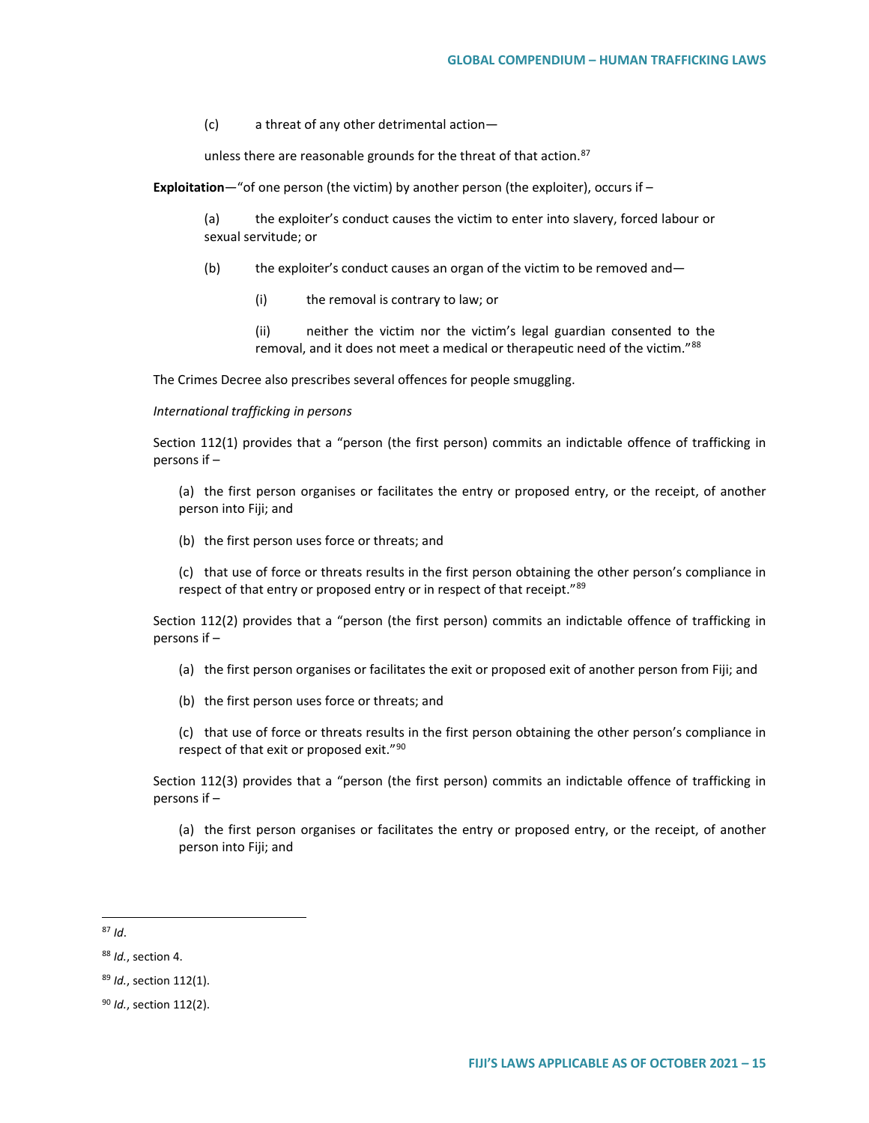(c) a threat of any other detrimental action—

unless there are reasonable grounds for the threat of that action. $87$ 

**Exploitation**—"of one person (the victim) by another person (the exploiter), occurs if –

(a) the exploiter's conduct causes the victim to enter into slavery, forced labour or sexual servitude; or

- (b) the exploiter's conduct causes an organ of the victim to be removed and—
	- (i) the removal is contrary to law; or

(ii) neither the victim nor the victim's legal guardian consented to the removal, and it does not meet a medical or therapeutic need of the victim."[88](#page-14-1)

The Crimes Decree also prescribes several offences for people smuggling.

#### *International trafficking in persons*

Section 112(1) provides that a "person (the first person) commits an indictable offence of trafficking in persons if –

(a) the first person organises or facilitates the entry or proposed entry, or the receipt, of another person into Fiji; and

(b) the first person uses force or threats; and

(c) that use of force or threats results in the first person obtaining the other person's compliance in respect of that entry or proposed entry or in respect of that receipt."<sup>[89](#page-14-2)</sup>

Section 112(2) provides that a "person (the first person) commits an indictable offence of trafficking in persons if –

- (a) the first person organises or facilitates the exit or proposed exit of another person from Fiji; and
- (b) the first person uses force or threats; and

(c) that use of force or threats results in the first person obtaining the other person's compliance in respect of that exit or proposed exit."<sup>[90](#page-14-3)</sup>

Section 112(3) provides that a "person (the first person) commits an indictable offence of trafficking in persons if –

(a) the first person organises or facilitates the entry or proposed entry, or the receipt, of another person into Fiji; and

<span id="page-14-0"></span> $87$  *Id.* 

<span id="page-14-1"></span><sup>88</sup> *Id.*, section 4.

<span id="page-14-2"></span><sup>89</sup> *Id.*, section 112(1).

<span id="page-14-3"></span><sup>90</sup> *Id.*, section 112(2).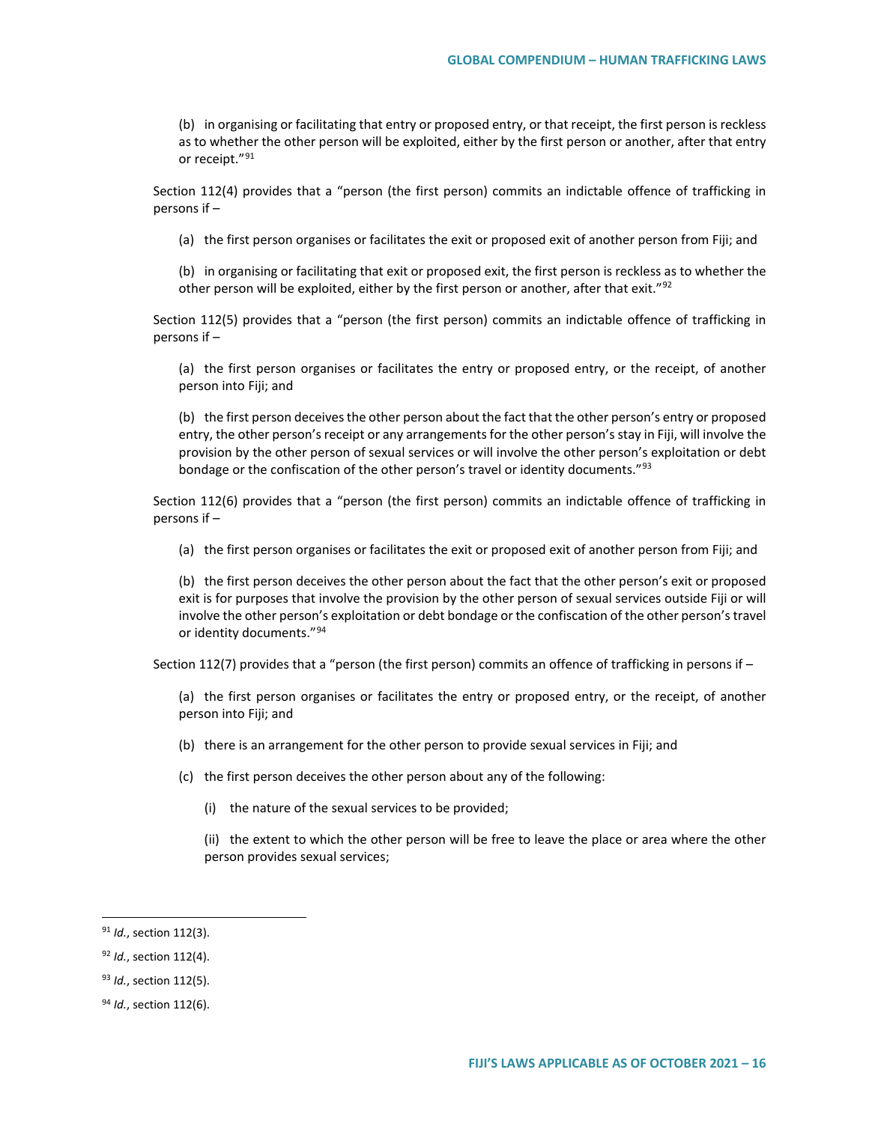(b) in organising or facilitating that entry or proposed entry, or that receipt, the first person is reckless as to whether the other person will be exploited, either by the first person or another, after that entry or receipt."[91](#page-15-0)

Section 112(4) provides that a "person (the first person) commits an indictable offence of trafficking in persons if –

(a) the first person organises or facilitates the exit or proposed exit of another person from Fiji; and

(b) in organising or facilitating that exit or proposed exit, the first person is reckless as to whether the other person will be exploited, either by the first person or another, after that exit."<sup>[92](#page-15-1)</sup>

Section 112(5) provides that a "person (the first person) commits an indictable offence of trafficking in persons if –

(a) the first person organises or facilitates the entry or proposed entry, or the receipt, of another person into Fiji; and

(b) the first person deceives the other person about the fact that the other person's entry or proposed entry, the other person's receipt or any arrangements for the other person's stay in Fiji, will involve the provision by the other person of sexual services or will involve the other person's exploitation or debt bondage or the confiscation of the other person's travel or identity documents."<sup>[93](#page-15-2)</sup>

Section 112(6) provides that a "person (the first person) commits an indictable offence of trafficking in persons if –

(a) the first person organises or facilitates the exit or proposed exit of another person from Fiji; and

(b) the first person deceives the other person about the fact that the other person's exit or proposed exit is for purposes that involve the provision by the other person of sexual services outside Fiji or will involve the other person's exploitation or debt bondage or the confiscation of the other person's travel or identity documents."<sup>[94](#page-15-3)</sup>

Section 112(7) provides that a "person (the first person) commits an offence of trafficking in persons if –

(a) the first person organises or facilitates the entry or proposed entry, or the receipt, of another person into Fiji; and

- (b) there is an arrangement for the other person to provide sexual services in Fiji; and
- (c) the first person deceives the other person about any of the following:
	- (i) the nature of the sexual services to be provided;

(ii) the extent to which the other person will be free to leave the place or area where the other person provides sexual services;

<span id="page-15-0"></span> <sup>91</sup> *Id.*, section 112(3).

<span id="page-15-1"></span><sup>92</sup> *Id.*, section 112(4).

<span id="page-15-2"></span><sup>93</sup> *Id.*, section 112(5).

<span id="page-15-3"></span><sup>94</sup> *Id.*, section 112(6).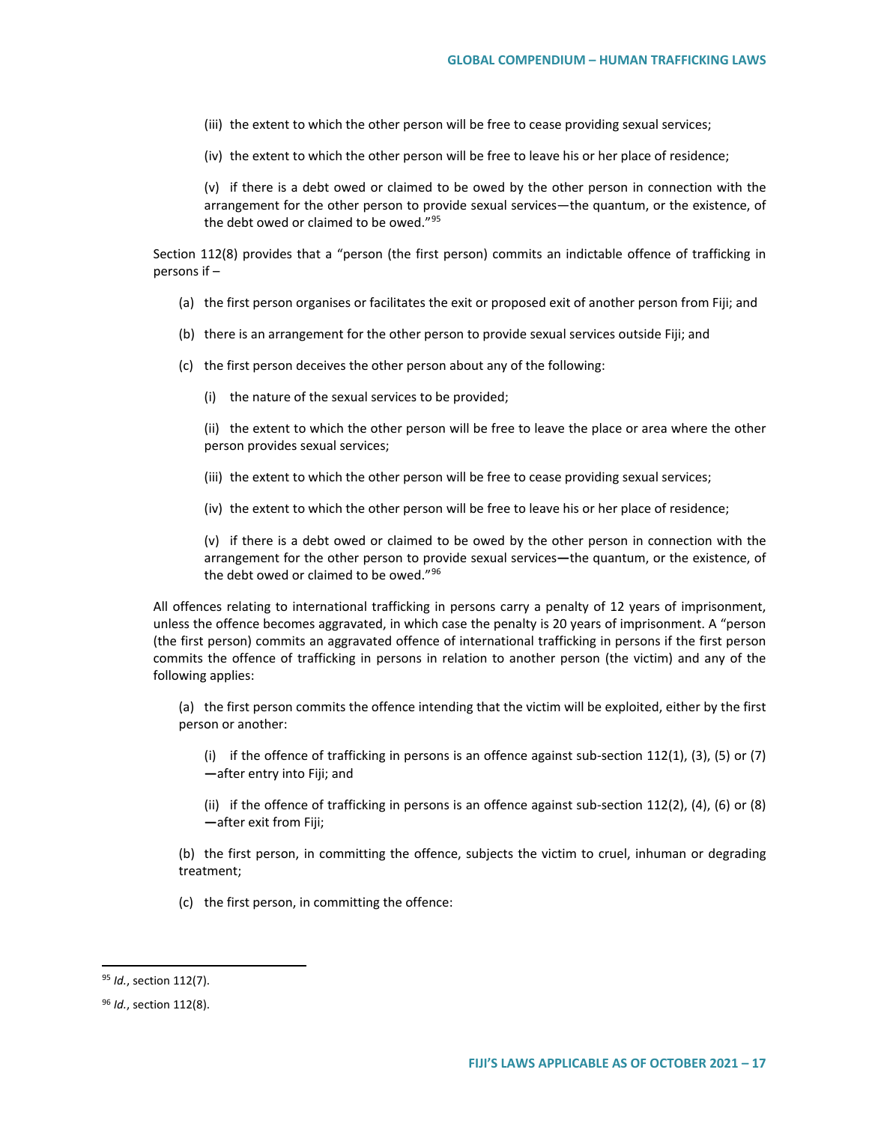(iii) the extent to which the other person will be free to cease providing sexual services;

(iv) the extent to which the other person will be free to leave his or her place of residence;

(v) if there is a debt owed or claimed to be owed by the other person in connection with the arrangement for the other person to provide sexual services—the quantum, or the existence, of the debt owed or claimed to be owed."[95](#page-16-0)

Section 112(8) provides that a "person (the first person) commits an indictable offence of trafficking in persons if –

- (a) the first person organises or facilitates the exit or proposed exit of another person from Fiji; and
- (b) there is an arrangement for the other person to provide sexual services outside Fiji; and
- (c) the first person deceives the other person about any of the following:
	- (i) the nature of the sexual services to be provided;

(ii) the extent to which the other person will be free to leave the place or area where the other person provides sexual services;

(iii) the extent to which the other person will be free to cease providing sexual services;

(iv) the extent to which the other person will be free to leave his or her place of residence;

(v) if there is a debt owed or claimed to be owed by the other person in connection with the arrangement for the other person to provide sexual services**—**the quantum, or the existence, of the debt owed or claimed to be owed."[96](#page-16-1)

All offences relating to international trafficking in persons carry a penalty of 12 years of imprisonment, unless the offence becomes aggravated, in which case the penalty is 20 years of imprisonment. A "person (the first person) commits an aggravated offence of international trafficking in persons if the first person commits the offence of trafficking in persons in relation to another person (the victim) and any of the following applies:

(a) the first person commits the offence intending that the victim will be exploited, either by the first person or another:

(i) if the offence of trafficking in persons is an offence against sub-section 112(1), (3), (5) or (7) **—**after entry into Fiji; and

(ii) if the offence of trafficking in persons is an offence against sub-section 112(2), (4), (6) or (8) **—**after exit from Fiji;

(b) the first person, in committing the offence, subjects the victim to cruel, inhuman or degrading treatment;

(c) the first person, in committing the offence:

<span id="page-16-0"></span> <sup>95</sup> *Id.*, section 112(7).

<span id="page-16-1"></span><sup>96</sup> *Id.*, section 112(8).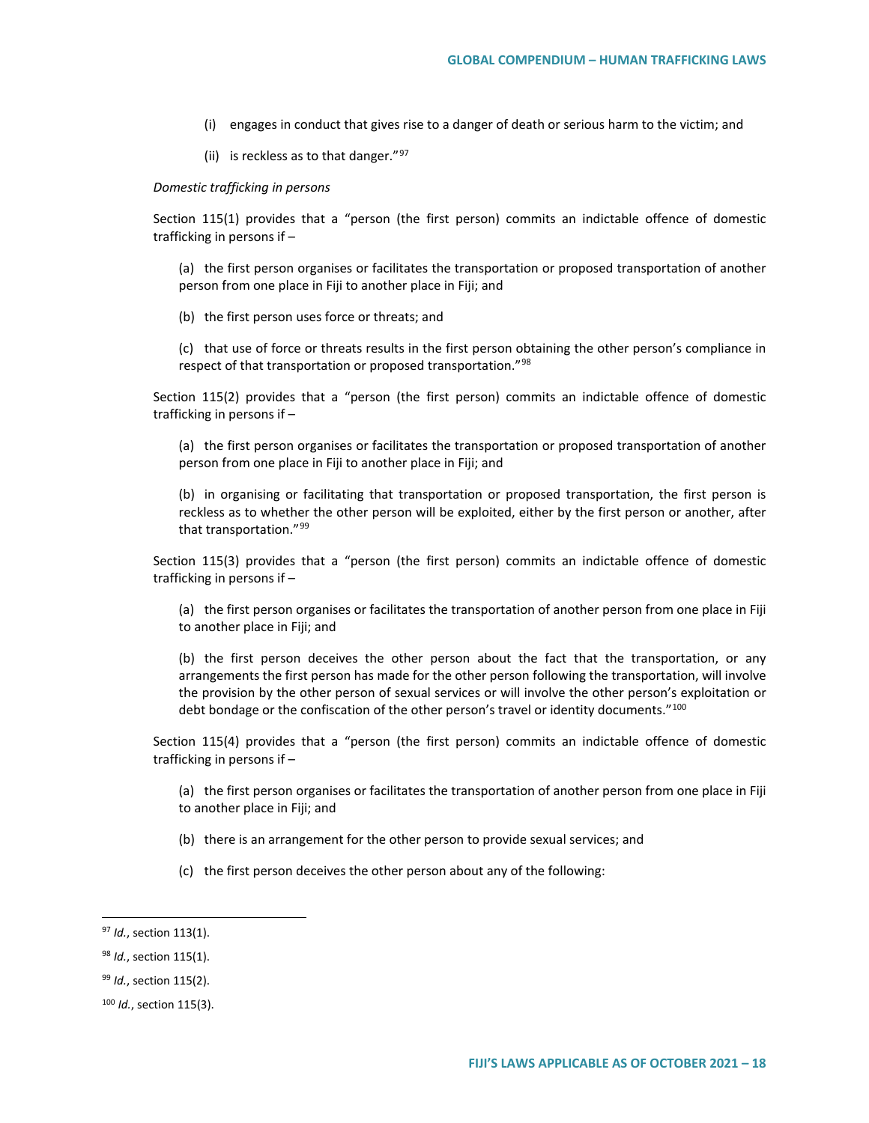- (i) engages in conduct that gives rise to a danger of death or serious harm to the victim; and
- (ii) is reckless as to that danger." $97$

#### *Domestic trafficking in persons*

Section 115(1) provides that a "person (the first person) commits an indictable offence of domestic trafficking in persons if –

(a) the first person organises or facilitates the transportation or proposed transportation of another person from one place in Fiji to another place in Fiji; and

(b) the first person uses force or threats; and

(c) that use of force or threats results in the first person obtaining the other person's compliance in respect of that transportation or proposed transportation."<sup>[98](#page-17-1)</sup>

Section 115(2) provides that a "person (the first person) commits an indictable offence of domestic trafficking in persons if –

(a) the first person organises or facilitates the transportation or proposed transportation of another person from one place in Fiji to another place in Fiji; and

(b) in organising or facilitating that transportation or proposed transportation, the first person is reckless as to whether the other person will be exploited, either by the first person or another, after that transportation."<sup>[99](#page-17-2)</sup>

Section 115(3) provides that a "person (the first person) commits an indictable offence of domestic trafficking in persons if –

(a) the first person organises or facilitates the transportation of another person from one place in Fiji to another place in Fiji; and

(b) the first person deceives the other person about the fact that the transportation, or any arrangements the first person has made for the other person following the transportation, will involve the provision by the other person of sexual services or will involve the other person's exploitation or debt bondage or the confiscation of the other person's travel or identity documents."<sup>[100](#page-17-3)</sup>

Section 115(4) provides that a "person (the first person) commits an indictable offence of domestic trafficking in persons if –

(a) the first person organises or facilitates the transportation of another person from one place in Fiji to another place in Fiji; and

- (b) there is an arrangement for the other person to provide sexual services; and
- (c) the first person deceives the other person about any of the following:

<span id="page-17-0"></span> <sup>97</sup> *Id.*, section 113(1).

<span id="page-17-1"></span><sup>98</sup> *Id.*, section 115(1).

<span id="page-17-2"></span><sup>99</sup> *Id.*, section 115(2).

<span id="page-17-3"></span><sup>100</sup> *Id.*, section 115(3).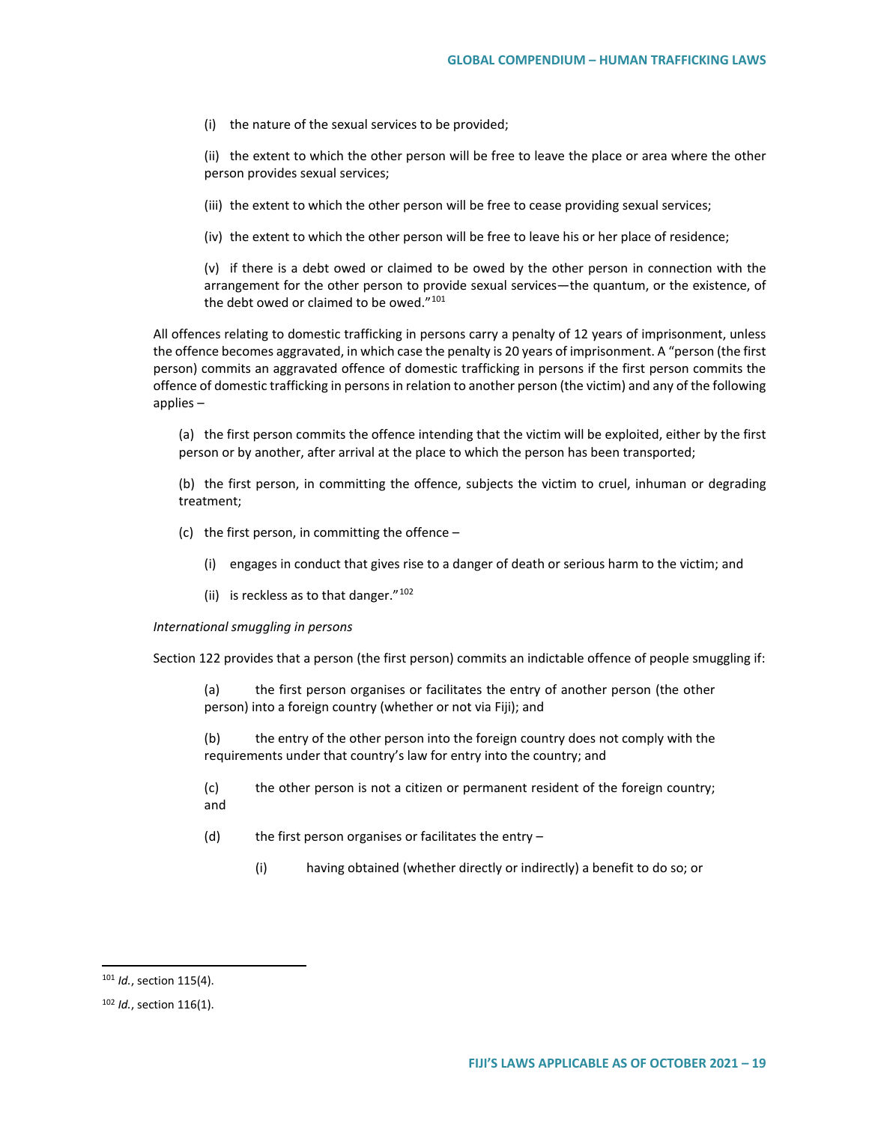(i) the nature of the sexual services to be provided;

(ii) the extent to which the other person will be free to leave the place or area where the other person provides sexual services;

- (iii) the extent to which the other person will be free to cease providing sexual services;
- (iv) the extent to which the other person will be free to leave his or her place of residence;

(v) if there is a debt owed or claimed to be owed by the other person in connection with the arrangement for the other person to provide sexual services—the quantum, or the existence, of the debt owed or claimed to be owed."<sup>[101](#page-18-0)</sup>

All offences relating to domestic trafficking in persons carry a penalty of 12 years of imprisonment, unless the offence becomes aggravated, in which case the penalty is 20 years of imprisonment. A "person (the first person) commits an aggravated offence of domestic trafficking in persons if the first person commits the offence of domestic trafficking in persons in relation to another person (the victim) and any of the following applies –

(a) the first person commits the offence intending that the victim will be exploited, either by the first person or by another, after arrival at the place to which the person has been transported;

(b) the first person, in committing the offence, subjects the victim to cruel, inhuman or degrading treatment;

- (c) the first person, in committing the offence
	- (i) engages in conduct that gives rise to a danger of death or serious harm to the victim; and
	- (ii) is reckless as to that danger." $102$

#### *International smuggling in persons*

Section 122 provides that a person (the first person) commits an indictable offence of people smuggling if:

(a) the first person organises or facilitates the entry of another person (the other person) into a foreign country (whether or not via Fiji); and

(b) the entry of the other person into the foreign country does not comply with the requirements under that country's law for entry into the country; and

(c) the other person is not a citizen or permanent resident of the foreign country; and

- (d) the first person organises or facilitates the entry
	- (i) having obtained (whether directly or indirectly) a benefit to do so; or

<span id="page-18-0"></span> <sup>101</sup> *Id.*, section 115(4).

<span id="page-18-1"></span><sup>102</sup> *Id.*, section 116(1).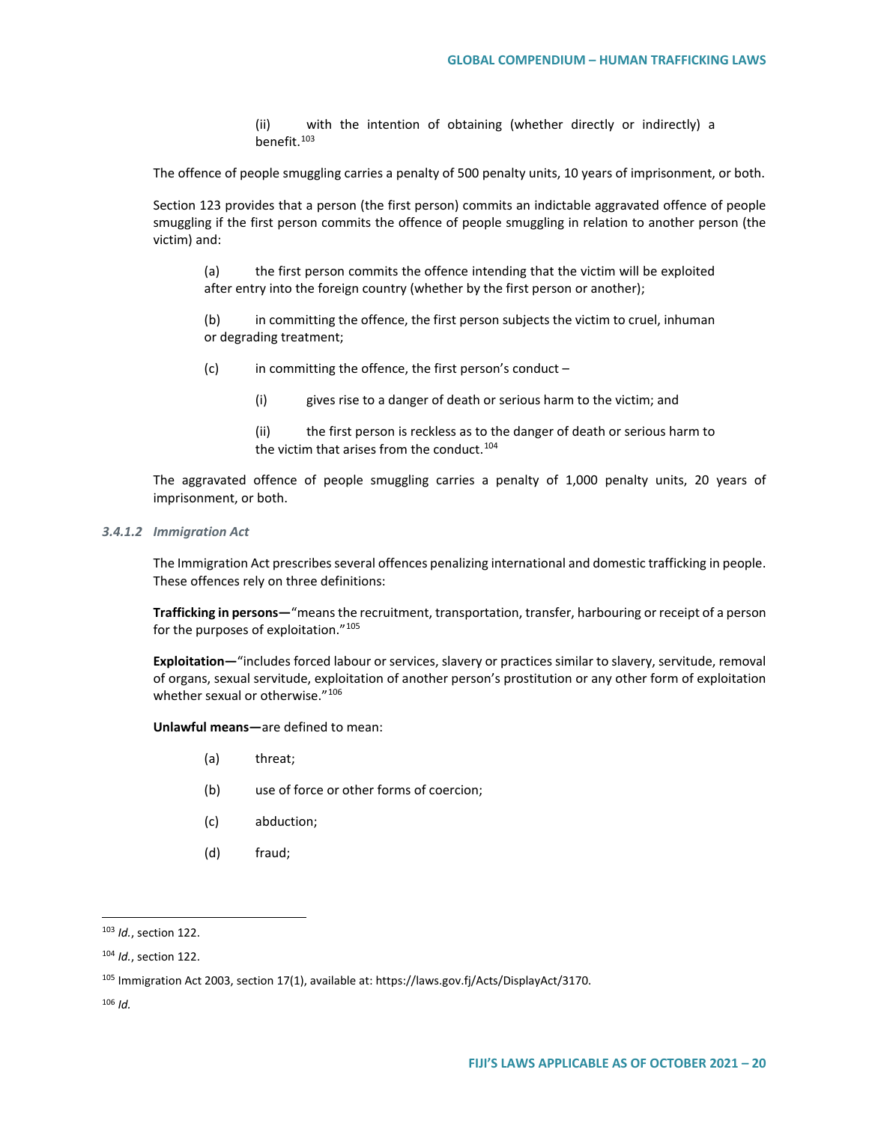(ii) with the intention of obtaining (whether directly or indirectly) a benefit.[103](#page-19-0)

The offence of people smuggling carries a penalty of 500 penalty units, 10 years of imprisonment, or both.

Section 123 provides that a person (the first person) commits an indictable aggravated offence of people smuggling if the first person commits the offence of people smuggling in relation to another person (the victim) and:

(a) the first person commits the offence intending that the victim will be exploited after entry into the foreign country (whether by the first person or another);

(b) in committing the offence, the first person subjects the victim to cruel, inhuman or degrading treatment;

 $(c)$  in committing the offence, the first person's conduct –

(i) gives rise to a danger of death or serious harm to the victim; and

The aggravated offence of people smuggling carries a penalty of 1,000 penalty units, 20 years of imprisonment, or both.

*3.4.1.2 Immigration Act*

The Immigration Act prescribes several offences penalizing international and domestic trafficking in people. These offences rely on three definitions:

**Trafficking in persons—**"means the recruitment, transportation, transfer, harbouring or receipt of a person for the purposes of exploitation."<sup>[105](#page-19-2)</sup>

**Exploitation—**"includes forced labour or services, slavery or practices similar to slavery, servitude, removal of organs, sexual servitude, exploitation of another person's prostitution or any other form of exploitation whether sexual or otherwise."[106](#page-19-3)

**Unlawful means—**are defined to mean:

- (a) threat;
- (b) use of force or other forms of coercion;
- (c) abduction;
- (d) fraud;

<sup>(</sup>ii) the first person is reckless as to the danger of death or serious harm to the victim that arises from the conduct.<sup>[104](#page-19-1)</sup>

<span id="page-19-0"></span> <sup>103</sup> *Id.*, section 122.

<span id="page-19-1"></span><sup>104</sup> *Id.*, section 122.

<span id="page-19-2"></span><sup>105</sup> Immigration Act 2003, section 17(1), available at: https://laws.gov.fj/Acts/DisplayAct/3170.

<span id="page-19-3"></span><sup>106</sup> *Id.*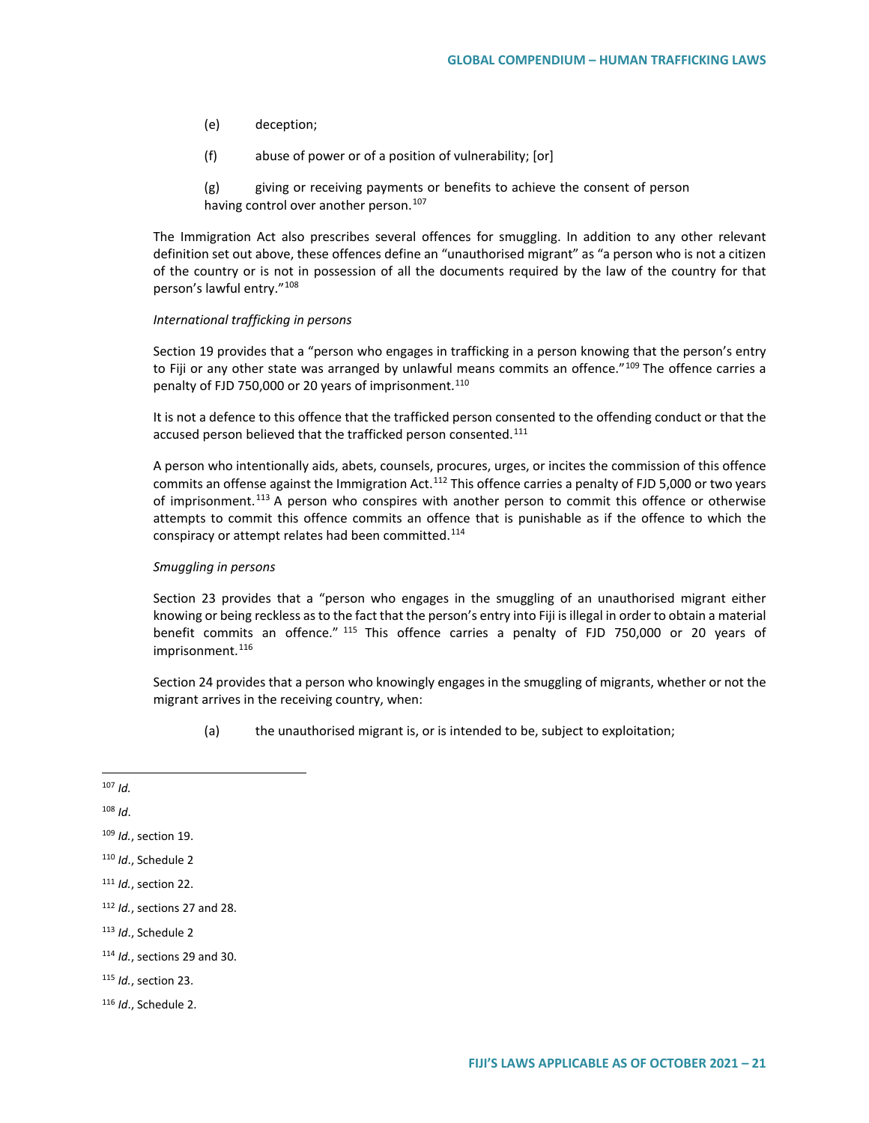- (e) deception;
- (f) abuse of power or of a position of vulnerability; [or]

(g) giving or receiving payments or benefits to achieve the consent of person having control over another person.<sup>[107](#page-20-0)</sup>

The Immigration Act also prescribes several offences for smuggling. In addition to any other relevant definition set out above, these offences define an "unauthorised migrant" as "a person who is not a citizen of the country or is not in possession of all the documents required by the law of the country for that person's lawful entry."[108](#page-20-1)

#### *International trafficking in persons*

Section 19 provides that a "person who engages in trafficking in a person knowing that the person's entry to Fiji or any other state was arranged by unlawful means commits an offence."<sup>[109](#page-20-2)</sup> The offence carries a penalty of FJD 750,000 or 20 years of imprisonment.<sup>[110](#page-20-3)</sup>

It is not a defence to this offence that the trafficked person consented to the offending conduct or that the accused person believed that the trafficked person consented.<sup>[111](#page-20-4)</sup>

A person who intentionally aids, abets, counsels, procures, urges, or incites the commission of this offence commits an offense against the Immigration Act.<sup>[112](#page-20-5)</sup> This offence carries a penalty of FJD 5,000 or two years of imprisonment.<sup>[113](#page-20-6)</sup> A person who conspires with another person to commit this offence or otherwise attempts to commit this offence commits an offence that is punishable as if the offence to which the conspiracy or attempt relates had been committed.<sup>[114](#page-20-7)</sup>

#### *Smuggling in persons*

Section 23 provides that a "person who engages in the smuggling of an unauthorised migrant either knowing or being reckless as to the fact that the person's entry into Fiji is illegal in order to obtain a material benefit commits an offence." [115](#page-20-8) This offence carries a penalty of FJD 750,000 or 20 years of imprisonment.<sup>[116](#page-20-9)</sup>

Section 24 provides that a person who knowingly engages in the smuggling of migrants, whether or not the migrant arrives in the receiving country, when:

(a) the unauthorised migrant is, or is intended to be, subject to exploitation;

<span id="page-20-1"></span><sup>108</sup> *Id*.

<span id="page-20-0"></span> <sup>107</sup> *Id.*

<span id="page-20-2"></span><sup>109</sup> *Id.*, section 19.

<span id="page-20-3"></span><sup>110</sup> *Id*., Schedule 2

<span id="page-20-4"></span><sup>111</sup> *Id.*, section 22.

<span id="page-20-5"></span><sup>112</sup> *Id.*, sections 27 and 28.

<span id="page-20-6"></span><sup>113</sup> *Id*., Schedule 2

<span id="page-20-7"></span><sup>114</sup> *Id.*, sections 29 and 30.

<span id="page-20-8"></span><sup>115</sup> *Id.*, section 23.

<span id="page-20-9"></span><sup>116</sup> *Id*., Schedule 2.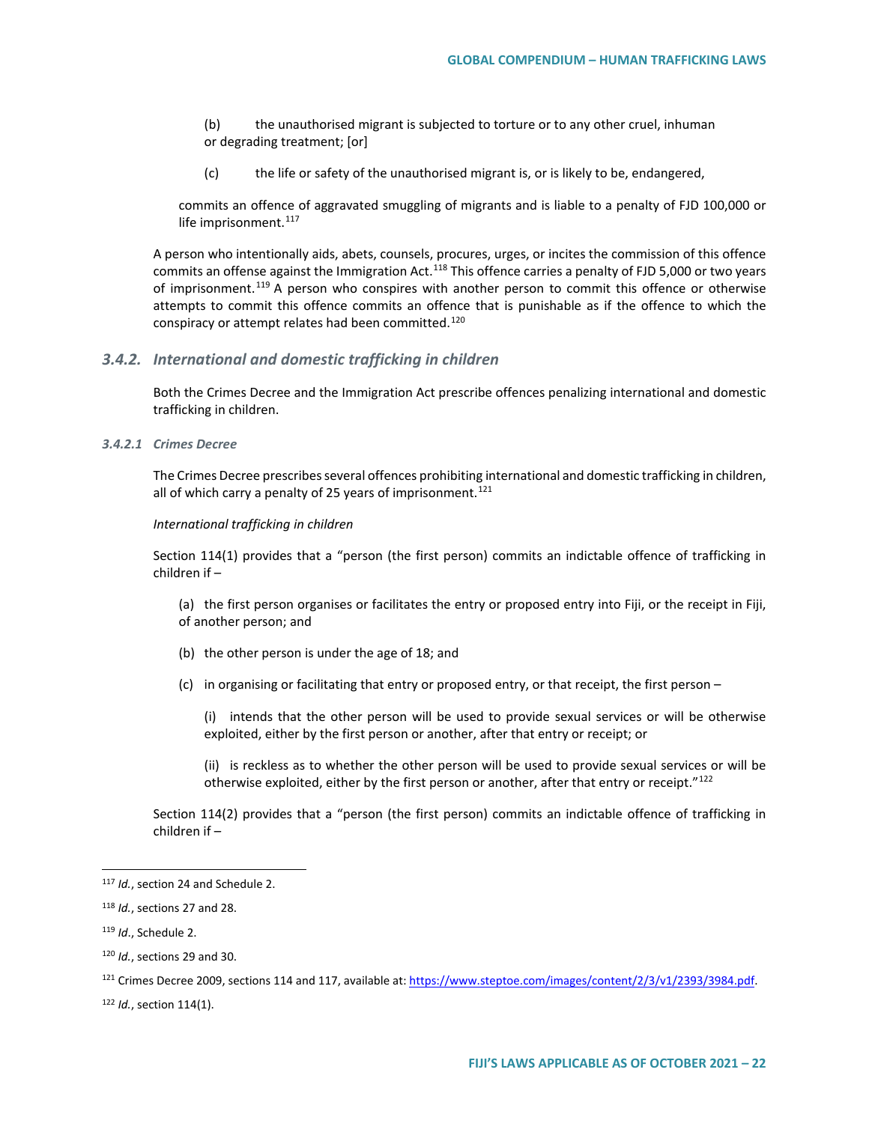(b) the unauthorised migrant is subjected to torture or to any other cruel, inhuman or degrading treatment; [or]

(c) the life or safety of the unauthorised migrant is, or is likely to be, endangered,

commits an offence of aggravated smuggling of migrants and is liable to a penalty of FJD 100,000 or life imprisonment.<sup>[117](#page-21-0)</sup>

A person who intentionally aids, abets, counsels, procures, urges, or incites the commission of this offence commits an offense against the Immigration Act.<sup>[118](#page-21-1)</sup> This offence carries a penalty of FJD 5,000 or two years of imprisonment.<sup>[119](#page-21-2)</sup> A person who conspires with another person to commit this offence or otherwise attempts to commit this offence commits an offence that is punishable as if the offence to which the conspiracy or attempt relates had been committed.<sup>[120](#page-21-3)</sup>

### *3.4.2. International and domestic trafficking in children*

Both the Crimes Decree and the Immigration Act prescribe offences penalizing international and domestic trafficking in children.

#### *3.4.2.1 Crimes Decree*

The Crimes Decree prescribes several offences prohibiting international and domestic trafficking in children, all of which carry a penalty of 25 years of imprisonment.<sup>[121](#page-21-4)</sup>

#### *International trafficking in children*

Section 114(1) provides that a "person (the first person) commits an indictable offence of trafficking in children if –

(a) the first person organises or facilitates the entry or proposed entry into Fiji, or the receipt in Fiji, of another person; and

- (b) the other person is under the age of 18; and
- (c) in organising or facilitating that entry or proposed entry, or that receipt, the first person –

(i) intends that the other person will be used to provide sexual services or will be otherwise exploited, either by the first person or another, after that entry or receipt; or

(ii) is reckless as to whether the other person will be used to provide sexual services or will be otherwise exploited, either by the first person or another, after that entry or receipt."[122](#page-21-5)

Section 114(2) provides that a "person (the first person) commits an indictable offence of trafficking in children if –

<span id="page-21-2"></span><sup>119</sup> *Id*., Schedule 2.

<span id="page-21-5"></span><sup>122</sup> *Id.*, section 114(1).

<span id="page-21-0"></span> <sup>117</sup> *Id.*, section 24 and Schedule 2.

<span id="page-21-1"></span><sup>118</sup> *Id.*, sections 27 and 28.

<span id="page-21-3"></span><sup>120</sup> *Id.*, sections 29 and 30.

<span id="page-21-4"></span><sup>&</sup>lt;sup>121</sup> Crimes Decree 2009, sections 114 and 117, available at[: https://www.steptoe.com/images/content/2/3/v1/2393/3984.pdf.](https://www.steptoe.com/images/content/2/3/v1/2393/3984.pdf)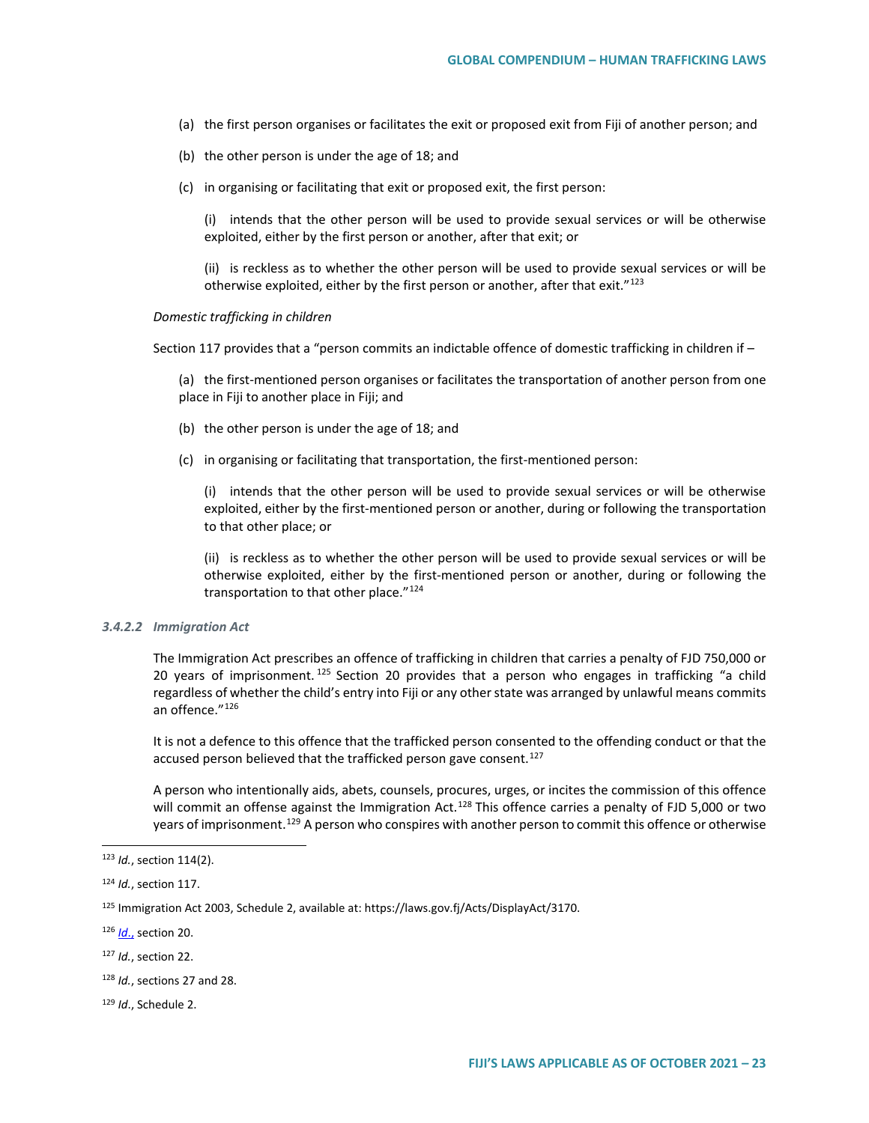- (a) the first person organises or facilitates the exit or proposed exit from Fiji of another person; and
- (b) the other person is under the age of 18; and
- (c) in organising or facilitating that exit or proposed exit, the first person:

(i) intends that the other person will be used to provide sexual services or will be otherwise exploited, either by the first person or another, after that exit; or

(ii) is reckless as to whether the other person will be used to provide sexual services or will be otherwise exploited, either by the first person or another, after that exit."[123](#page-22-0)

#### *Domestic trafficking in children*

Section 117 provides that a "person commits an indictable offence of domestic trafficking in children if –

(a) the first-mentioned person organises or facilitates the transportation of another person from one place in Fiji to another place in Fiji; and

- (b) the other person is under the age of 18; and
- (c) in organising or facilitating that transportation, the first-mentioned person:

(i) intends that the other person will be used to provide sexual services or will be otherwise exploited, either by the first-mentioned person or another, during or following the transportation to that other place; or

(ii) is reckless as to whether the other person will be used to provide sexual services or will be otherwise exploited, either by the first-mentioned person or another, during or following the transportation to that other place."<sup>[124](#page-22-1)</sup>

#### *3.4.2.2 Immigration Act*

The Immigration Act prescribes an offence of trafficking in children that carries a penalty of FJD 750,000 or 20 years of imprisonment.  $125$  Section 20 provides that a person who engages in trafficking "a child regardless of whether the child's entry into Fiji or any other state was arranged by unlawful means commits an offence."<sup>[126](#page-22-3)</sup>

It is not a defence to this offence that the trafficked person consented to the offending conduct or that the accused person believed that the trafficked person gave consent.<sup>[127](#page-22-4)</sup>

A person who intentionally aids, abets, counsels, procures, urges, or incites the commission of this offence will commit an offense against the Immigration Act.<sup>[128](#page-22-5)</sup> This offence carries a penalty of FJD 5,000 or two years of imprisonment.<sup>[129](#page-22-6)</sup> A person who conspires with another person to commit this offence or otherwise

<span id="page-22-0"></span> <sup>123</sup> *Id.*, section 114(2).

<span id="page-22-1"></span><sup>124</sup> *Id.*, section 117.

<span id="page-22-2"></span><sup>125</sup> Immigration Act 2003, Schedule 2, available at: https://laws.gov.fj/Acts/DisplayAct/3170.

<span id="page-22-3"></span><sup>126</sup> *Id*., section 20.

<span id="page-22-4"></span><sup>127</sup> *Id.*, section 22.

<span id="page-22-5"></span><sup>128</sup> *Id.*, sections 27 and 28.

<span id="page-22-6"></span><sup>129</sup> *Id*., Schedule 2.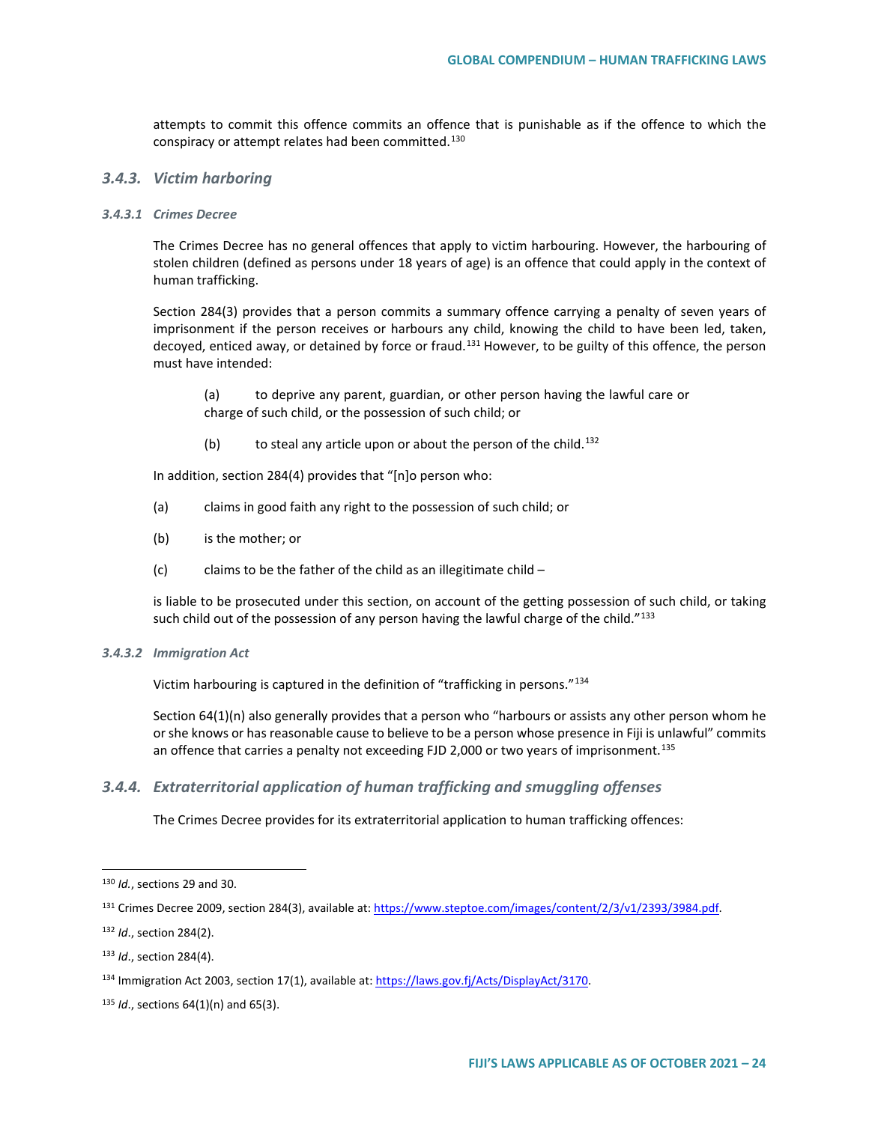attempts to commit this offence commits an offence that is punishable as if the offence to which the conspiracy or attempt relates had been committed.<sup>[130](#page-23-0)</sup>

#### *3.4.3. Victim harboring*

#### *3.4.3.1 Crimes Decree*

The Crimes Decree has no general offences that apply to victim harbouring. However, the harbouring of stolen children (defined as persons under 18 years of age) is an offence that could apply in the context of human trafficking.

Section 284(3) provides that a person commits a summary offence carrying a penalty of seven years of imprisonment if the person receives or harbours any child, knowing the child to have been led, taken, decoyed, enticed away, or detained by force or fraud.<sup>[131](#page-23-1)</sup> However, to be guilty of this offence, the person must have intended:

(a) to deprive any parent, guardian, or other person having the lawful care or charge of such child, or the possession of such child; or

(b) to steal any article upon or about the person of the child.<sup>132</sup>

In addition, section 284(4) provides that "[n]o person who:

- (a) claims in good faith any right to the possession of such child; or
- (b) is the mother; or
- (c) claims to be the father of the child as an illegitimate child  $-$

is liable to be prosecuted under this section, on account of the getting possession of such child, or taking such child out of the possession of any person having the lawful charge of the child."<sup>[133](#page-23-3)</sup>

#### *3.4.3.2 Immigration Act*

Victim harbouring is captured in the definition of "trafficking in persons."[134](#page-23-4)

Section 64(1)(n) also generally provides that a person who "harbours or assists any other person whom he or she knows or has reasonable cause to believe to be a person whose presence in Fiji is unlawful" commits an offence that carries a penalty not exceeding FJD 2,000 or two years of imprisonment.<sup>[135](#page-23-5)</sup>

## *3.4.4. Extraterritorial application of human trafficking and smuggling offenses*

The Crimes Decree provides for its extraterritorial application to human trafficking offences:

<span id="page-23-0"></span> <sup>130</sup> *Id.*, sections 29 and 30.

<span id="page-23-1"></span><sup>131</sup> Crimes Decree 2009, section 284(3), available at[: https://www.steptoe.com/images/content/2/3/v1/2393/3984.pdf.](https://www.steptoe.com/images/content/2/3/v1/2393/3984.pdf)

<span id="page-23-2"></span><sup>132</sup> *Id*., section 284(2).

<span id="page-23-3"></span><sup>133</sup> *Id*., section 284(4).

<span id="page-23-4"></span><sup>134</sup> Immigration Act 2003, section 17(1), available at: [https://laws.gov.fj/Acts/DisplayAct/3170.](https://laws.gov.fj/Acts/DisplayAct/3170)

<span id="page-23-5"></span><sup>135</sup> *Id*., sections 64(1)(n) and 65(3).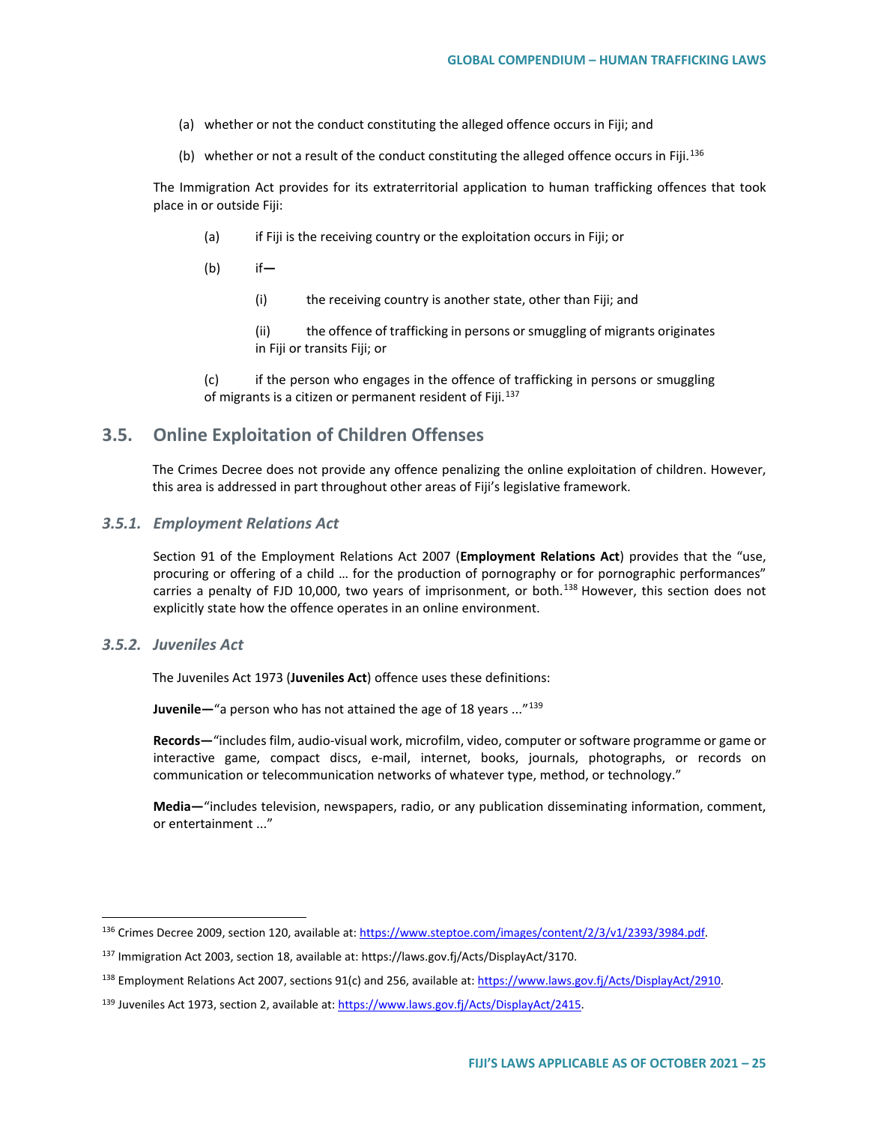- (a) whether or not the conduct constituting the alleged offence occurs in Fiji; and
- (b) whether or not a result of the conduct constituting the alleged offence occurs in Fiji.<sup>[136](#page-24-0)</sup>

The Immigration Act provides for its extraterritorial application to human trafficking offences that took place in or outside Fiji:

- (a) if Fiji is the receiving country or the exploitation occurs in Fiji; or
- (b) if**—**
	- (i) the receiving country is another state, other than Fiji; and
	- (ii) the offence of trafficking in persons or smuggling of migrants originates in Fiji or transits Fiji; or

(c) if the person who engages in the offence of trafficking in persons or smuggling of migrants is a citizen or permanent resident of Fiji. $137$ 

# **3.5. Online Exploitation of Children Offenses**

The Crimes Decree does not provide any offence penalizing the online exploitation of children. However, this area is addressed in part throughout other areas of Fiji's legislative framework.

## *3.5.1. Employment Relations Act*

Section 91 of the Employment Relations Act 2007 (**Employment Relations Act**) provides that the "use, procuring or offering of a child … for the production of pornography or for pornographic performances" carries a penalty of FJD 10,000, two years of imprisonment, or both.<sup>[138](#page-24-2)</sup> However, this section does not explicitly state how the offence operates in an online environment.

#### *3.5.2. Juveniles Act*

The Juveniles Act 1973 (**Juveniles Act**) offence uses these definitions:

**Juvenile—**"a person who has not attained the age of 18 years ..."[139](#page-24-3)

**Records—**"includes film, audio-visual work, microfilm, video, computer or software programme or game or interactive game, compact discs, e-mail, internet, books, journals, photographs, or records on communication or telecommunication networks of whatever type, method, or technology."

**Media—**"includes television, newspapers, radio, or any publication disseminating information, comment, or entertainment ..."

<span id="page-24-0"></span> <sup>136</sup> Crimes Decree 2009, section 120, available at[: https://www.steptoe.com/images/content/2/3/v1/2393/3984.pdf.](https://www.steptoe.com/images/content/2/3/v1/2393/3984.pdf)

<span id="page-24-1"></span><sup>137</sup> Immigration Act 2003, section 18, available at: https://laws.gov.fj/Acts/DisplayAct/3170.

<span id="page-24-2"></span><sup>&</sup>lt;sup>138</sup> Employment Relations Act 2007, sections 91(c) and 256, available at[: https://www.laws.gov.fj/Acts/DisplayAct/2910.](https://www.laws.gov.fj/Acts/DisplayAct/2910)

<span id="page-24-3"></span><sup>139</sup> Juveniles Act 1973, section 2, available at[: https://www.laws.gov.fj/Acts/DisplayAct/2415.](https://www.laws.gov.fj/Acts/DisplayAct/2415)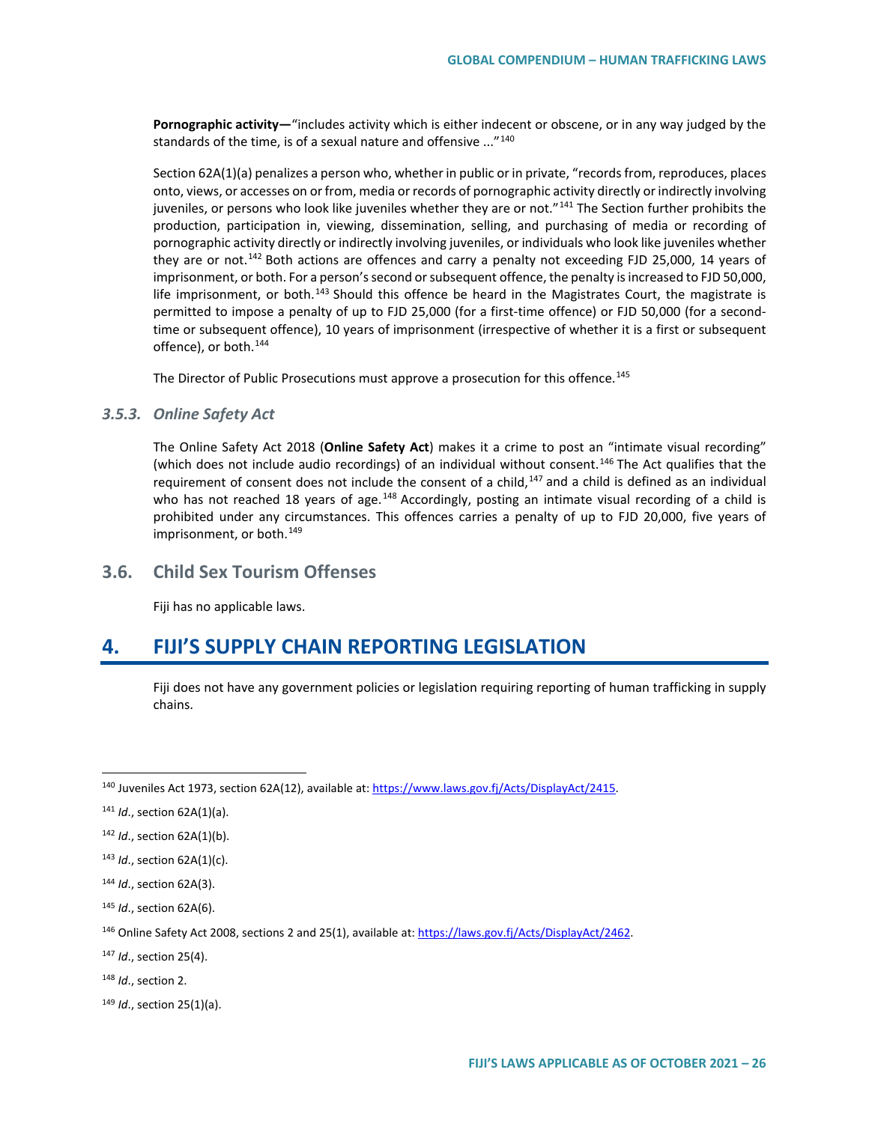**Pornographic activity—**"includes activity which is either indecent or obscene, or in any way judged by the standards of the time, is of a sexual nature and offensive ..."<sup>[140](#page-25-0)</sup>

Section 62A(1)(a) penalizes a person who, whether in public or in private, "records from, reproduces, places onto, views, or accesses on or from, media or records of pornographic activity directly or indirectly involving juveniles, or persons who look like juveniles whether they are or not."<sup>[141](#page-25-1)</sup> The Section further prohibits the production, participation in, viewing, dissemination, selling, and purchasing of media or recording of pornographic activity directly or indirectly involving juveniles, or individuals who look like juveniles whether they are or not.<sup>[142](#page-25-2)</sup> Both actions are offences and carry a penalty not exceeding FJD 25,000, 14 years of imprisonment, or both. For a person's second or subsequent offence, the penalty is increased to FJD 50,000, life imprisonment, or both.<sup>[143](#page-25-3)</sup> Should this offence be heard in the Magistrates Court, the magistrate is permitted to impose a penalty of up to FJD 25,000 (for a first-time offence) or FJD 50,000 (for a secondtime or subsequent offence), 10 years of imprisonment (irrespective of whether it is a first or subsequent offence), or both.<sup>[144](#page-25-4)</sup>

The Director of Public Prosecutions must approve a prosecution for this offence.<sup>[145](#page-25-5)</sup>

#### *3.5.3. Online Safety Act*

The Online Safety Act 2018 (**Online Safety Act**) makes it a crime to post an "intimate visual recording" (which does not include audio recordings) of an individual without consent.<sup>[146](#page-25-6)</sup> The Act qualifies that the requirement of consent does not include the consent of a child, $147$  and a child is defined as an individual who has not reached 18 years of age.<sup>[148](#page-25-8)</sup> Accordingly, posting an intimate visual recording of a child is prohibited under any circumstances. This offences carries a penalty of up to FJD 20,000, five years of imprisonment, or both.<sup>[149](#page-25-9)</sup>

## **3.6. Child Sex Tourism Offenses**

Fiji has no applicable laws.

# **4. FIJI'S SUPPLY CHAIN REPORTING LEGISLATION**

Fiji does not have any government policies or legislation requiring reporting of human trafficking in supply chains.

<span id="page-25-0"></span><sup>&</sup>lt;sup>140</sup> Juveniles Act 1973, section 62A(12), available at[: https://www.laws.gov.fj/Acts/DisplayAct/2415.](https://www.laws.gov.fj/Acts/DisplayAct/2415)

<span id="page-25-1"></span><sup>141</sup> *Id*., section 62A(1)(a).

<span id="page-25-2"></span><sup>142</sup> *Id*., section 62A(1)(b).

<span id="page-25-3"></span><sup>143</sup> *Id*., section 62A(1)(c).

<span id="page-25-4"></span><sup>144</sup> *Id*., section 62A(3).

<span id="page-25-5"></span><sup>145</sup> *Id*., section 62A(6).

<span id="page-25-6"></span><sup>&</sup>lt;sup>146</sup> Online Safety Act 2008, sections 2 and 25(1), available at: https://laws.gov.fj/Acts/DisplayAct/2462.

<span id="page-25-7"></span><sup>147</sup> *Id*., section 25(4).

<span id="page-25-8"></span><sup>148</sup> *Id*., section 2.

<span id="page-25-9"></span><sup>149</sup> *Id*., section 25(1)(a).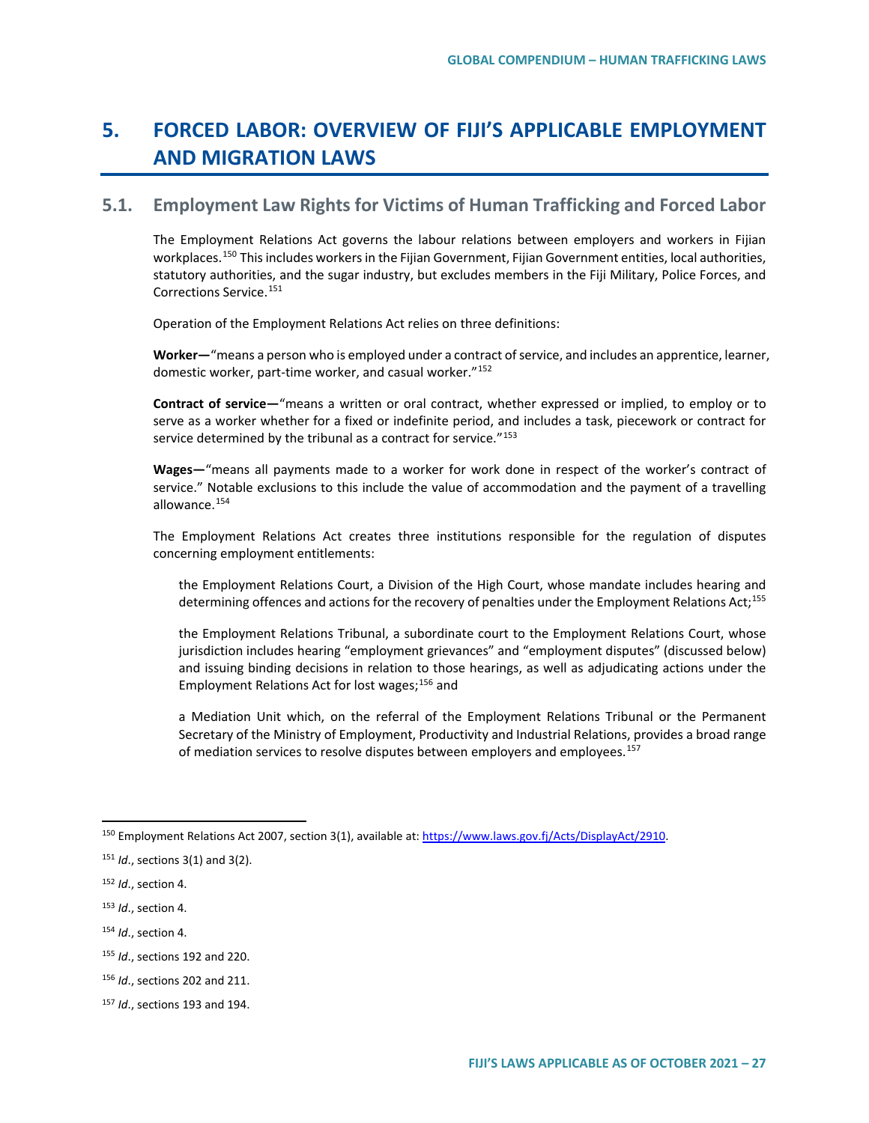# **5. FORCED LABOR: OVERVIEW OF FIJI'S APPLICABLE EMPLOYMENT AND MIGRATION LAWS**

# **5.1. Employment Law Rights for Victims of Human Trafficking and Forced Labor**

The Employment Relations Act governs the labour relations between employers and workers in Fijian workplaces.<sup>[150](#page-26-0)</sup> This includes workers in the Fijian Government, Fijian Government entities, local authorities, statutory authorities, and the sugar industry, but excludes members in the Fiji Military, Police Forces, and Corrections Service.[151](#page-26-1)

Operation of the Employment Relations Act relies on three definitions:

**Worker—**"means a person who is employed under a contract of service, and includes an apprentice, learner, domestic worker, part-time worker, and casual worker."[152](#page-26-2)

**Contract of service—**"means a written or oral contract, whether expressed or implied, to employ or to serve as a worker whether for a fixed or indefinite period, and includes a task, piecework or contract for service determined by the tribunal as a contract for service."<sup>[153](#page-26-3)</sup>

**Wages—**"means all payments made to a worker for work done in respect of the worker's contract of service." Notable exclusions to this include the value of accommodation and the payment of a travelling allowance.[154](#page-26-4)

The Employment Relations Act creates three institutions responsible for the regulation of disputes concerning employment entitlements:

the Employment Relations Court, a Division of the High Court, whose mandate includes hearing and determining offences and actions for the recovery of penalties under the Employment Relations Act;<sup>[155](#page-26-5)</sup>

the Employment Relations Tribunal, a subordinate court to the Employment Relations Court, whose jurisdiction includes hearing "employment grievances" and "employment disputes" (discussed below) and issuing binding decisions in relation to those hearings, as well as adjudicating actions under the Employment Relations Act for lost wages; [156](#page-26-6) and

a Mediation Unit which, on the referral of the Employment Relations Tribunal or the Permanent Secretary of the Ministry of Employment, Productivity and Industrial Relations, provides a broad range of mediation services to resolve disputes between employers and employees.<sup>[157](#page-26-7)</sup>

<span id="page-26-0"></span><sup>&</sup>lt;sup>150</sup> Employment Relations Act 2007, section 3(1), available at[: https://www.laws.gov.fj/Acts/DisplayAct/2910.](https://www.laws.gov.fj/Acts/DisplayAct/2910)

<span id="page-26-1"></span><sup>151</sup> *Id*., sections 3(1) and 3(2).

<span id="page-26-2"></span><sup>152</sup> *Id*., section 4.

<span id="page-26-3"></span><sup>153</sup> *Id*., section 4.

<span id="page-26-4"></span><sup>154</sup> *Id*., section 4.

<span id="page-26-5"></span><sup>155</sup> *Id*., sections 192 and 220.

<span id="page-26-6"></span><sup>156</sup> *Id*., sections 202 and 211.

<span id="page-26-7"></span><sup>157</sup> *Id*., sections 193 and 194.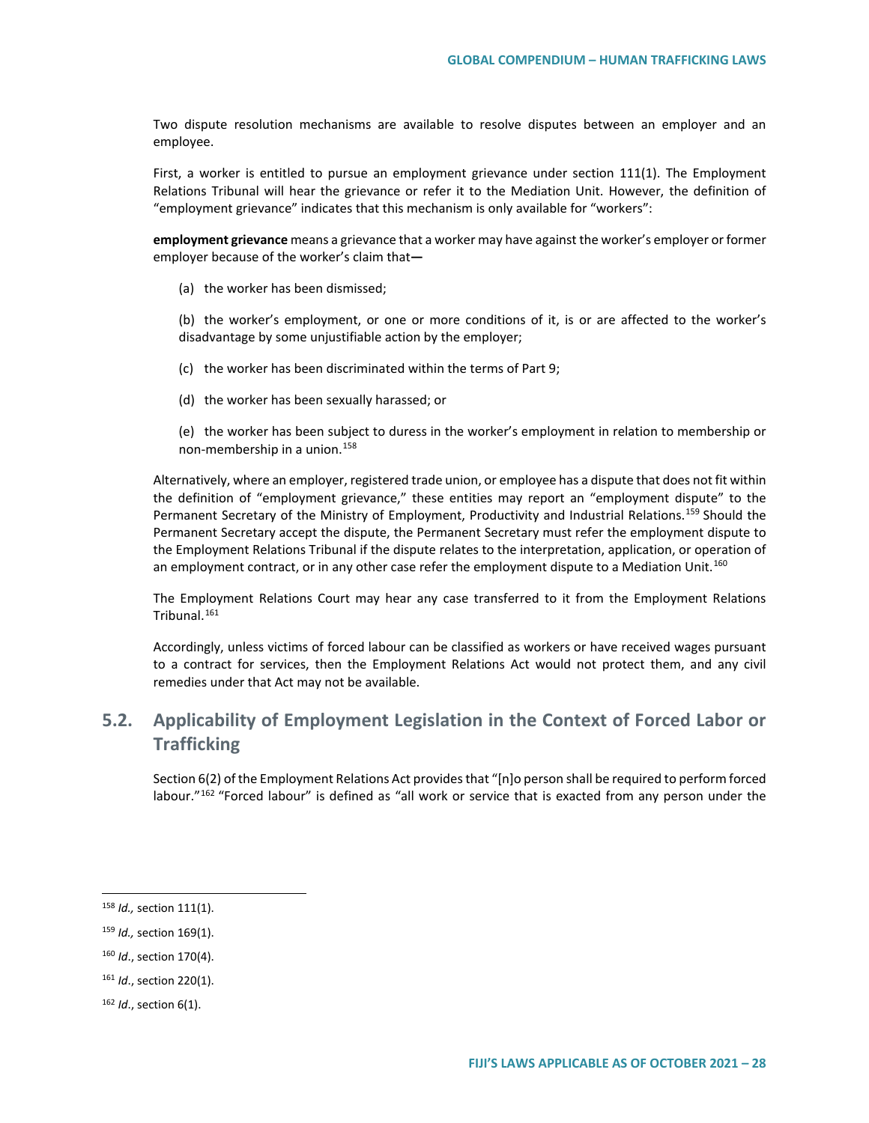Two dispute resolution mechanisms are available to resolve disputes between an employer and an employee.

First, a worker is entitled to pursue an employment grievance under section 111(1). The Employment Relations Tribunal will hear the grievance or refer it to the Mediation Unit. However, the definition of "employment grievance" indicates that this mechanism is only available for "workers":

**employment grievance** means a grievance that a worker may have against the worker's employer or former employer because of the worker's claim that**—**

(a) the worker has been dismissed;

(b) the worker's employment, or one or more conditions of it, is or are affected to the worker's disadvantage by some unjustifiable action by the employer;

(c) the worker has been discriminated within the terms of Part 9;

(d) the worker has been sexually harassed; or

(e) the worker has been subject to duress in the worker's employment in relation to membership or non-membership in a union.[158](#page-27-0)

Alternatively, where an employer, registered trade union, or employee has a dispute that does not fit within the definition of "employment grievance," these entities may report an "employment dispute" to the Permanent Secretary of the Ministry of Employment, Productivity and Industrial Relations.<sup>[159](#page-27-1)</sup> Should the Permanent Secretary accept the dispute, the Permanent Secretary must refer the employment dispute to the Employment Relations Tribunal if the dispute relates to the interpretation, application, or operation of an employment contract, or in any other case refer the employment dispute to a Mediation Unit.<sup>[160](#page-27-2)</sup>

The Employment Relations Court may hear any case transferred to it from the Employment Relations Tribunal.[161](#page-27-3)

Accordingly, unless victims of forced labour can be classified as workers or have received wages pursuant to a contract for services, then the Employment Relations Act would not protect them, and any civil remedies under that Act may not be available.

# **5.2. Applicability of Employment Legislation in the Context of Forced Labor or Trafficking**

Section 6(2) of the Employment Relations Act provides that "[n]o person shall be required to perform forced labour."<sup>[162](#page-27-4)</sup> "Forced labour" is defined as "all work or service that is exacted from any person under the

<span id="page-27-1"></span><sup>159</sup> *Id.,* section 169(1).

<span id="page-27-3"></span><sup>161</sup> *Id*., section 220(1).

<span id="page-27-0"></span> <sup>158</sup> *Id.,* section 111(1).

<span id="page-27-2"></span><sup>160</sup> *Id*., section 170(4).

<span id="page-27-4"></span><sup>162</sup> *Id*., section 6(1).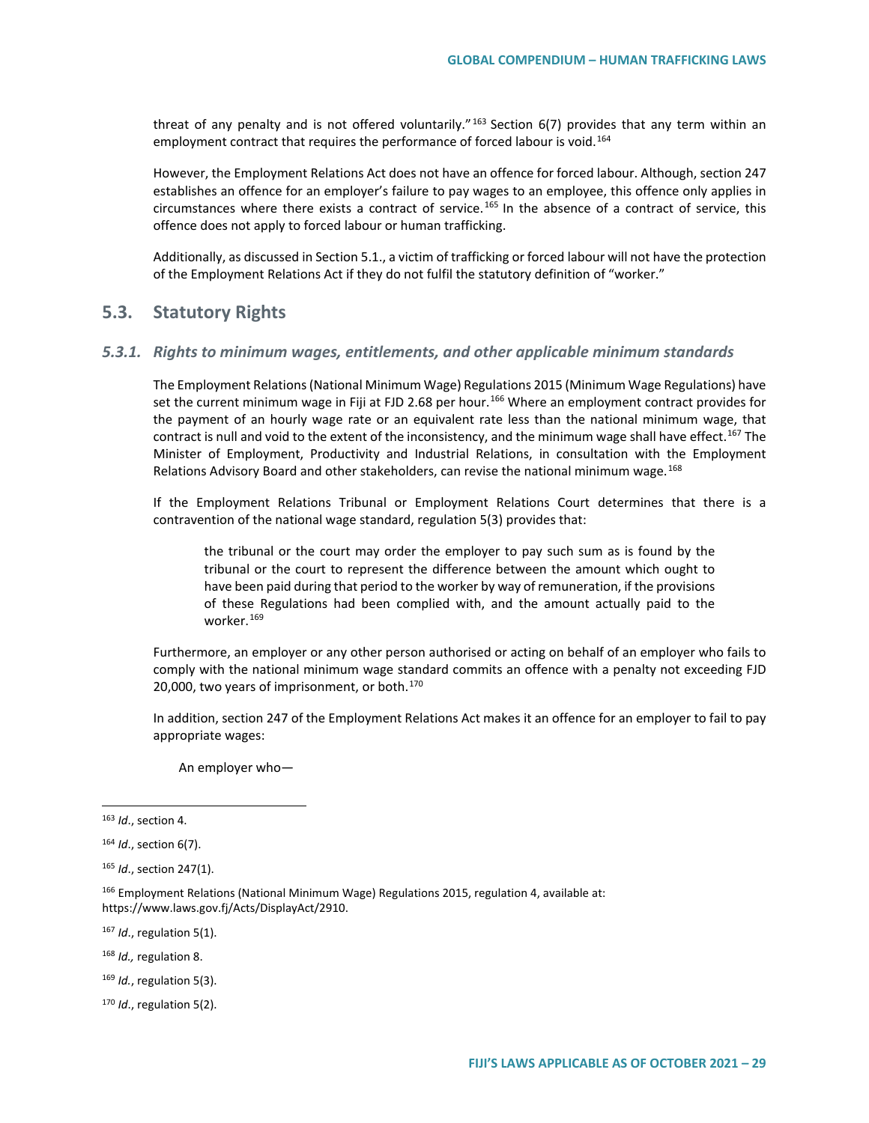threat of any penalty and is not offered voluntarily."<sup>[163](#page-28-0)</sup> Section 6(7) provides that any term within an employment contract that requires the performance of forced labour is void.<sup>[164](#page-28-1)</sup>

However, the Employment Relations Act does not have an offence for forced labour. Although, section 247 establishes an offence for an employer's failure to pay wages to an employee, this offence only applies in circumstances where there exists a contract of service. [165](#page-28-2) In the absence of a contract of service, this offence does not apply to forced labour or human trafficking.

Additionally, as discussed in Section 5.1., a victim of trafficking or forced labour will not have the protection of the Employment Relations Act if they do not fulfil the statutory definition of "worker."

# **5.3. Statutory Rights**

### *5.3.1. Rights to minimum wages, entitlements, and other applicable minimum standards*

The Employment Relations (National Minimum Wage) Regulations 2015 (Minimum Wage Regulations) have set the current minimum wage in Fiji at FJD 2.68 per hour.<sup>[166](#page-28-3)</sup> Where an employment contract provides for the payment of an hourly wage rate or an equivalent rate less than the national minimum wage, that contract is null and void to the extent of the inconsistency, and the minimum wage shall have effect.<sup>[167](#page-28-4)</sup> The Minister of Employment, Productivity and Industrial Relations, in consultation with the Employment Relations Advisory Board and other stakeholders, can revise the national minimum wage.<sup>[168](#page-28-5)</sup>

If the Employment Relations Tribunal or Employment Relations Court determines that there is a contravention of the national wage standard, regulation 5(3) provides that:

the tribunal or the court may order the employer to pay such sum as is found by the tribunal or the court to represent the difference between the amount which ought to have been paid during that period to the worker by way of remuneration, if the provisions of these Regulations had been complied with, and the amount actually paid to the worker.[169](#page-28-6)

Furthermore, an employer or any other person authorised or acting on behalf of an employer who fails to comply with the national minimum wage standard commits an offence with a penalty not exceeding FJD 20,000, two years of imprisonment, or both.<sup>[170](#page-28-7)</sup>

In addition, section 247 of the Employment Relations Act makes it an offence for an employer to fail to pay appropriate wages:

An employer who—

<span id="page-28-4"></span><sup>167</sup> *Id*., regulation 5(1).

<span id="page-28-5"></span><sup>168</sup> *Id.,* regulation 8.

<span id="page-28-6"></span><sup>169</sup> *Id.*, regulation 5(3).

<span id="page-28-7"></span><sup>170</sup> *Id*., regulation 5(2).

<span id="page-28-0"></span> <sup>163</sup> *Id*., section 4.

<span id="page-28-1"></span><sup>164</sup> *Id*., section 6(7).

<span id="page-28-2"></span><sup>165</sup> *Id*., section 247(1).

<span id="page-28-3"></span><sup>166</sup> Employment Relations (National Minimum Wage) Regulations 2015, regulation 4, available at: https://www.laws.gov.fj/Acts/DisplayAct/2910.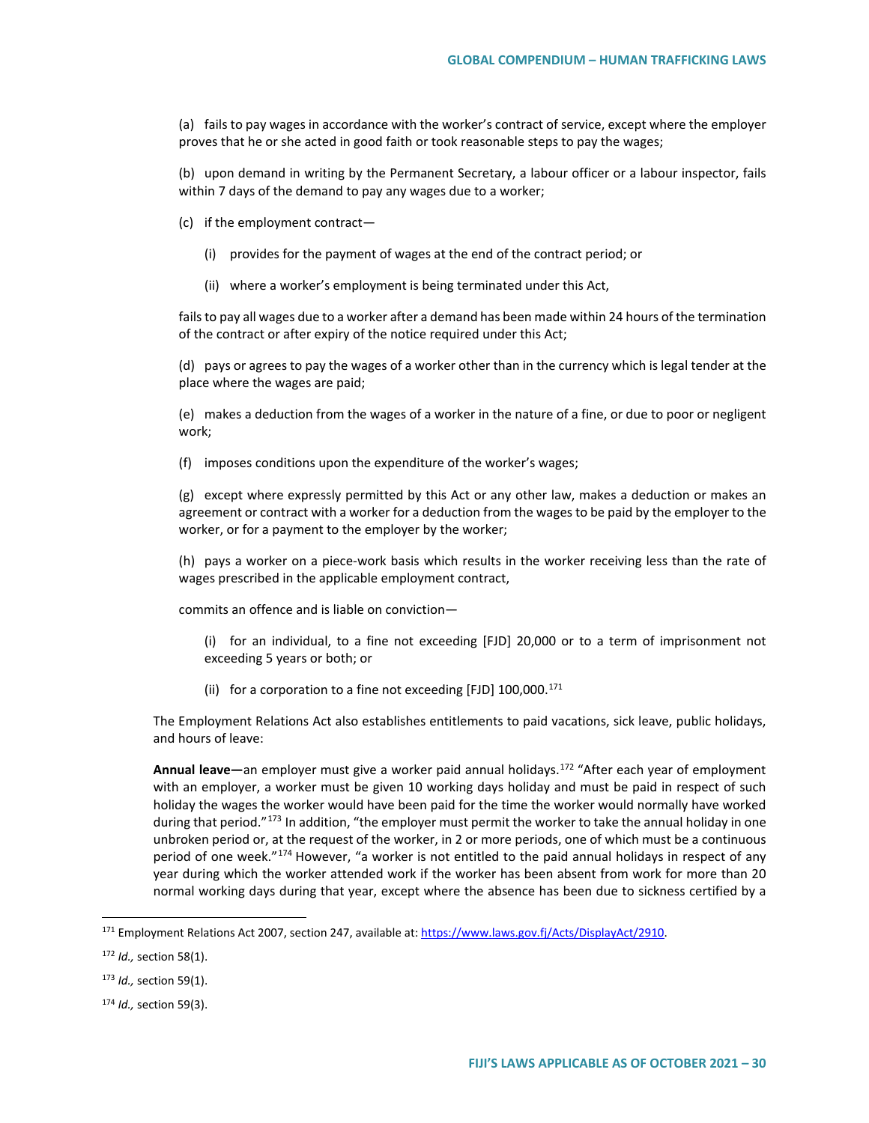(a) fails to pay wages in accordance with the worker's contract of service, except where the employer proves that he or she acted in good faith or took reasonable steps to pay the wages;

(b) upon demand in writing by the Permanent Secretary, a labour officer or a labour inspector, fails within 7 days of the demand to pay any wages due to a worker;

(c) if the employment contract—

- (i) provides for the payment of wages at the end of the contract period; or
- (ii) where a worker's employment is being terminated under this Act,

fails to pay all wages due to a worker after a demand has been made within 24 hours of the termination of the contract or after expiry of the notice required under this Act;

(d) pays or agrees to pay the wages of a worker other than in the currency which is legal tender at the place where the wages are paid;

(e) makes a deduction from the wages of a worker in the nature of a fine, or due to poor or negligent work;

(f) imposes conditions upon the expenditure of the worker's wages;

(g) except where expressly permitted by this Act or any other law, makes a deduction or makes an agreement or contract with a worker for a deduction from the wages to be paid by the employer to the worker, or for a payment to the employer by the worker;

(h) pays a worker on a piece-work basis which results in the worker receiving less than the rate of wages prescribed in the applicable employment contract,

commits an offence and is liable on conviction—

- (i) for an individual, to a fine not exceeding [FJD] 20,000 or to a term of imprisonment not exceeding 5 years or both; or
- (ii) for a corporation to a fine not exceeding [FJD]  $100,000$ .<sup>[171](#page-29-0)</sup>

The Employment Relations Act also establishes entitlements to paid vacations, sick leave, public holidays, and hours of leave:

**Annual leave—**an employer must give a worker paid annual holidays.[172](#page-29-1) "After each year of employment with an employer, a worker must be given 10 working days holiday and must be paid in respect of such holiday the wages the worker would have been paid for the time the worker would normally have worked during that period."<sup>[173](#page-29-2)</sup> In addition, "the employer must permit the worker to take the annual holiday in one unbroken period or, at the request of the worker, in 2 or more periods, one of which must be a continuous period of one week."<sup>[174](#page-29-3)</sup> However, "a worker is not entitled to the paid annual holidays in respect of any year during which the worker attended work if the worker has been absent from work for more than 20 normal working days during that year, except where the absence has been due to sickness certified by a

<span id="page-29-0"></span> <sup>171</sup> Employment Relations Act 2007, section 247, available at: [https://www.laws.gov.fj/Acts/DisplayAct/2910.](https://www.laws.gov.fj/Acts/DisplayAct/2910)

<span id="page-29-1"></span><sup>172</sup> *Id.,* section 58(1).

<span id="page-29-2"></span><sup>173</sup> *Id.,* section 59(1).

<span id="page-29-3"></span><sup>174</sup> *Id.,* section 59(3).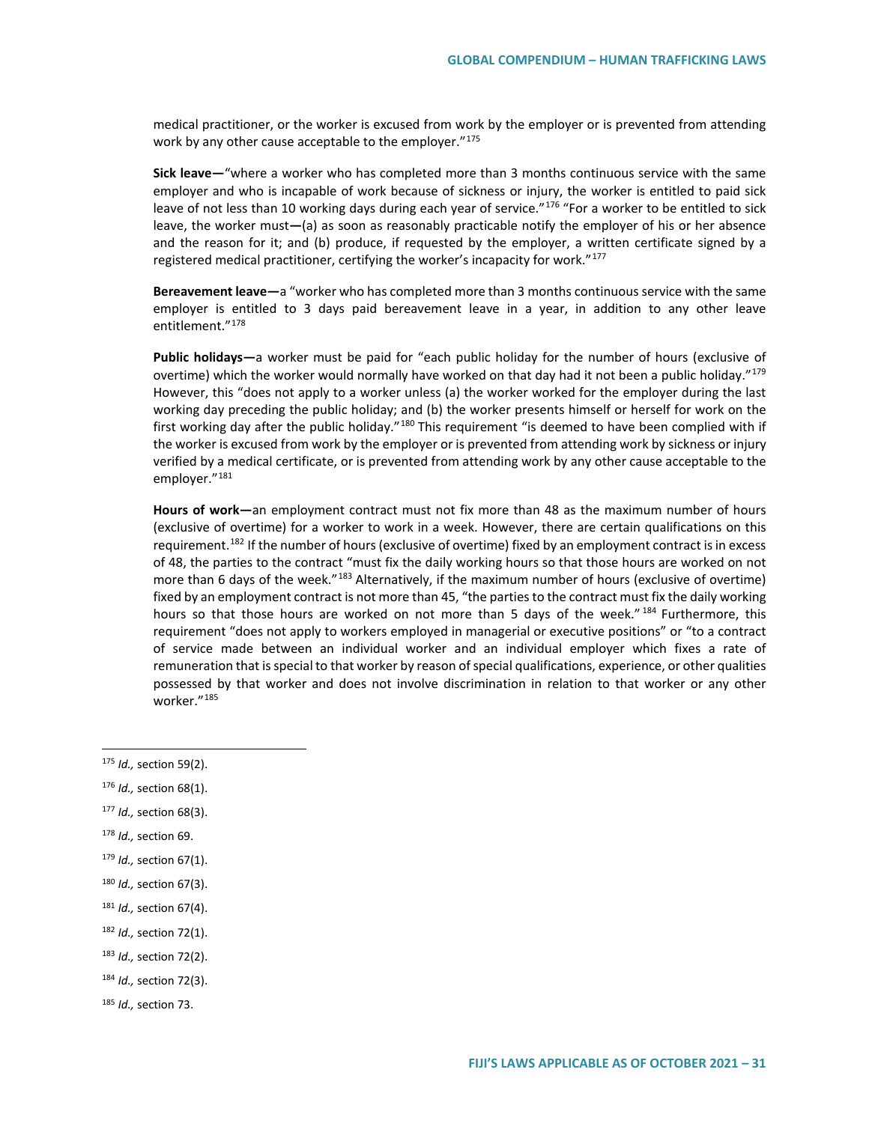medical practitioner, or the worker is excused from work by the employer or is prevented from attending work by any other cause acceptable to the employer."<sup>[175](#page-30-0)</sup>

**Sick leave—**"where a worker who has completed more than 3 months continuous service with the same employer and who is incapable of work because of sickness or injury, the worker is entitled to paid sick leave of not less than 10 working days during each year of service."<sup>[176](#page-30-1)</sup> "For a worker to be entitled to sick leave, the worker must**—**(a) as soon as reasonably practicable notify the employer of his or her absence and the reason for it; and (b) produce, if requested by the employer, a written certificate signed by a registered medical practitioner, certifying the worker's incapacity for work."<sup>[177](#page-30-2)</sup>

**Bereavement leave—**a "worker who has completed more than 3 months continuous service with the same employer is entitled to 3 days paid bereavement leave in a year, in addition to any other leave entitlement."[178](#page-30-3)

**Public holidays—**a worker must be paid for "each public holiday for the number of hours (exclusive of overtime) which the worker would normally have worked on that day had it not been a public holiday."<sup>[179](#page-30-4)</sup> However, this "does not apply to a worker unless (a) the worker worked for the employer during the last working day preceding the public holiday; and (b) the worker presents himself or herself for work on the first working day after the public holiday."<sup>[180](#page-30-5)</sup> This requirement "is deemed to have been complied with if the worker is excused from work by the employer or is prevented from attending work by sickness or injury verified by a medical certificate, or is prevented from attending work by any other cause acceptable to the employer."<sup>[181](#page-30-6)</sup>

**Hours of work—**an employment contract must not fix more than 48 as the maximum number of hours (exclusive of overtime) for a worker to work in a week. However, there are certain qualifications on this requirement.<sup>[182](#page-30-7)</sup> If the number of hours (exclusive of overtime) fixed by an employment contract is in excess of 48, the parties to the contract "must fix the daily working hours so that those hours are worked on not more than 6 days of the week."<sup>[183](#page-30-8)</sup> Alternatively, if the maximum number of hours (exclusive of overtime) fixed by an employment contract is not more than 45, "the parties to the contract must fix the daily working hours so that those hours are worked on not more than 5 days of the week."<sup>[184](#page-30-9)</sup> Furthermore, this requirement "does not apply to workers employed in managerial or executive positions" or "to a contract of service made between an individual worker and an individual employer which fixes a rate of remuneration that is special to that worker by reason of special qualifications, experience, or other qualities possessed by that worker and does not involve discrimination in relation to that worker or any other worker."[185](#page-30-10)

- <span id="page-30-3"></span><sup>178</sup> *Id.,* section 69.
- <span id="page-30-4"></span><sup>179</sup> *Id.,* section 67(1).
- <span id="page-30-5"></span><sup>180</sup> *Id.,* section 67(3).

- <span id="page-30-7"></span><sup>182</sup> *Id.,* section 72(1).
- <span id="page-30-8"></span><sup>183</sup> *Id.,* section 72(2).
- <span id="page-30-9"></span><sup>184</sup> *Id.,* section 72(3).

<span id="page-30-0"></span> <sup>175</sup> *Id.,* section 59(2).

<span id="page-30-1"></span><sup>176</sup> *Id.,* section 68(1).

<span id="page-30-2"></span><sup>177</sup> *Id.,* section 68(3).

<span id="page-30-6"></span><sup>181</sup> *Id.,* section 67(4).

<span id="page-30-10"></span><sup>185</sup> *Id.,* section 73.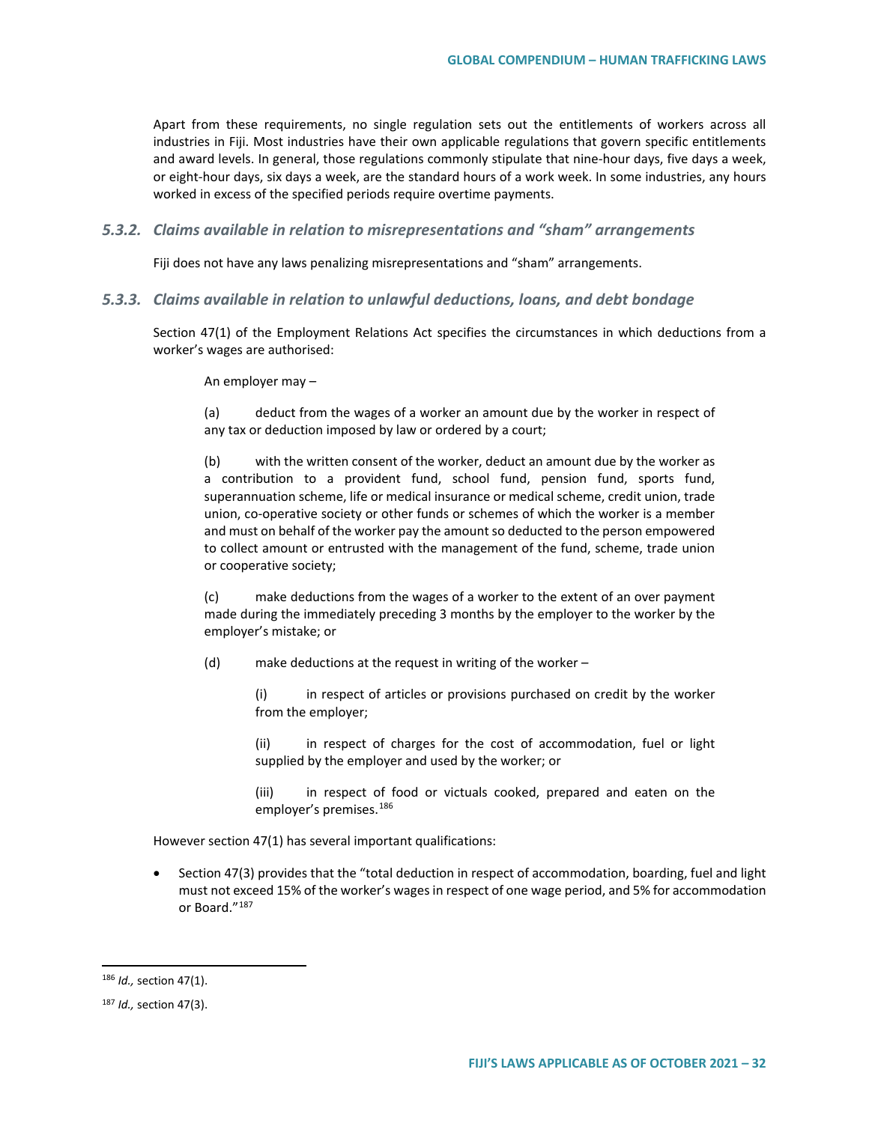Apart from these requirements, no single regulation sets out the entitlements of workers across all industries in Fiji. Most industries have their own applicable regulations that govern specific entitlements and award levels. In general, those regulations commonly stipulate that nine-hour days, five days a week, or eight-hour days, six days a week, are the standard hours of a work week. In some industries, any hours worked in excess of the specified periods require overtime payments.

*5.3.2. Claims available in relation to misrepresentations and "sham" arrangements*

Fiji does not have any laws penalizing misrepresentations and "sham" arrangements.

*5.3.3. Claims available in relation to unlawful deductions, loans, and debt bondage*

Section 47(1) of the Employment Relations Act specifies the circumstances in which deductions from a worker's wages are authorised:

An employer may –

(a) deduct from the wages of a worker an amount due by the worker in respect of any tax or deduction imposed by law or ordered by a court;

(b) with the written consent of the worker, deduct an amount due by the worker as a contribution to a provident fund, school fund, pension fund, sports fund, superannuation scheme, life or medical insurance or medical scheme, credit union, trade union, co-operative society or other funds or schemes of which the worker is a member and must on behalf of the worker pay the amount so deducted to the person empowered to collect amount or entrusted with the management of the fund, scheme, trade union or cooperative society;

(c) make deductions from the wages of a worker to the extent of an over payment made during the immediately preceding 3 months by the employer to the worker by the employer's mistake; or

- (d) make deductions at the request in writing of the worker
	- (i) in respect of articles or provisions purchased on credit by the worker from the employer;

(ii) in respect of charges for the cost of accommodation, fuel or light supplied by the employer and used by the worker; or

(iii) in respect of food or victuals cooked, prepared and eaten on the employer's premises.<sup>[186](#page-31-0)</sup>

However section 47(1) has several important qualifications:

• Section 47(3) provides that the "total deduction in respect of accommodation, boarding, fuel and light must not exceed 15% of the worker's wages in respect of one wage period, and 5% for accommodation or Board.["187](#page-31-1)

<span id="page-31-0"></span> <sup>186</sup> *Id.,* section 47(1).

<span id="page-31-1"></span><sup>187</sup> *Id.,* section 47(3).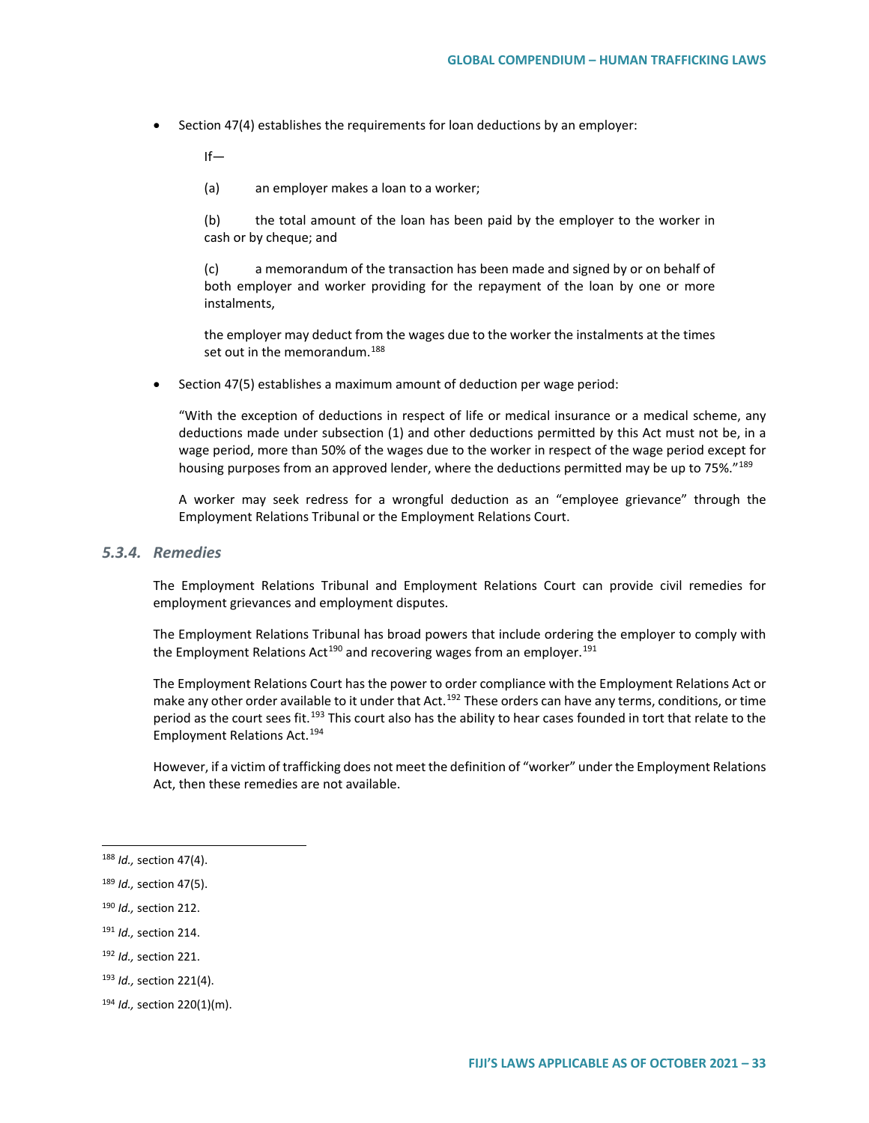• Section 47(4) establishes the requirements for loan deductions by an employer:

 $If -$ 

(a) an employer makes a loan to a worker;

(b) the total amount of the loan has been paid by the employer to the worker in cash or by cheque; and

(c) a memorandum of the transaction has been made and signed by or on behalf of both employer and worker providing for the repayment of the loan by one or more instalments,

the employer may deduct from the wages due to the worker the instalments at the times set out in the memorandum.<sup>[188](#page-32-0)</sup>

• Section 47(5) establishes a maximum amount of deduction per wage period:

"With the exception of deductions in respect of life or medical insurance or a medical scheme, any deductions made under subsection (1) and other deductions permitted by this Act must not be, in a wage period, more than 50% of the wages due to the worker in respect of the wage period except for housing purposes from an approved lender, where the deductions permitted may be up to 75%."<sup>[189](#page-32-1)</sup>

A worker may seek redress for a wrongful deduction as an "employee grievance" through the Employment Relations Tribunal or the Employment Relations Court.

### *5.3.4. Remedies*

The Employment Relations Tribunal and Employment Relations Court can provide civil remedies for employment grievances and employment disputes.

The Employment Relations Tribunal has broad powers that include ordering the employer to comply with the Employment Relations Act<sup>[190](#page-32-2)</sup> and recovering wages from an employer.<sup>[191](#page-32-3)</sup>

The Employment Relations Court has the power to order compliance with the Employment Relations Act or make any other order available to it under that Act.<sup>[192](#page-32-4)</sup> These orders can have any terms, conditions, or time period as the court sees fit.<sup>[193](#page-32-5)</sup> This court also has the ability to hear cases founded in tort that relate to the Employment Relations Act.[194](#page-32-6)

However, if a victim of trafficking does not meet the definition of "worker" under the Employment Relations Act, then these remedies are not available.

<span id="page-32-3"></span><sup>191</sup> *Id.,* section 214.

<span id="page-32-0"></span> <sup>188</sup> *Id.,* section 47(4).

<span id="page-32-1"></span><sup>189</sup> *Id.,* section 47(5).

<span id="page-32-2"></span><sup>190</sup> *Id.,* section 212.

<span id="page-32-4"></span><sup>192</sup> *Id.,* section 221.

<span id="page-32-5"></span><sup>193</sup> *Id.,* section 221(4).

<span id="page-32-6"></span><sup>194</sup> *Id.,* section 220(1)(m).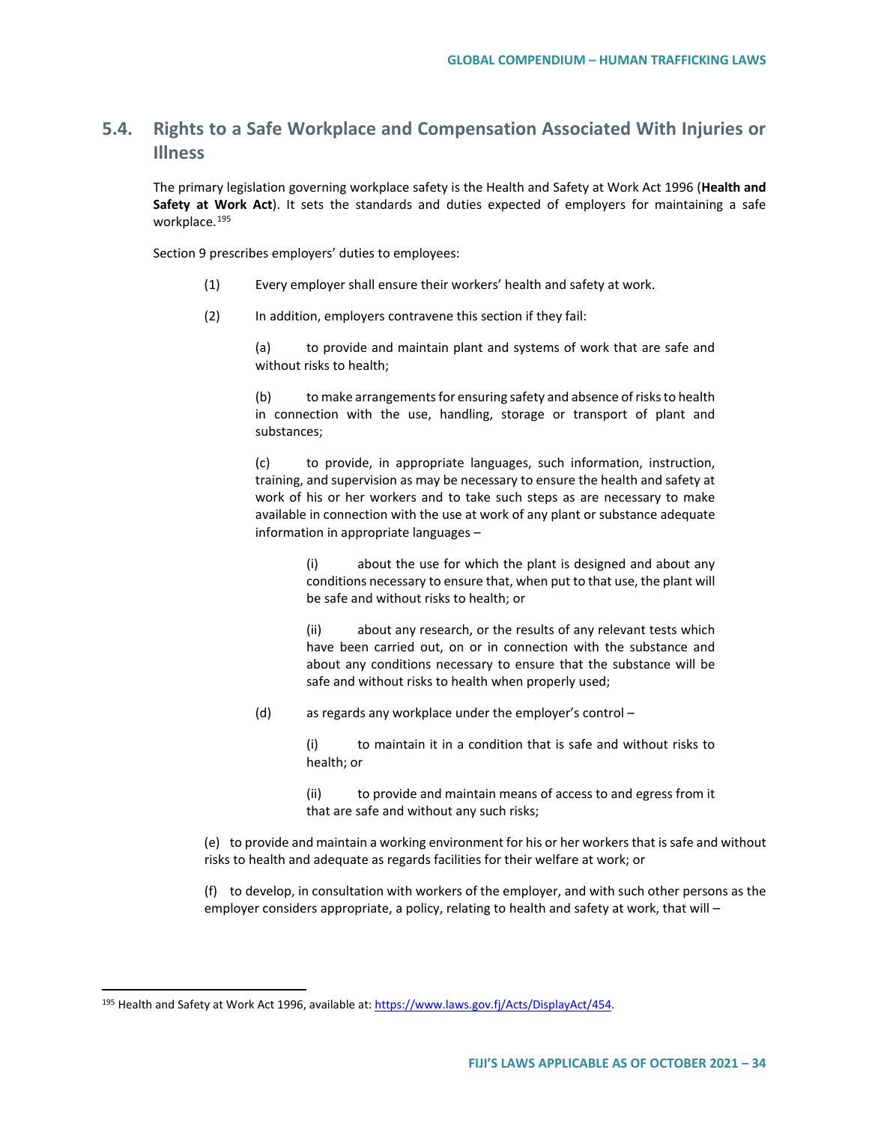# **5.4. Rights to a Safe Workplace and Compensation Associated With Injuries or Illness**

The primary legislation governing workplace safety is the Health and Safety at Work Act 1996 (**Health and Safety at Work Act**). It sets the standards and duties expected of employers for maintaining a safe workplace.<sup>[195](#page-33-0)</sup>

Section 9 prescribes employers' duties to employees:

- (1) Every employer shall ensure their workers' health and safety at work.
- (2) In addition, employers contravene this section if they fail:

(a) to provide and maintain plant and systems of work that are safe and without risks to health;

(b) to make arrangements for ensuring safety and absence of risks to health in connection with the use, handling, storage or transport of plant and substances;

(c) to provide, in appropriate languages, such information, instruction, training, and supervision as may be necessary to ensure the health and safety at work of his or her workers and to take such steps as are necessary to make available in connection with the use at work of any plant or substance adequate information in appropriate languages –

> (i) about the use for which the plant is designed and about any conditions necessary to ensure that, when put to that use, the plant will be safe and without risks to health; or

> (ii) about any research, or the results of any relevant tests which have been carried out, on or in connection with the substance and about any conditions necessary to ensure that the substance will be safe and without risks to health when properly used;

(d) as regards any workplace under the employer's control –

(i) to maintain it in a condition that is safe and without risks to health; or

(ii) to provide and maintain means of access to and egress from it that are safe and without any such risks;

(e) to provide and maintain a working environment for his or her workers that is safe and without risks to health and adequate as regards facilities for their welfare at work; or

(f) to develop, in consultation with workers of the employer, and with such other persons as the employer considers appropriate, a policy, relating to health and safety at work, that will –

<span id="page-33-0"></span><sup>&</sup>lt;sup>195</sup> Health and Safety at Work Act 1996, available at[: https://www.laws.gov.fj/Acts/DisplayAct/454.](https://www.laws.gov.fj/Acts/DisplayAct/454)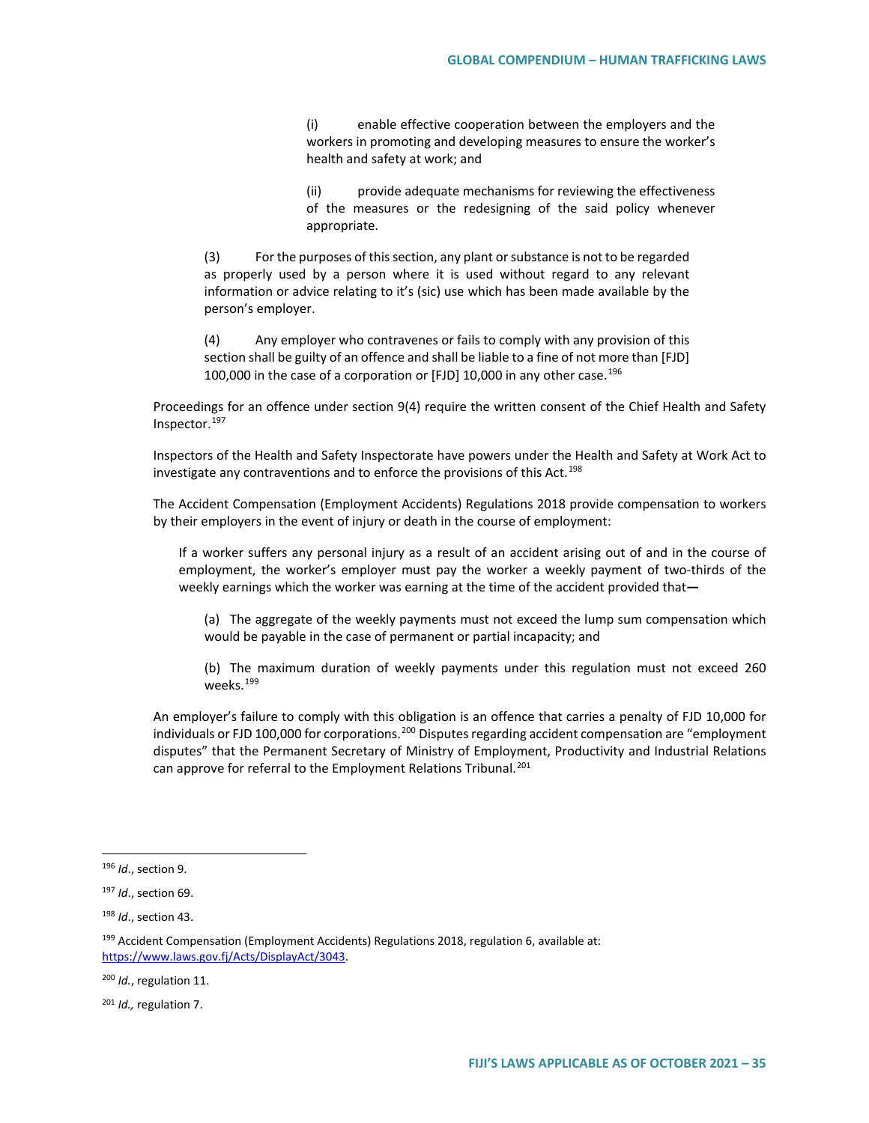(i) enable effective cooperation between the employers and the workers in promoting and developing measures to ensure the worker's health and safety at work; and

(ii) provide adequate mechanisms for reviewing the effectiveness of the measures or the redesigning of the said policy whenever appropriate.

(3) For the purposes of this section, any plant or substance is not to be regarded as properly used by a person where it is used without regard to any relevant information or advice relating to it's (sic) use which has been made available by the person's employer.

(4) Any employer who contravenes or fails to comply with any provision of this section shall be guilty of an offence and shall be liable to a fine of not more than [FJD] 100,000 in the case of a corporation or [FJD] 10,000 in any other case.<sup>[196](#page-34-0)</sup>

Proceedings for an offence under section 9(4) require the written consent of the Chief Health and Safety Inspector.[197](#page-34-1)

Inspectors of the Health and Safety Inspectorate have powers under the Health and Safety at Work Act to investigate any contraventions and to enforce the provisions of this Act.<sup>[198](#page-34-2)</sup>

The Accident Compensation (Employment Accidents) Regulations 2018 provide compensation to workers by their employers in the event of injury or death in the course of employment:

If a worker suffers any personal injury as a result of an accident arising out of and in the course of employment, the worker's employer must pay the worker a weekly payment of two-thirds of the weekly earnings which the worker was earning at the time of the accident provided that**—**

(a) The aggregate of the weekly payments must not exceed the lump sum compensation which would be payable in the case of permanent or partial incapacity; and

(b) The maximum duration of weekly payments under this regulation must not exceed 260 weeks.<sup>[199](#page-34-3)</sup>

An employer's failure to comply with this obligation is an offence that carries a penalty of FJD 10,000 for individuals or FJD 100,000 for corporations.<sup>[200](#page-34-4)</sup> Disputes regarding accident compensation are "employment disputes" that the Permanent Secretary of Ministry of Employment, Productivity and Industrial Relations can approve for referral to the Employment Relations Tribunal.<sup>[201](#page-34-5)</sup>

<span id="page-34-0"></span> <sup>196</sup> *Id*., section 9.

<span id="page-34-1"></span><sup>197</sup> *Id*., section 69.

<span id="page-34-2"></span><sup>198</sup> *Id*., section 43.

<span id="page-34-3"></span><sup>&</sup>lt;sup>199</sup> Accident Compensation (Employment Accidents) Regulations 2018, regulation 6, available at: [https://www.laws.gov.fj/Acts/DisplayAct/3043.](https://www.laws.gov.fj/Acts/DisplayAct/3043)

<span id="page-34-4"></span><sup>200</sup> *Id.*, regulation 11.

<span id="page-34-5"></span><sup>201</sup> *Id.,* regulation 7.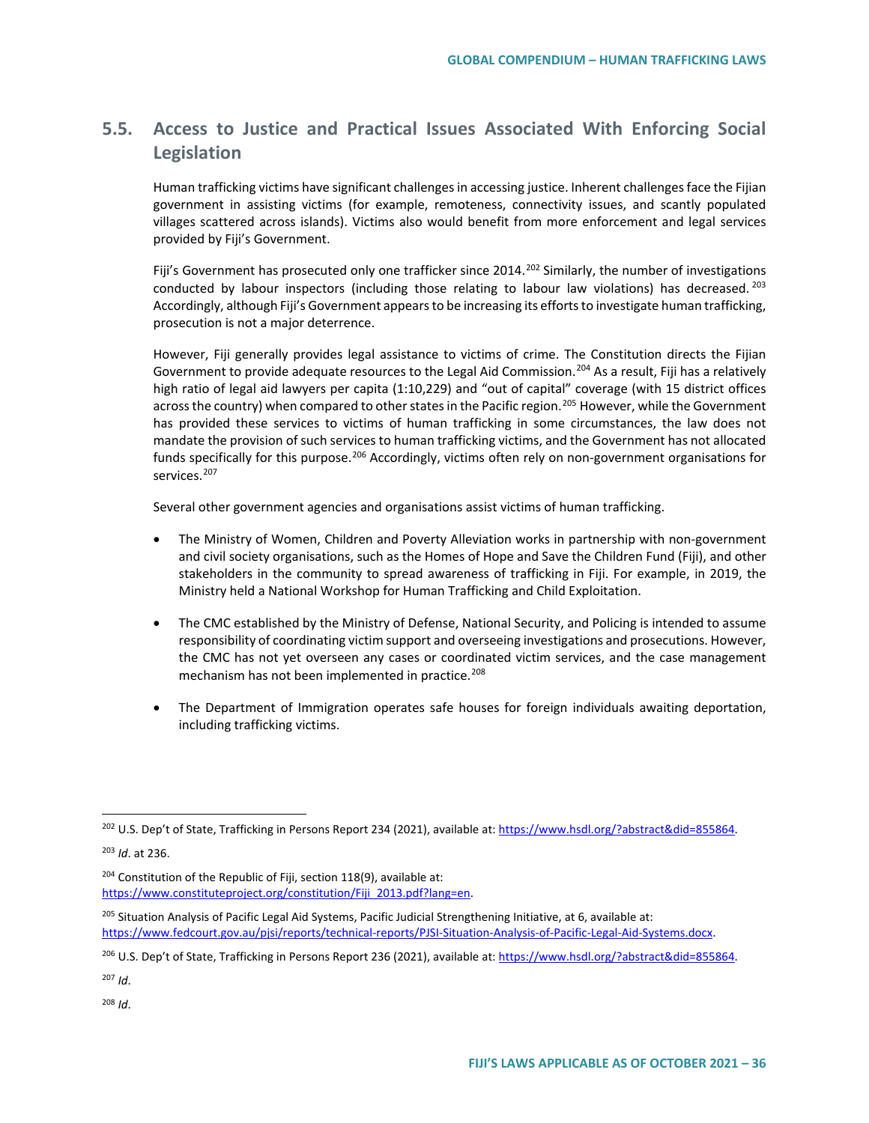# **5.5. Access to Justice and Practical Issues Associated With Enforcing Social Legislation**

Human trafficking victims have significant challenges in accessing justice. Inherent challenges face the Fijian government in assisting victims (for example, remoteness, connectivity issues, and scantly populated villages scattered across islands). Victims also would benefit from more enforcement and legal services provided by Fiji's Government.

Fiji's Government has prosecuted only one trafficker since 2014.<sup>[202](#page-35-0)</sup> Similarly, the number of investigations conducted by labour inspectors (including those relating to labour law violations) has decreased.  $^{203}$  $^{203}$  $^{203}$ Accordingly, although Fiji's Government appears to be increasing its efforts to investigate human trafficking, prosecution is not a major deterrence.

However, Fiji generally provides legal assistance to victims of crime. The Constitution directs the Fijian Government to provide adequate resources to the Legal Aid Commission.<sup>[204](#page-35-2)</sup> As a result, Fiji has a relatively high ratio of legal aid lawyers per capita (1:10,229) and "out of capital" coverage (with 15 district offices across the country) when compared to other states in the Pacific region.<sup>[205](#page-35-3)</sup> However, while the Government has provided these services to victims of human trafficking in some circumstances, the law does not mandate the provision of such services to human trafficking victims, and the Government has not allocated funds specifically for this purpose.<sup>[206](#page-35-4)</sup> Accordingly, victims often rely on non-government organisations for services.<sup>[207](#page-35-5)</sup>

Several other government agencies and organisations assist victims of human trafficking.

- The Ministry of Women, Children and Poverty Alleviation works in partnership with non-government and civil society organisations, such as the Homes of Hope and Save the Children Fund (Fiji), and other stakeholders in the community to spread awareness of trafficking in Fiji. For example, in 2019, the Ministry held a National Workshop for Human Trafficking and Child Exploitation.
- The CMC established by the Ministry of Defense, National Security, and Policing is intended to assume responsibility of coordinating victim support and overseeing investigations and prosecutions. However, the CMC has not yet overseen any cases or coordinated victim services, and the case management mechanism has not been implemented in practice.<sup>[208](#page-35-6)</sup>
- The Department of Immigration operates safe houses for foreign individuals awaiting deportation, including trafficking victims.

<span id="page-35-1"></span><sup>203</sup> *Id*. at 236.

<span id="page-35-2"></span> $204$  Constitution of the Republic of Fiji, section 118(9), available at: [https://www.constituteproject.org/constitution/Fiji\\_2013.pdf?lang=en.](https://www.constituteproject.org/constitution/Fiji_2013.pdf?lang=en)

<span id="page-35-3"></span><sup>205</sup> Situation Analysis of Pacific Legal Aid Systems, Pacific Judicial Strengthening Initiative, at 6, available at: [https://www.fedcourt.gov.au/pjsi/reports/technical-reports/PJSI-Situation-Analysis-of-Pacific-Legal-Aid-Systems.docx.](https://www.fedcourt.gov.au/pjsi/reports/technical-reports/PJSI-Situation-Analysis-of-Pacific-Legal-Aid-Systems.docx) 

<span id="page-35-4"></span><sup>206</sup> U.S. Dep't of State, Trafficking in Persons Report 236 (2021), available at[: https://www.hsdl.org/?abstract&did=855864.](https://www.hsdl.org/?abstract&did=855864)

<span id="page-35-5"></span><sup>207</sup> *Id*.

<span id="page-35-6"></span><sup>208</sup> *Id*.

<span id="page-35-0"></span><sup>&</sup>lt;sup>202</sup> U.S. Dep't of State, Trafficking in Persons Report 234 (2021), available at[: https://www.hsdl.org/?abstract&did=855864.](https://www.hsdl.org/?abstract&did=855864)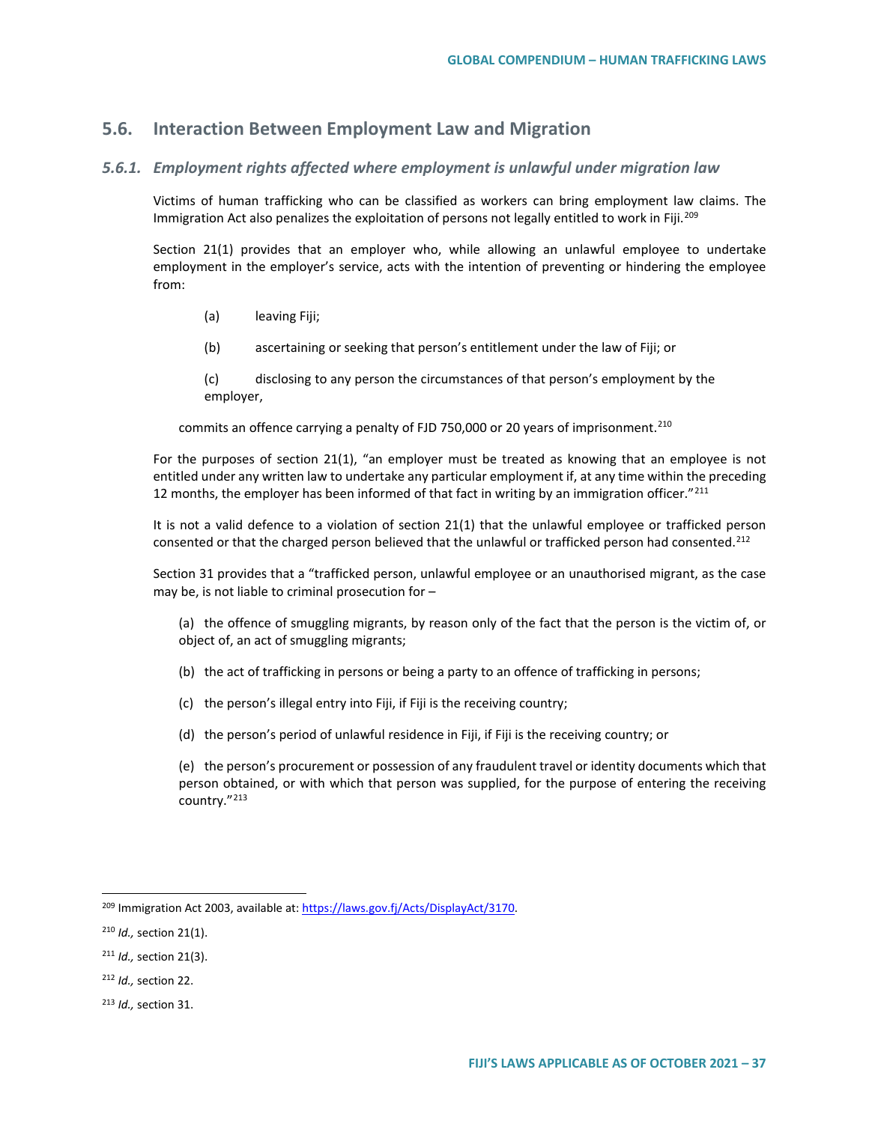## **5.6. Interaction Between Employment Law and Migration**

### *5.6.1. Employment rights affected where employment is unlawful under migration law*

Victims of human trafficking who can be classified as workers can bring employment law claims. The Immigration Act also penalizes the exploitation of persons not legally entitled to work in Fiji.<sup>[209](#page-36-0)</sup>

Section 21(1) provides that an employer who, while allowing an unlawful employee to undertake employment in the employer's service, acts with the intention of preventing or hindering the employee from:

- (a) leaving Fiji;
- (b) ascertaining or seeking that person's entitlement under the law of Fiji; or

(c) disclosing to any person the circumstances of that person's employment by the employer,

commits an offence carrying a penalty of FJD 750,000 or 20 years of imprisonment.<sup>[210](#page-36-1)</sup>

For the purposes of section 21(1), "an employer must be treated as knowing that an employee is not entitled under any written law to undertake any particular employment if, at any time within the preceding 12 months, the employer has been informed of that fact in writing by an immigration officer."<sup>[211](#page-36-2)</sup>

It is not a valid defence to a violation of section 21(1) that the unlawful employee or trafficked person consented or that the charged person believed that the unlawful or trafficked person had consented.<sup>[212](#page-36-3)</sup>

Section 31 provides that a "trafficked person, unlawful employee or an unauthorised migrant, as the case may be, is not liable to criminal prosecution for –

(a) the offence of smuggling migrants, by reason only of the fact that the person is the victim of, or object of, an act of smuggling migrants;

- (b) the act of trafficking in persons or being a party to an offence of trafficking in persons;
- (c) the person's illegal entry into Fiji, if Fiji is the receiving country;
- (d) the person's period of unlawful residence in Fiji, if Fiji is the receiving country; or

(e) the person's procurement or possession of any fraudulent travel or identity documents which that person obtained, or with which that person was supplied, for the purpose of entering the receiving country."[213](#page-36-4)

<span id="page-36-0"></span> <sup>209</sup> Immigration Act 2003, available at: [https://laws.gov.fj/Acts/DisplayAct/3170.](https://laws.gov.fj/Acts/DisplayAct/3170) 

<span id="page-36-1"></span><sup>210</sup> *Id.,* section 21(1).

<span id="page-36-2"></span><sup>211</sup> *Id.,* section 21(3).

<span id="page-36-3"></span><sup>212</sup> *Id.,* section 22.

<span id="page-36-4"></span><sup>213</sup> *Id.,* section 31.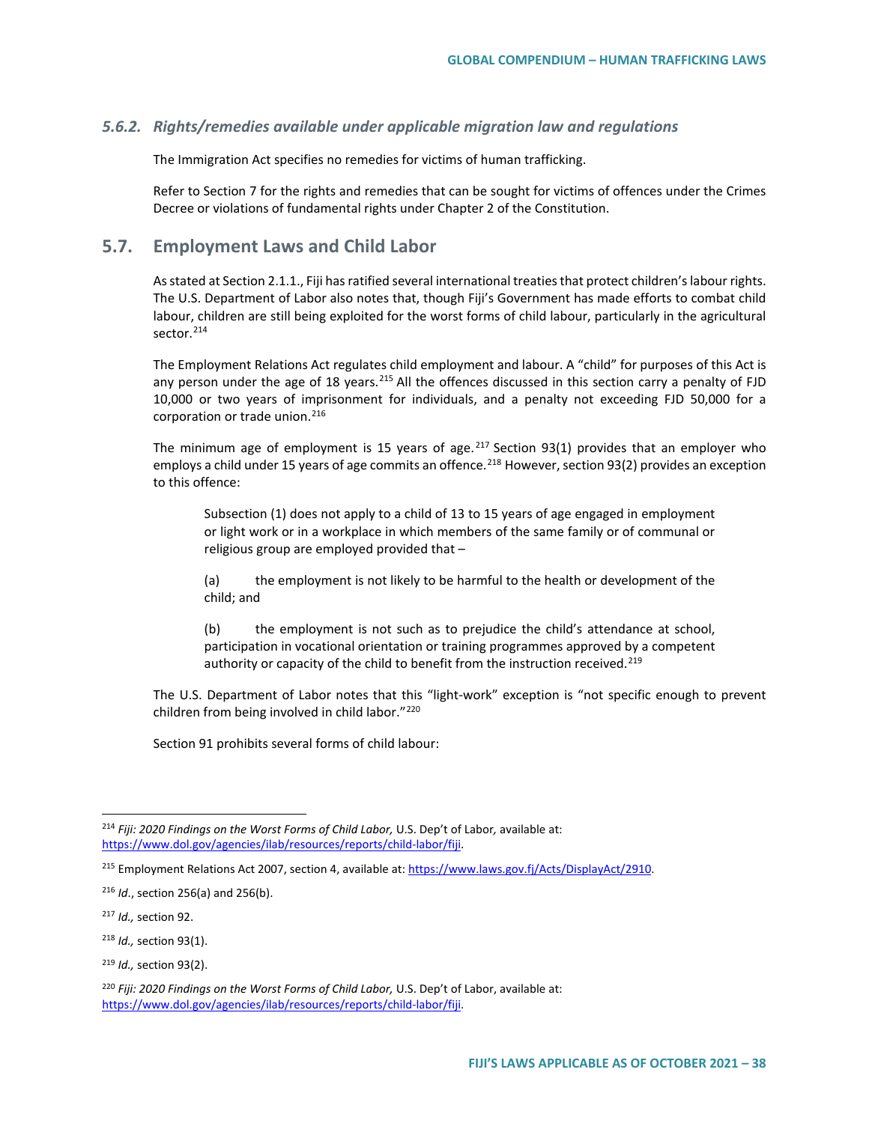### *5.6.2. Rights/remedies available under applicable migration law and regulations*

The Immigration Act specifies no remedies for victims of human trafficking.

Refer to Section 7 for the rights and remedies that can be sought for victims of offences under the Crimes Decree or violations of fundamental rights under Chapter 2 of the Constitution.

## **5.7. Employment Laws and Child Labor**

As stated at Section 2.1.1., Fiji has ratified several international treaties that protect children's labour rights. The U.S. Department of Labor also notes that, though Fiji's Government has made efforts to combat child labour, children are still being exploited for the worst forms of child labour, particularly in the agricultural sector.<sup>[214](#page-37-0)</sup>

The Employment Relations Act regulates child employment and labour. A "child" for purposes of this Act is any person under the age of 18 years.<sup>[215](#page-37-1)</sup> All the offences discussed in this section carry a penalty of FJD 10,000 or two years of imprisonment for individuals, and a penalty not exceeding FJD 50,000 for a corporation or trade union.<sup>[216](#page-37-2)</sup>

The minimum age of employment is 15 years of age.  $217$  Section 93(1) provides that an employer who employs a child under 15 years of age commits an offence.<sup>[218](#page-37-4)</sup> However, section 93(2) provides an exception to this offence:

Subsection (1) does not apply to a child of 13 to 15 years of age engaged in employment or light work or in a workplace in which members of the same family or of communal or religious group are employed provided that –

(a) the employment is not likely to be harmful to the health or development of the child; and

(b) the employment is not such as to prejudice the child's attendance at school, participation in vocational orientation or training programmes approved by a competent authority or capacity of the child to benefit from the instruction received.<sup>[219](#page-37-5)</sup>

The U.S. Department of Labor notes that this "light-work" exception is "not specific enough to prevent children from being involved in child labor.["220](#page-37-6)

Section 91 prohibits several forms of child labour:

<span id="page-37-0"></span> <sup>214</sup> *Fiji: 2020 Findings on the Worst Forms of Child Labor,* U.S. Dep't of Labor*,* available at: [https://www.dol.gov/agencies/ilab/resources/reports/child-labor/fiji.](https://www.dol.gov/agencies/ilab/resources/reports/child-labor/fiji)

<span id="page-37-1"></span><sup>215</sup> Employment Relations Act 2007, section 4, available at[: https://www.laws.gov.fj/Acts/DisplayAct/2910.](https://www.laws.gov.fj/Acts/DisplayAct/2910)

<span id="page-37-2"></span><sup>&</sup>lt;sup>216</sup> *Id.*, section 256(a) and 256(b).

<span id="page-37-3"></span><sup>217</sup> *Id.,* section 92.

<span id="page-37-4"></span><sup>218</sup> *Id.,* section 93(1).

<span id="page-37-5"></span><sup>219</sup> *Id.,* section 93(2).

<span id="page-37-6"></span><sup>220</sup> *Fiji: 2020 Findings on the Worst Forms of Child Labor,* U.S. Dep't of Labor, available at: [https://www.dol.gov/agencies/ilab/resources/reports/child-labor/fiji.](https://www.dol.gov/agencies/ilab/resources/reports/child-labor/fiji)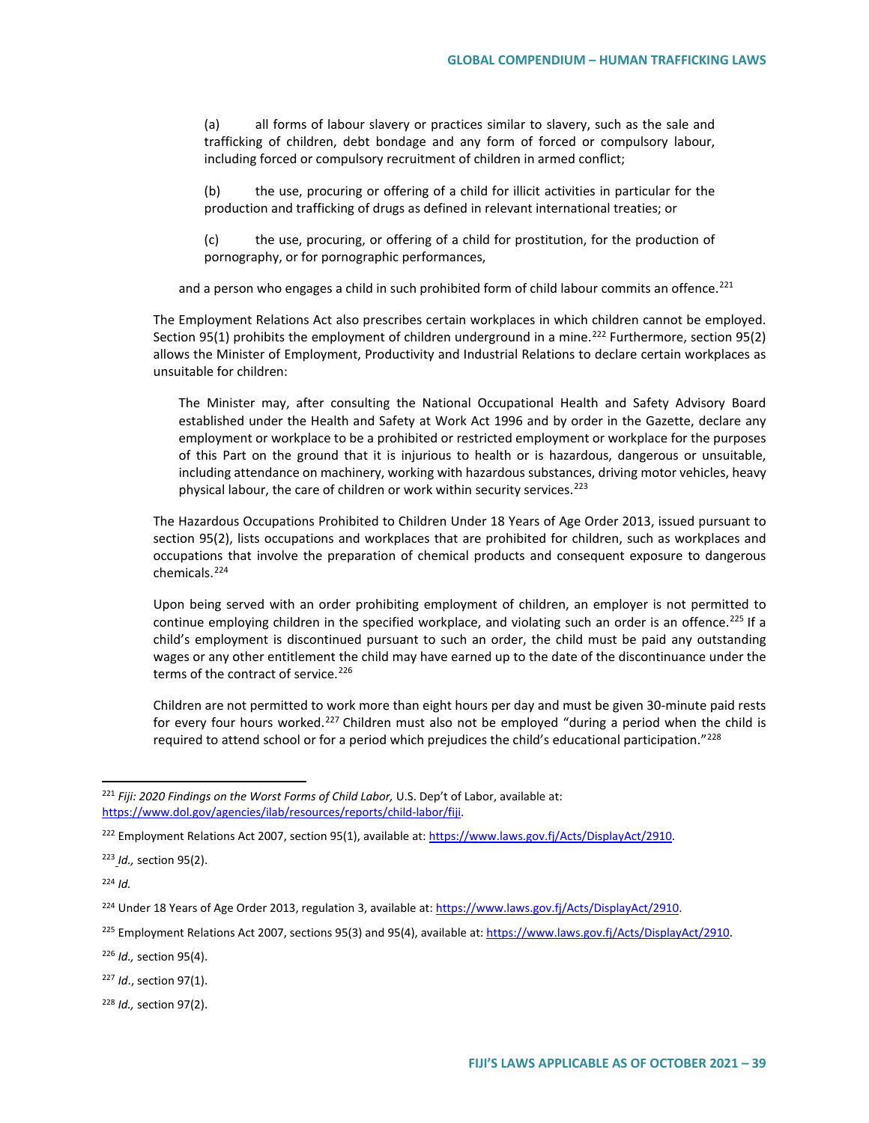(a) all forms of labour slavery or practices similar to slavery, such as the sale and trafficking of children, debt bondage and any form of forced or compulsory labour, including forced or compulsory recruitment of children in armed conflict;

(b) the use, procuring or offering of a child for illicit activities in particular for the production and trafficking of drugs as defined in relevant international treaties; or

(c) the use, procuring, or offering of a child for prostitution, for the production of pornography, or for pornographic performances,

and a person who engages a child in such prohibited form of child labour commits an offence.<sup>[221](#page-38-0)</sup>

The Employment Relations Act also prescribes certain workplaces in which children cannot be employed. Section 95(1) prohibits the employment of children underground in a mine.<sup>[222](#page-38-1)</sup> Furthermore, section 95(2) allows the Minister of Employment, Productivity and Industrial Relations to declare certain workplaces as unsuitable for children:

The Minister may, after consulting the National Occupational Health and Safety Advisory Board established under the Health and Safety at Work Act 1996 and by order in the Gazette, declare any employment or workplace to be a prohibited or restricted employment or workplace for the purposes of this Part on the ground that it is injurious to health or is hazardous, dangerous or unsuitable, including attendance on machinery, working with hazardous substances, driving motor vehicles, heavy physical labour, the care of children or work within security services.<sup>[223](#page-38-2)</sup>

The Hazardous Occupations Prohibited to Children Under 18 Years of Age Order 2013, issued pursuant to section 95(2), lists occupations and workplaces that are prohibited for children, such as workplaces and occupations that involve the preparation of chemical products and consequent exposure to dangerous chemicals.[224](#page-38-3)

Upon being served with an order prohibiting employment of children, an employer is not permitted to continue employing children in the specified workplace, and violating such an order is an offence.<sup>225</sup> If a child's employment is discontinued pursuant to such an order, the child must be paid any outstanding wages or any other entitlement the child may have earned up to the date of the discontinuance under the terms of the contract of service.<sup>[226](#page-38-5)</sup>

Children are not permitted to work more than eight hours per day and must be given 30-minute paid rests for every four hours worked.<sup>[227](#page-38-6)</sup> Children must also not be employed "during a period when the child is required to attend school or for a period which prejudices the child's educational participation." $^{228}$  $^{228}$  $^{228}$ 

<span id="page-38-2"></span><sup>223</sup> *Id.,* section 95(2).

<span id="page-38-3"></span><sup>224</sup> *Id.*

<span id="page-38-5"></span><sup>226</sup> *Id.,* section 95(4).

<span id="page-38-6"></span><sup>227</sup> *Id*., section 97(1).

<span id="page-38-7"></span><sup>228</sup> *Id.,* section 97(2).

<span id="page-38-0"></span> <sup>221</sup> *Fiji: 2020 Findings on the Worst Forms of Child Labor,* U.S. Dep't of Labor, available at: [https://www.dol.gov/agencies/ilab/resources/reports/child-labor/fiji.](https://www.dol.gov/agencies/ilab/resources/reports/child-labor/fiji)

<span id="page-38-1"></span><sup>&</sup>lt;sup>222</sup> Employment Relations Act 2007, section 95(1), available at[: https://www.laws.gov.fj/Acts/DisplayAct/2910.](https://www.laws.gov.fj/Acts/DisplayAct/2910)

<sup>224</sup> Under 18 Years of Age Order 2013, regulation 3, available at[: https://www.laws.gov.fj/Acts/DisplayAct/2910.](https://www.laws.gov.fj/Acts/DisplayAct/2910) 

<span id="page-38-4"></span><sup>&</sup>lt;sup>225</sup> Employment Relations Act 2007, sections 95(3) and 95(4), available at: [https://www.laws.gov.fj/Acts/DisplayAct/2910.](https://www.laws.gov.fj/Acts/DisplayAct/2910)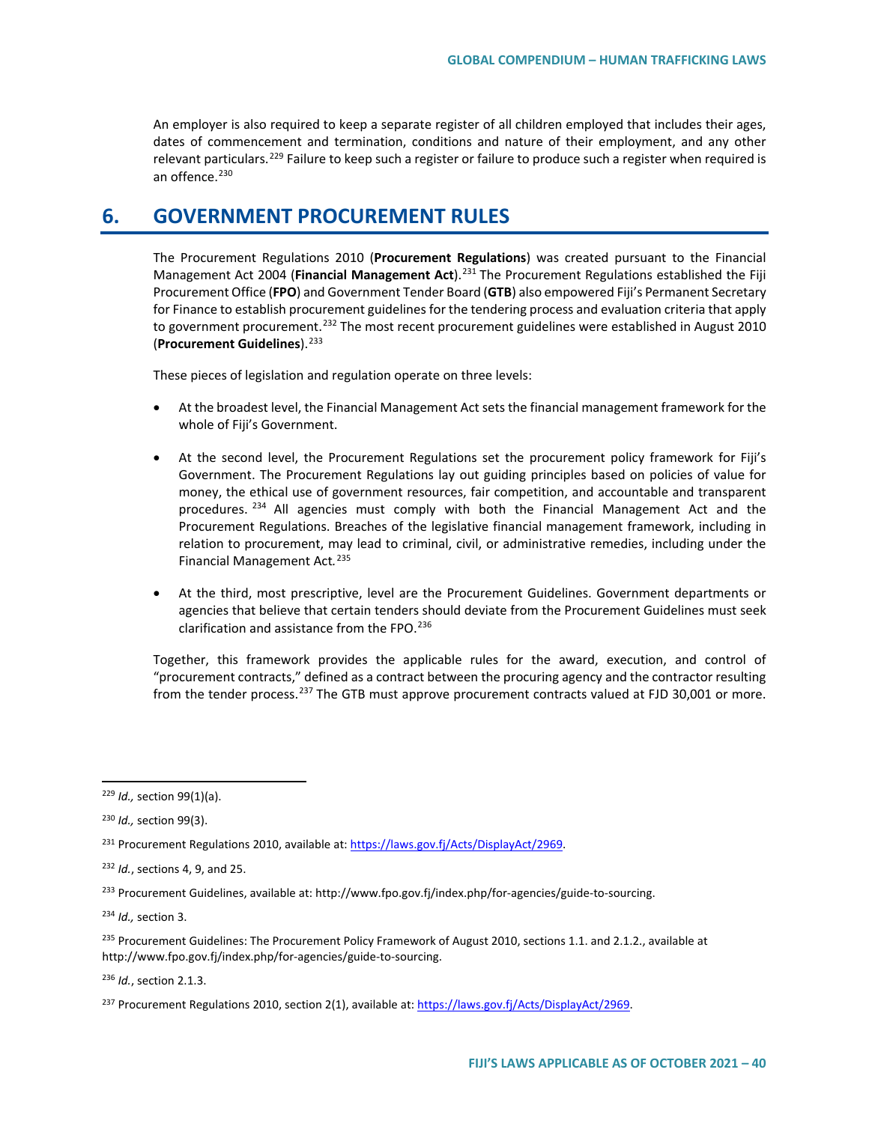An employer is also required to keep a separate register of all children employed that includes their ages, dates of commencement and termination, conditions and nature of their employment, and any other relevant particulars.<sup>[229](#page-39-0)</sup> Failure to keep such a register or failure to produce such a register when required is an offence. $230$ 

# **6. GOVERNMENT PROCUREMENT RULES**

The Procurement Regulations 2010 (**Procurement Regulations**) was created pursuant to the Financial Management Act 2004 (**Financial Management Act**).[231](#page-39-2) The Procurement Regulations established the Fiji Procurement Office (**FPO**) and Government Tender Board (**GTB**) also empowered Fiji's Permanent Secretary for Finance to establish procurement guidelines for the tendering process and evaluation criteria that apply to government procurement.<sup>[232](#page-39-3)</sup> The most recent procurement guidelines were established in August 2010 (**Procurement Guidelines**).<sup>[233](#page-39-4)</sup>

These pieces of legislation and regulation operate on three levels:

- At the broadest level, the Financial Management Act sets the financial management framework for the whole of Fiji's Government.
- At the second level, the Procurement Regulations set the procurement policy framework for Fiji's Government. The Procurement Regulations lay out guiding principles based on policies of value for money, the ethical use of government resources, fair competition, and accountable and transparent procedures. <sup>[234](#page-39-5)</sup> All agencies must comply with both the Financial Management Act and the Procurement Regulations. Breaches of the legislative financial management framework, including in relation to procurement, may lead to criminal, civil, or administrative remedies, including under the Financial Management Act*.* [235](#page-39-6)
- At the third, most prescriptive, level are the Procurement Guidelines. Government departments or agencies that believe that certain tenders should deviate from the Procurement Guidelines must seek clarification and assistance from the FPO.<sup>[236](#page-39-7)</sup>

Together, this framework provides the applicable rules for the award, execution, and control of "procurement contracts," defined as a contract between the procuring agency and the contractor resulting from the tender process.<sup>[237](#page-39-8)</sup> The GTB must approve procurement contracts valued at FJD 30,001 or more.

<span id="page-39-5"></span><sup>234</sup> *Id.,* section 3.

<span id="page-39-7"></span><sup>236</sup> *Id.*, section 2.1.3.

<span id="page-39-0"></span> <sup>229</sup> *Id.,* section 99(1)(a).

<span id="page-39-1"></span><sup>230</sup> *Id.,* section 99(3).

<span id="page-39-2"></span><sup>231</sup> Procurement Regulations 2010, available at: [https://laws.gov.fj/Acts/DisplayAct/2969.](https://laws.gov.fj/Acts/DisplayAct/2969) 

<span id="page-39-3"></span><sup>232</sup> *Id.*, sections 4, 9, and 25.

<span id="page-39-4"></span><sup>&</sup>lt;sup>233</sup> Procurement Guidelines, available at: http://www.fpo.gov.fj/index.php/for-agencies/guide-to-sourcing.

<span id="page-39-6"></span><sup>&</sup>lt;sup>235</sup> Procurement Guidelines: The Procurement Policy Framework of August 2010, sections 1.1. and 2.1.2., available at http://www.fpo.gov.fj/index.php/for-agencies/guide-to-sourcing.

<span id="page-39-8"></span><sup>&</sup>lt;sup>237</sup> Procurement Regulations 2010, section 2(1), available at[: https://laws.gov.fj/Acts/DisplayAct/2969.](https://laws.gov.fj/Acts/DisplayAct/2969%23)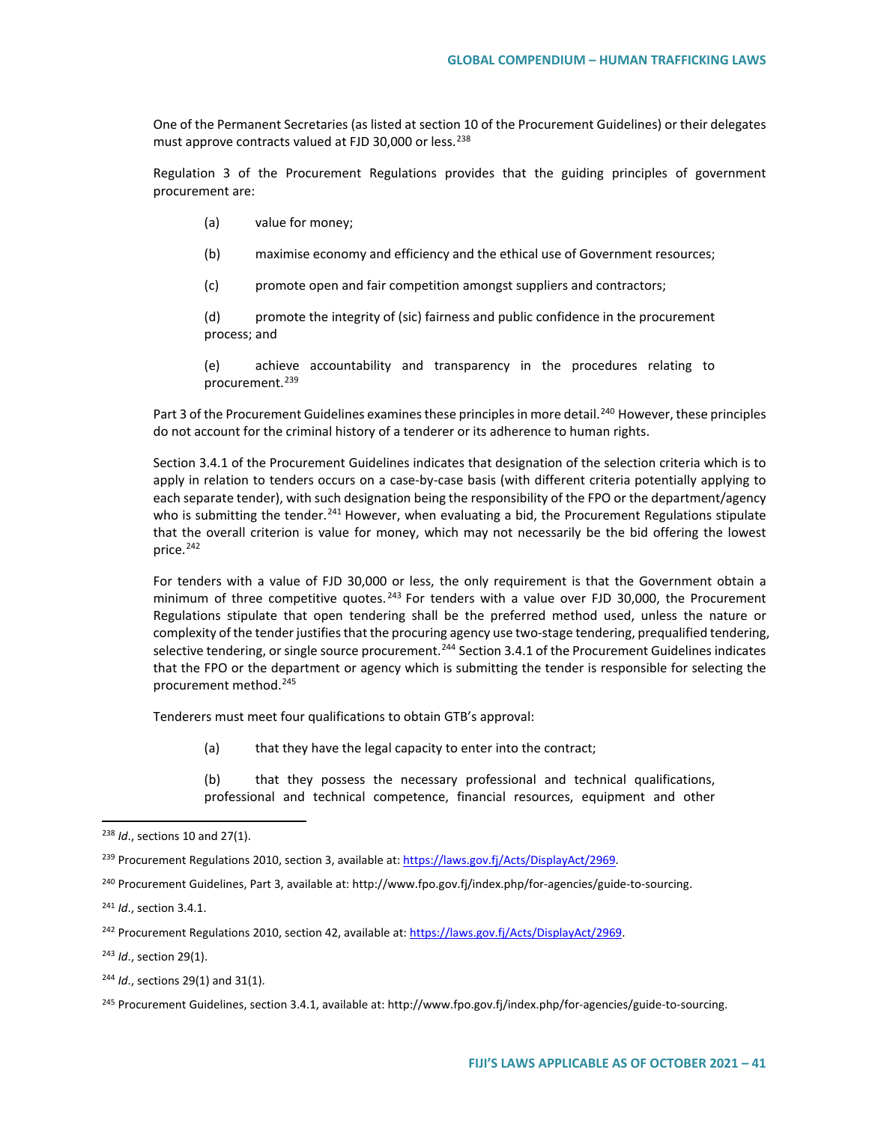One of the Permanent Secretaries (as listed at section 10 of the Procurement Guidelines) or their delegates must approve contracts valued at FJD 30,000 or less.<sup>[238](#page-40-0)</sup>

Regulation 3 of the Procurement Regulations provides that the guiding principles of government procurement are:

- (a) value for money;
- (b) maximise economy and efficiency and the ethical use of Government resources;
- (c) promote open and fair competition amongst suppliers and contractors;

(d) promote the integrity of (sic) fairness and public confidence in the procurement process; and

(e) achieve accountability and transparency in the procedures relating to procurement.<sup>[239](#page-40-1)</sup>

Part 3 of the Procurement Guidelines examines these principles in more detail.<sup>[240](#page-40-2)</sup> However, these principles do not account for the criminal history of a tenderer or its adherence to human rights.

Section 3.4.1 of the Procurement Guidelines indicates that designation of the selection criteria which is to apply in relation to tenders occurs on a case-by-case basis (with different criteria potentially applying to each separate tender), with such designation being the responsibility of the FPO or the department/agency who is submitting the tender.<sup>[241](#page-40-3)</sup> However, when evaluating a bid, the Procurement Regulations stipulate that the overall criterion is value for money, which may not necessarily be the bid offering the lowest price.<sup>[242](#page-40-4)</sup>

For tenders with a value of FJD 30,000 or less, the only requirement is that the Government obtain a minimum of three competitive quotes.  $243$  For tenders with a value over FJD 30,000, the Procurement Regulations stipulate that open tendering shall be the preferred method used, unless the nature or complexity of the tender justifies that the procuring agency use two-stage tendering, prequalified tendering, selective tendering, or single source procurement.<sup>[244](#page-40-6)</sup> Section 3.4.1 of the Procurement Guidelines indicates that the FPO or the department or agency which is submitting the tender is responsible for selecting the procurement method.[245](#page-40-7)

Tenderers must meet four qualifications to obtain GTB's approval:

(a) that they have the legal capacity to enter into the contract;

(b) that they possess the necessary professional and technical qualifications, professional and technical competence, financial resources, equipment and other

<span id="page-40-3"></span><sup>241</sup> *Id*., section 3.4.1.

<span id="page-40-5"></span><sup>243</sup> *Id*., section 29(1).

<span id="page-40-6"></span><sup>244</sup> *Id.*, sections 29(1) and 31(1).

<span id="page-40-0"></span> <sup>238</sup> *Id*., sections 10 and 27(1).

<span id="page-40-1"></span><sup>&</sup>lt;sup>239</sup> Procurement Regulations 2010, section 3, available at[: https://laws.gov.fj/Acts/DisplayAct/2969.](https://laws.gov.fj/Acts/DisplayAct/2969%23)

<span id="page-40-2"></span><sup>240</sup> Procurement Guidelines, Part 3, available at: http://www.fpo.gov.fj/index.php/for-agencies/guide-to-sourcing.

<span id="page-40-4"></span><sup>&</sup>lt;sup>242</sup> Procurement Regulations 2010, section 42, available at[: https://laws.gov.fj/Acts/DisplayAct/2969.](https://laws.gov.fj/Acts/DisplayAct/2969%23)

<span id="page-40-7"></span><sup>&</sup>lt;sup>245</sup> Procurement Guidelines, section 3.4.1, available at: http://www.fpo.gov.fj/index.php/for-agencies/guide-to-sourcing.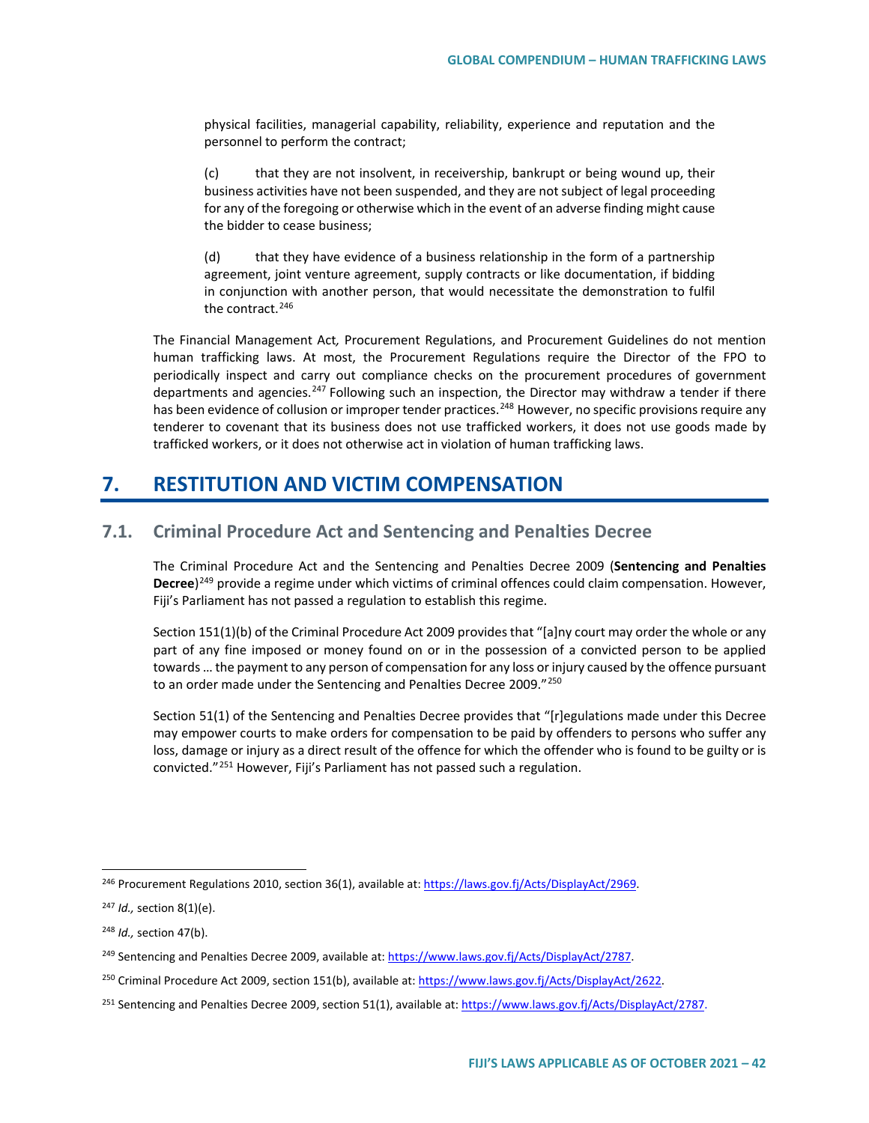physical facilities, managerial capability, reliability, experience and reputation and the personnel to perform the contract;

(c) that they are not insolvent, in receivership, bankrupt or being wound up, their business activities have not been suspended, and they are not subject of legal proceeding for any of the foregoing or otherwise which in the event of an adverse finding might cause the bidder to cease business;

(d) that they have evidence of a business relationship in the form of a partnership agreement, joint venture agreement, supply contracts or like documentation, if bidding in conjunction with another person, that would necessitate the demonstration to fulfil the contract.[246](#page-41-0)

The Financial Management Act*,* Procurement Regulations, and Procurement Guidelines do not mention human trafficking laws. At most, the Procurement Regulations require the Director of the FPO to periodically inspect and carry out compliance checks on the procurement procedures of government departments and agencies.<sup>[247](#page-41-1)</sup> Following such an inspection, the Director may withdraw a tender if there has been evidence of collusion or improper tender practices.<sup>[248](#page-41-2)</sup> However, no specific provisions require any tenderer to covenant that its business does not use trafficked workers, it does not use goods made by trafficked workers, or it does not otherwise act in violation of human trafficking laws.

# **7. RESTITUTION AND VICTIM COMPENSATION**

# **7.1. Criminal Procedure Act and Sentencing and Penalties Decree**

The Criminal Procedure Act and the Sentencing and Penalties Decree 2009 (**Sentencing and Penalties Decree**)[249](#page-41-3) provide a regime under which victims of criminal offences could claim compensation. However, Fiji's Parliament has not passed a regulation to establish this regime.

Section 151(1)(b) of the Criminal Procedure Act 2009 provides that "[a]ny court may order the whole or any part of any fine imposed or money found on or in the possession of a convicted person to be applied towards … the payment to any person of compensation for any loss or injury caused by the offence pursuant to an order made under the Sentencing and Penalties Decree 2009."<sup>[250](#page-41-4)</sup>

Section 51(1) of the Sentencing and Penalties Decree provides that "[r]egulations made under this Decree may empower courts to make orders for compensation to be paid by offenders to persons who suffer any loss, damage or injury as a direct result of the offence for which the offender who is found to be guilty or is convicted."[251](#page-41-5) However, Fiji's Parliament has not passed such a regulation.

<span id="page-41-0"></span> <sup>246</sup> Procurement Regulations 2010, section 36(1), available at[: https://laws.gov.fj/Acts/DisplayAct/2969.](https://laws.gov.fj/Acts/DisplayAct/2969%23)

<span id="page-41-1"></span><sup>247</sup> *Id.,* section 8(1)(e).

<span id="page-41-2"></span><sup>248</sup> *Id.,* section 47(b).

<span id="page-41-3"></span><sup>249</sup> Sentencing and Penalties Decree 2009, available at[: https://www.laws.gov.fj/Acts/DisplayAct/2787.](https://www.laws.gov.fj/Acts/DisplayAct/2787)

<span id="page-41-4"></span><sup>250</sup> Criminal Procedure Act 2009, section 151(b), available at: [https://www.laws.gov.fj/Acts/DisplayAct/2622.](https://www.laws.gov.fj/Acts/DisplayAct/2622)

<span id="page-41-5"></span><sup>&</sup>lt;sup>251</sup> Sentencing and Penalties Decree 2009, section 51(1), available at[: https://www.laws.gov.fj/Acts/DisplayAct/2787.](https://www.laws.gov.fj/Acts/DisplayAct/2787)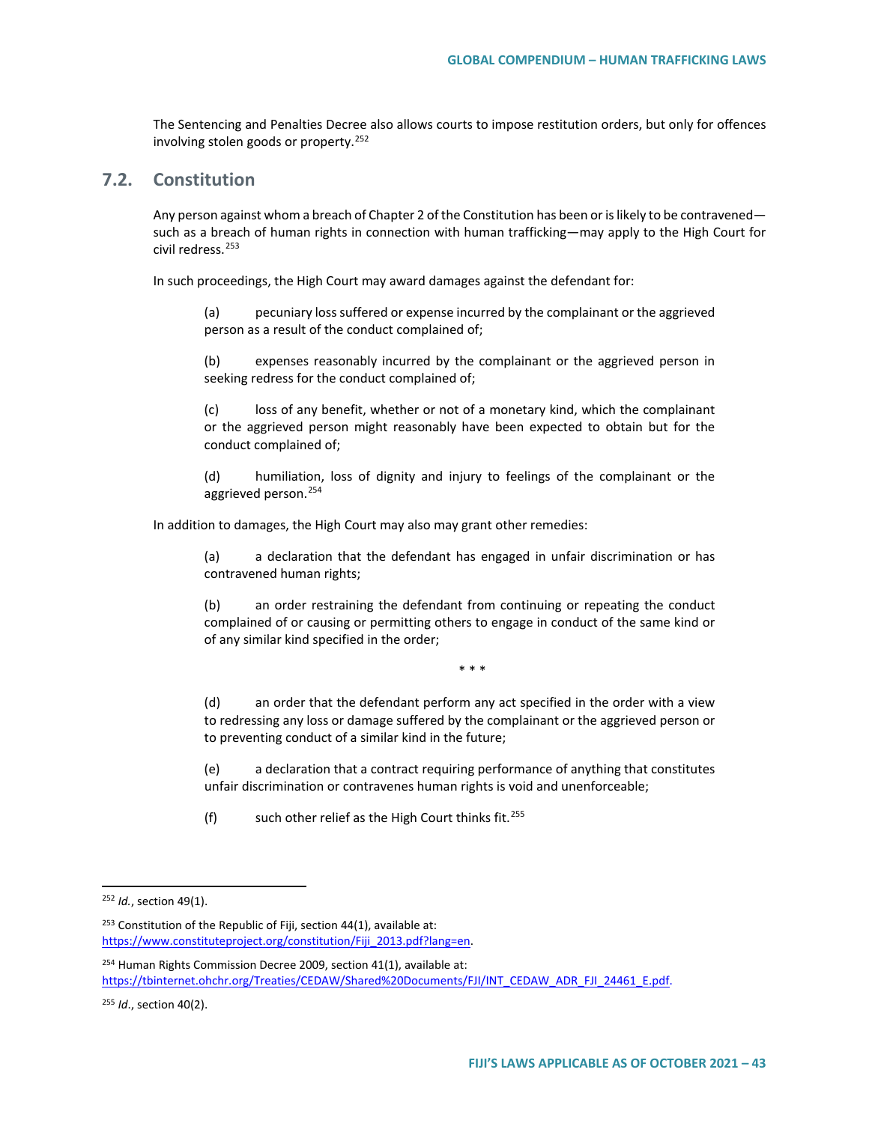The Sentencing and Penalties Decree also allows courts to impose restitution orders, but only for offences involving stolen goods or property.<sup>[252](#page-42-0)</sup>

# **7.2. Constitution**

Any person against whom a breach of Chapter 2 of the Constitution has been or is likely to be contravened such as a breach of human rights in connection with human trafficking—may apply to the High Court for civil redress.<sup>[253](#page-42-1)</sup>

In such proceedings, the High Court may award damages against the defendant for:

(a) pecuniary loss suffered or expense incurred by the complainant or the aggrieved person as a result of the conduct complained of;

(b) expenses reasonably incurred by the complainant or the aggrieved person in seeking redress for the conduct complained of;

(c) loss of any benefit, whether or not of a monetary kind, which the complainant or the aggrieved person might reasonably have been expected to obtain but for the conduct complained of;

(d) humiliation, loss of dignity and injury to feelings of the complainant or the aggrieved person.[254](#page-42-2)

In addition to damages, the High Court may also may grant other remedies:

(a) a declaration that the defendant has engaged in unfair discrimination or has contravened human rights;

(b) an order restraining the defendant from continuing or repeating the conduct complained of or causing or permitting others to engage in conduct of the same kind or of any similar kind specified in the order;

\* \* \*

(d) an order that the defendant perform any act specified in the order with a view to redressing any loss or damage suffered by the complainant or the aggrieved person or to preventing conduct of a similar kind in the future;

(e) a declaration that a contract requiring performance of anything that constitutes unfair discrimination or contravenes human rights is void and unenforceable;

(f) such other relief as the High Court thinks fit.<sup>[255](#page-42-3)</sup>

<span id="page-42-0"></span> <sup>252</sup> *Id.*, section 49(1).

<span id="page-42-1"></span> $253$  Constitution of the Republic of Fiji, section 44(1), available at: [https://www.constituteproject.org/constitution/Fiji\\_2013.pdf?lang=en.](https://www.constituteproject.org/constitution/Fiji_2013.pdf?lang=en)

<span id="page-42-2"></span><sup>&</sup>lt;sup>254</sup> Human Rights Commission Decree 2009, section 41(1), available at: [https://tbinternet.ohchr.org/Treaties/CEDAW/Shared%20Documents/FJI/INT\\_CEDAW\\_ADR\\_FJI\\_24461\\_E.pdf.](https://tbinternet.ohchr.org/Treaties/CEDAW/Shared%20Documents/FJI/INT_CEDAW_ADR_FJI_24461_E.pdf)

<span id="page-42-3"></span><sup>255</sup> *Id*., section 40(2).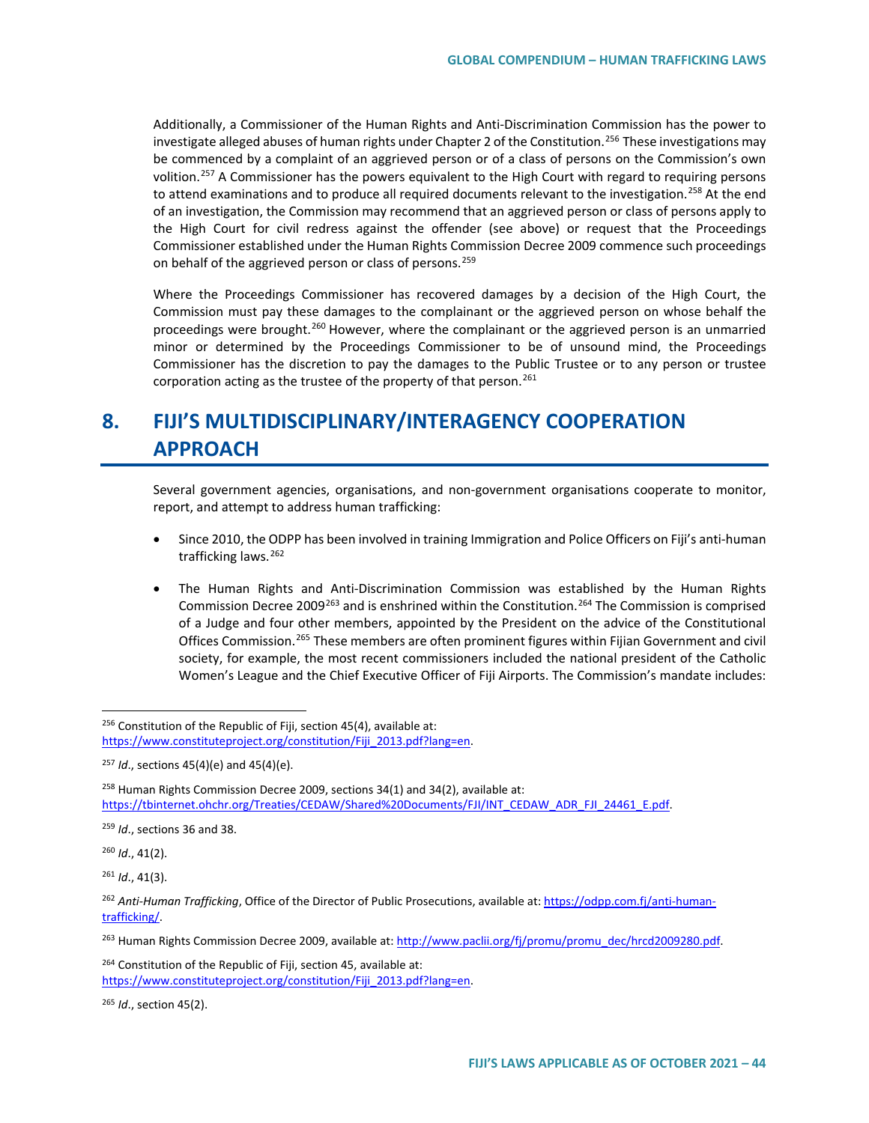Additionally, a Commissioner of the Human Rights and Anti-Discrimination Commission has the power to investigate alleged abuses of human rights under Chapter 2 of the Constitution.<sup>[256](#page-43-0)</sup> These investigations may be commenced by a complaint of an aggrieved person or of a class of persons on the Commission's own volition.<sup>[257](#page-43-1)</sup> A Commissioner has the powers equivalent to the High Court with regard to requiring persons to attend examinations and to produce all required documents relevant to the investigation.<sup>[258](#page-43-2)</sup> At the end of an investigation, the Commission may recommend that an aggrieved person or class of persons apply to the High Court for civil redress against the offender (see above) or request that the Proceedings Commissioner established under the Human Rights Commission Decree 2009 commence such proceedings on behalf of the aggrieved person or class of persons.<sup>[259](#page-43-3)</sup>

Where the Proceedings Commissioner has recovered damages by a decision of the High Court, the Commission must pay these damages to the complainant or the aggrieved person on whose behalf the proceedings were brought.<sup>[260](#page-43-4)</sup> However, where the complainant or the aggrieved person is an unmarried minor or determined by the Proceedings Commissioner to be of unsound mind, the Proceedings Commissioner has the discretion to pay the damages to the Public Trustee or to any person or trustee corporation acting as the trustee of the property of that person.<sup>[261](#page-43-5)</sup>

# **8. FIJI'S MULTIDISCIPLINARY/INTERAGENCY COOPERATION APPROACH**

Several government agencies, organisations, and non-government organisations cooperate to monitor, report, and attempt to address human trafficking:

- Since 2010, the ODPP has been involved in training Immigration and Police Officers on Fiji's anti-human trafficking laws.<sup>[262](#page-43-6)</sup>
- The Human Rights and Anti-Discrimination Commission was established by the Human Rights Commission Decree 2009[263](#page-43-7) and is enshrined within the Constitution.[264](#page-43-8) The Commission is comprised of a Judge and four other members, appointed by the President on the advice of the Constitutional Offices Commission.<sup>[265](#page-43-9)</sup> These members are often prominent figures within Fijian Government and civil society, for example, the most recent commissioners included the national president of the Catholic Women's League and the Chief Executive Officer of Fiji Airports. The Commission's mandate includes:

<span id="page-43-2"></span> $258$  Human Rights Commission Decree 2009, sections 34(1) and 34(2), available at: [https://tbinternet.ohchr.org/Treaties/CEDAW/Shared%20Documents/FJI/INT\\_CEDAW\\_ADR\\_FJI\\_24461\\_E.pdf.](https://tbinternet.ohchr.org/Treaties/CEDAW/Shared%20Documents/FJI/INT_CEDAW_ADR_FJI_24461_E.pdf)

<span id="page-43-4"></span><sup>260</sup> *Id*., 41(2).

<span id="page-43-5"></span><sup>261</sup> *Id*., 41(3).

<span id="page-43-7"></span><sup>263</sup> Human Rights Commission Decree 2009, available at: http://www.paclii.org/fj/promu/promu\_dec/hrcd2009280.pdf.

<span id="page-43-9"></span><sup>265</sup> *Id*., section 45(2).

<span id="page-43-0"></span> $256$  Constitution of the Republic of Fiji, section 45(4), available at: [https://www.constituteproject.org/constitution/Fiji\\_2013.pdf?lang=en.](https://www.constituteproject.org/constitution/Fiji_2013.pdf?lang=en)

<span id="page-43-1"></span><sup>257</sup> *Id*., sections 45(4)(e) and 45(4)(e).

<span id="page-43-3"></span><sup>259</sup> *Id*., sections 36 and 38.

<span id="page-43-6"></span><sup>262</sup> *Anti-Human Trafficking*, Office of the Director of Public Prosecutions, available at[: https://odpp.com.fj/anti-human](https://odpp.com.fj/anti-human-trafficking/)[trafficking/.](https://odpp.com.fj/anti-human-trafficking/) 

<span id="page-43-8"></span><sup>&</sup>lt;sup>264</sup> Constitution of the Republic of Fiji, section 45, available at: [https://www.constituteproject.org/constitution/Fiji\\_2013.pdf?lang=en.](https://www.constituteproject.org/constitution/Fiji_2013.pdf?lang=en)